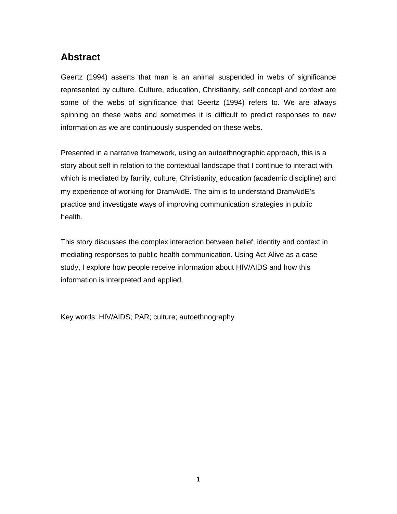# **Abstract**

Geertz (1994) asserts that man is an animal suspended in webs of significance represented by culture. Culture, education, Christianity, self concept and context are some of the webs of significance that Geertz (1994) refers to. We are always spinning on these webs and sometimes it is difficult to predict responses to new information as we are continuously suspended on these webs.

Presented in a narrative framework, using an autoethnographic approach, this is a story about self in relation to the contextual landscape that I continue to interact with which is mediated by family, culture, Christianity, education (academic discipline) and my experience of working for DramAidE. The aim is to understand DramAidE's practice and investigate ways of improving communication strategies in public health.

This story discusses the complex interaction between belief, identity and context in mediating responses to public health communication. Using Act Alive as a case study, I explore how people receive information about HIV/AIDS and how this information is interpreted and applied.

Key words: HIV/AIDS; PAR; culture; autoethnography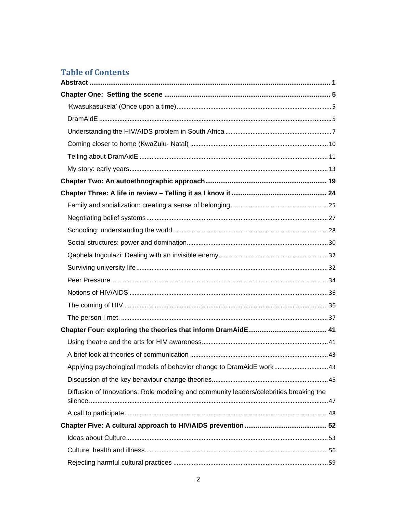# **Table of Contents**

| Applying psychological models of behavior change to DramAidE work 43                   |  |
|----------------------------------------------------------------------------------------|--|
|                                                                                        |  |
| Diffusion of Innovations: Role modeling and community leaders/celebrities breaking the |  |
|                                                                                        |  |
|                                                                                        |  |
|                                                                                        |  |
|                                                                                        |  |
|                                                                                        |  |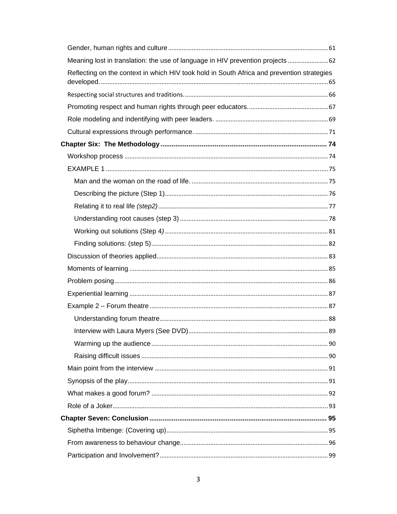| Meaning lost in translation: the use of language in HIV prevention projects  62            |  |
|--------------------------------------------------------------------------------------------|--|
| Reflecting on the context in which HIV took hold in South Africa and prevention strategies |  |
|                                                                                            |  |
|                                                                                            |  |
|                                                                                            |  |
|                                                                                            |  |
|                                                                                            |  |
|                                                                                            |  |
|                                                                                            |  |
|                                                                                            |  |
|                                                                                            |  |
|                                                                                            |  |
|                                                                                            |  |
|                                                                                            |  |
|                                                                                            |  |
|                                                                                            |  |
|                                                                                            |  |
|                                                                                            |  |
|                                                                                            |  |
|                                                                                            |  |
|                                                                                            |  |
|                                                                                            |  |
|                                                                                            |  |
|                                                                                            |  |
|                                                                                            |  |
|                                                                                            |  |
|                                                                                            |  |
|                                                                                            |  |
|                                                                                            |  |
|                                                                                            |  |
|                                                                                            |  |
|                                                                                            |  |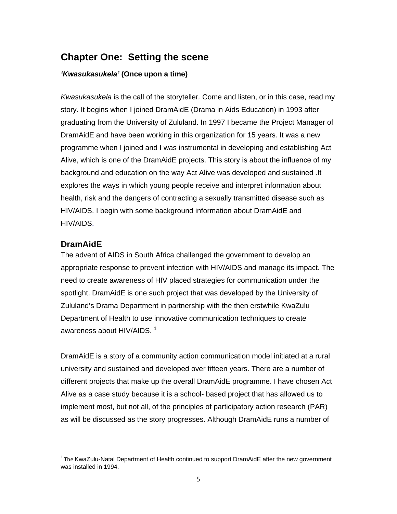## **Chapter One: Setting the scene**

### *'Kwasukasukela'* **(Once upon a time)**

*Kwasukasukela* is the call of the storyteller*.* Come and listen, or in this case, read my story. It begins when I joined DramAidE (Drama in Aids Education) in 1993 after graduating from the University of Zululand. In 1997 I became the Project Manager of DramAidE and have been working in this organization for 15 years. It was a new programme when I joined and I was instrumental in developing and establishing Act Alive, which is one of the DramAidE projects. This story is about the influence of my background and education on the way Act Alive was developed and sustained .It explores the ways in which young people receive and interpret information about health, risk and the dangers of contracting a sexually transmitted disease such as HIV/AIDS. I begin with some background information about DramAidE and HIV/AIDS.

## **DramAidE**

The advent of AIDS in South Africa challenged the government to develop an appropriate response to prevent infection with HIV/AIDS and manage its impact. The need to create awareness of HIV placed strategies for communication under the spotlight. DramAidE is one such project that was developed by the University of Zululand's Drama Department in partnership with the then erstwhile KwaZulu Department of Health to use innovative communication techniques to create awareness about HIV/AIDS.  $1$ 

DramAidE is a story of a community action communication model initiated at a rural university and sustained and developed over fifteen years. There are a number of different projects that make up the overall DramAidE programme. I have chosen Act Alive as a case study because it is a school- based project that has allowed us to implement most, but not all, of the principles of participatory action research (PAR) as will be discussed as the story progresses. Although DramAidE runs a number of

<sup>&</sup>lt;u> Alexandria de la contrada de la contrada de la con</u> <sup>1</sup> The KwaZulu-Natal Department of Health continued to support DramAidE after the new government was installed in 1994.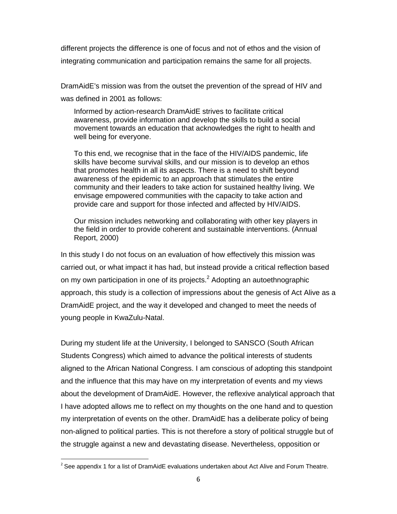different projects the difference is one of focus and not of ethos and the vision of integrating communication and participation remains the same for all projects.

DramAidE's mission was from the outset the prevention of the spread of HIV and was defined in 2001 as follows:

Informed by action-research DramAidE strives to facilitate critical awareness, provide information and develop the skills to build a social movement towards an education that acknowledges the right to health and well being for everyone.

To this end, we recognise that in the face of the HIV/AIDS pandemic, life skills have become survival skills, and our mission is to develop an ethos that promotes health in all its aspects. There is a need to shift beyond awareness of the epidemic to an approach that stimulates the entire community and their leaders to take action for sustained healthy living. We envisage empowered communities with the capacity to take action and provide care and support for those infected and affected by HIV/AIDS.

Our mission includes networking and collaborating with other key players in the field in order to provide coherent and sustainable interventions. (Annual Report, 2000)

In this study I do not focus on an evaluation of how effectively this mission was carried out, or what impact it has had, but instead provide a critical reflection based on my own participation in one of its projects.<sup>2</sup> Adopting an autoethnographic approach, this study is a collection of impressions about the genesis of Act Alive as a DramAidE project, and the way it developed and changed to meet the needs of young people in KwaZulu-Natal.

During my student life at the University, I belonged to SANSCO (South African Students Congress) which aimed to advance the political interests of students aligned to the African National Congress. I am conscious of adopting this standpoint and the influence that this may have on my interpretation of events and my views about the development of DramAidE. However, the reflexive analytical approach that I have adopted allows me to reflect on my thoughts on the one hand and to question my interpretation of events on the other. DramAidE has a deliberate policy of being non-aligned to political parties. This is not therefore a story of political struggle but of the struggle against a new and devastating disease. Nevertheless, opposition or

 $2$  See appendix 1 for a list of DramAidE evaluations undertaken about Act Alive and Forum Theatre.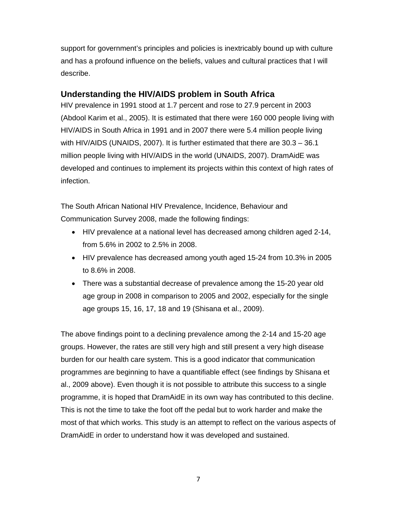support for government's principles and policies is inextricably bound up with culture and has a profound influence on the beliefs, values and cultural practices that I will describe.

## **Understanding the HIV/AIDS problem in South Africa**

HIV prevalence in 1991 stood at 1.7 percent and rose to 27.9 percent in 2003 (Abdool Karim et al., 2005). It is estimated that there were 160 000 people living with HIV/AIDS in South Africa in 1991 and in 2007 there were 5.4 million people living with HIV/AIDS (UNAIDS, 2007). It is further estimated that there are 30.3 – 36.1 million people living with HIV/AIDS in the world (UNAIDS, 2007). DramAidE was developed and continues to implement its projects within this context of high rates of infection.

The South African National HIV Prevalence, Incidence, Behaviour and Communication Survey 2008, made the following findings:

- HIV prevalence at a national level has decreased among children aged 2-14, from 5.6% in 2002 to 2.5% in 2008.
- HIV prevalence has decreased among youth aged 15-24 from 10.3% in 2005 to 8.6% in 2008.
- There was a substantial decrease of prevalence among the 15-20 year old age group in 2008 in comparison to 2005 and 2002, especially for the single age groups 15, 16, 17, 18 and 19 (Shisana et al., 2009).

The above findings point to a declining prevalence among the 2-14 and 15-20 age groups. However, the rates are still very high and still present a very high disease burden for our health care system. This is a good indicator that communication programmes are beginning to have a quantifiable effect (see findings by Shisana et al., 2009 above). Even though it is not possible to attribute this success to a single programme, it is hoped that DramAidE in its own way has contributed to this decline. This is not the time to take the foot off the pedal but to work harder and make the most of that which works. This study is an attempt to reflect on the various aspects of DramAidE in order to understand how it was developed and sustained.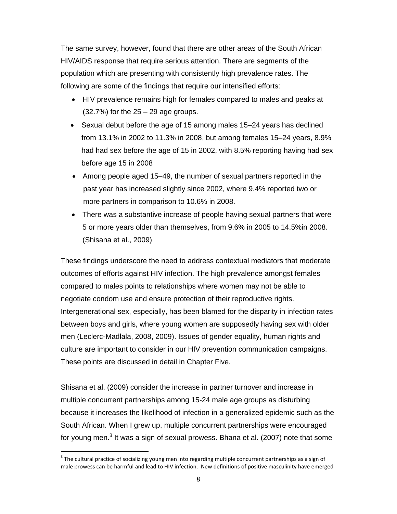The same survey, however, found that there are other areas of the South African HIV/AIDS response that require serious attention. There are segments of the population which are presenting with consistently high prevalence rates. The following are some of the findings that require our intensified efforts:

- HIV prevalence remains high for females compared to males and peaks at  $(32.7%)$  for the  $25 - 29$  age groups.
- Sexual debut before the age of 15 among males 15–24 years has declined from 13.1% in 2002 to 11.3% in 2008, but among females 15–24 years, 8.9% had had sex before the age of 15 in 2002, with 8.5% reporting having had sex before age 15 in 2008
- Among people aged 15–49, the number of sexual partners reported in the past year has increased slightly since 2002, where 9.4% reported two or more partners in comparison to 10.6% in 2008.
- There was a substantive increase of people having sexual partners that were 5 or more years older than themselves, from 9.6% in 2005 to 14.5%in 2008. (Shisana et al., 2009)

These findings underscore the need to address contextual mediators that moderate outcomes of efforts against HIV infection. The high prevalence amongst females compared to males points to relationships where women may not be able to negotiate condom use and ensure protection of their reproductive rights. Intergenerational sex, especially, has been blamed for the disparity in infection rates between boys and girls, where young women are supposedly having sex with older men (Leclerc-Madlala, 2008, 2009). Issues of gender equality, human rights and culture are important to consider in our HIV prevention communication campaigns. These points are discussed in detail in Chapter Five.

Shisana et al. (2009) consider the increase in partner turnover and increase in multiple concurrent partnerships among 15-24 male age groups as disturbing because it increases the likelihood of infection in a generalized epidemic such as the South African. When I grew up, multiple concurrent partnerships were encouraged for young men. $^3$  It was a sign of sexual prowess. Bhana et al. (2007) note that some

 $3$  The cultural practice of socializing young men into regarding multiple concurrent partnerships as a sign of male prowess can be harmful and lead to HIV infection. New definitions of positive masculinity have emerged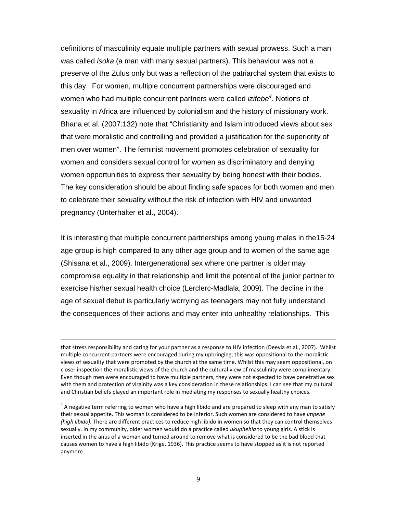definitions of masculinity equate multiple partners with sexual prowess. Such a man was called *isoka* (a man with many sexual partners). This behaviour was not a preserve of the Zulus only but was a reflection of the patriarchal system that exists to this day. For women, multiple concurrent partnerships were discouraged and women who had multiple concurrent partners were called *izifebe4* . Notions of sexuality in Africa are influenced by colonialism and the history of missionary work. Bhana et al. (2007:132) note that "Christianity and Islam introduced views about sex that were moralistic and controlling and provided a justification for the superiority of men over women". The feminist movement promotes celebration of sexuality for women and considers sexual control for women as discriminatory and denying women opportunities to express their sexuality by being honest with their bodies. The key consideration should be about finding safe spaces for both women and men to celebrate their sexuality without the risk of infection with HIV and unwanted pregnancy (Unterhalter et al., 2004).

It is interesting that multiple concurrent partnerships among young males in the15-24 age group is high compared to any other age group and to women of the same age (Shisana et al., 2009). Intergenerational sex where one partner is older may compromise equality in that relationship and limit the potential of the junior partner to exercise his/her sexual health choice (Lerclerc-Madlala, 2009). The decline in the age of sexual debut is particularly worrying as teenagers may not fully understand the consequences of their actions and may enter into unhealthy relationships. This

<u> Andreas Andreas Andreas Andreas Andreas Andreas Andreas Andreas Andreas Andreas Andreas Andreas Andreas Andr</u>

that stress responsibility and caring for your partner as a response to HIV infection (Deevia et al., 2007). Whilst multiple concurrent partners were encouraged during my upbringing, this was oppositional to the moralistic views of sexuality that were promoted by the church at the same time. Whilst this may seem oppositional, on closer inspection the moralistic views of the church and the cultural view of masculinity were complimentary. Even though men were encouraged to have multiple partners, they were not expected to have penetrative sex with them and protection of virginity was a key consideration in these relationships. I can see that my cultural and Christian beliefs played an important role in mediating my responses to sexually healthy choices.

 $4\,$  A negative term referring to women who have a high libido and are prepared to sleep with any man to satisfy their sexual appetite. This woman is considered to be inferior. Such women are considered to have *impene (high libido).* There are different practices to reduce high libido in women so that they can control themselves sexually. In my community, older women would do a practice called *ukuphehla* to young girls. A stick is inserted in the anus of a woman and turned around to remove what is considered to be the bad blood that causes women to have a high libido (Krige, 1936). This practice seems to have stopped as it is not reported anymore.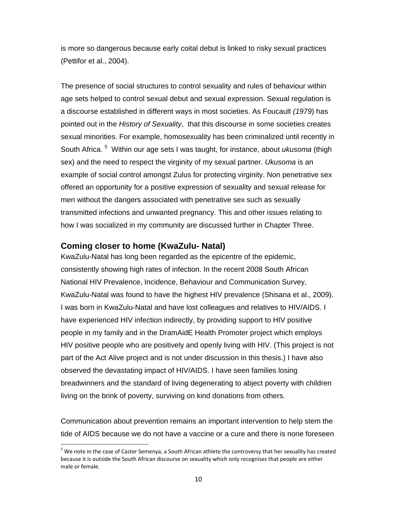is more so dangerous because early coital debut is linked to risky sexual practices (Pettifor et al., 2004).

The presence of social structures to control sexuality and rules of behaviour within age sets helped to control sexual debut and sexual expression. Sexual regulation is a discourse established in different ways in most societies. As Foucault *(1979*) has pointed out in the *History of Sexuality*, that this discourse in some societies creates sexual minorities. For example, homosexuality has been criminalized until recently in South Africa.<sup>5</sup> Within our age sets I was taught, for instance, about *ukusoma* (thigh sex) and the need to respect the virginity of my sexual partner. *Ukusoma* is an example of social control amongst Zulus for protecting virginity. Non penetrative sex offered an opportunity for a positive expression of sexuality and sexual release for men without the dangers associated with penetrative sex such as sexually transmitted infections and unwanted pregnancy. This and other issues relating to how I was socialized in my community are discussed further in Chapter Three.

## **Coming closer to home (KwaZulu- Natal)**

KwaZulu-Natal has long been regarded as the epicentre of the epidemic, consistently showing high rates of infection. In the recent 2008 South African National HIV Prevalence, Incidence, Behaviour and Communication Survey, KwaZulu-Natal was found to have the highest HIV prevalence (Shisana et al., 2009). I was born in KwaZulu-Natal and have lost colleagues and relatives to HIV/AIDS. I have experienced HIV infection indirectly, by providing support to HIV positive people in my family and in the DramAidE Health Promoter project which employs HIV positive people who are positively and openly living with HIV. (This project is not part of the Act Alive project and is not under discussion in this thesis.) I have also observed the devastating impact of HIV/AIDS. I have seen families losing breadwinners and the standard of living degenerating to abject poverty with children living on the brink of poverty, surviving on kind donations from others.

Communication about prevention remains an important intervention to help stem the tide of AIDS because we do not have a vaccine or a cure and there is none foreseen

 $^5$  We note in the case of Caster Semenya, a South African athlete the controversy that her sexuality has created because it is outside the South African discourse on sexuality which only recognises that people are either male or female.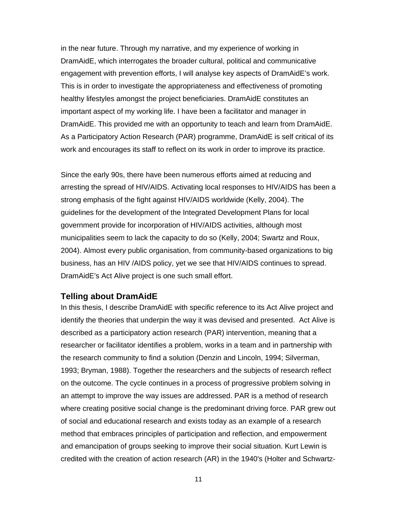in the near future. Through my narrative, and my experience of working in DramAidE, which interrogates the broader cultural, political and communicative engagement with prevention efforts, I will analyse key aspects of DramAidE's work. This is in order to investigate the appropriateness and effectiveness of promoting healthy lifestyles amongst the project beneficiaries. DramAidE constitutes an important aspect of my working life. I have been a facilitator and manager in DramAidE. This provided me with an opportunity to teach and learn from DramAidE. As a Participatory Action Research (PAR) programme, DramAidE is self critical of its work and encourages its staff to reflect on its work in order to improve its practice.

Since the early 90s, there have been numerous efforts aimed at reducing and arresting the spread of HIV/AIDS. Activating local responses to HIV/AIDS has been a strong emphasis of the fight against HIV/AIDS worldwide (Kelly, 2004). The guidelines for the development of the Integrated Development Plans for local government provide for incorporation of HIV/AIDS activities, although most municipalities seem to lack the capacity to do so (Kelly, 2004; Swartz and Roux, 2004). Almost every public organisation, from community-based organizations to big business, has an HIV /AIDS policy, yet we see that HIV/AIDS continues to spread. DramAidE's Act Alive project is one such small effort.

#### **Telling about DramAidE**

In this thesis, I describe DramAidE with specific reference to its Act Alive project and identify the theories that underpin the way it was devised and presented. Act Alive is described as a participatory action research (PAR) intervention, meaning that a researcher or facilitator identifies a problem, works in a team and in partnership with the research community to find a solution (Denzin and Lincoln, 1994; Silverman, 1993; Bryman, 1988). Together the researchers and the subjects of research reflect on the outcome. The cycle continues in a process of progressive problem solving in an attempt to improve the way issues are addressed. PAR is a method of research where creating positive social change is the predominant driving force. PAR grew out of social and educational research and exists today as an example of a research method that embraces principles of participation and reflection, and empowerment and emancipation of groups seeking to improve their social situation. Kurt Lewin is credited with the creation of action research (AR) in the 1940's (Holter and Schwartz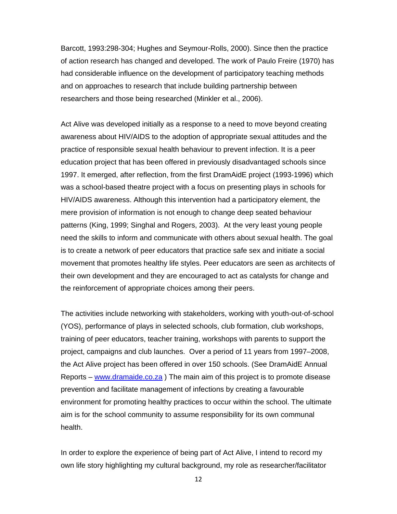Barcott, 1993:298-304; Hughes and Seymour-Rolls, 2000). Since then the practice of action research has changed and developed. The work of Paulo Freire (1970) has had considerable influence on the development of participatory teaching methods and on approaches to research that include building partnership between researchers and those being researched (Minkler et al., 2006).

Act Alive was developed initially as a response to a need to move beyond creating awareness about HIV/AIDS to the adoption of appropriate sexual attitudes and the practice of responsible sexual health behaviour to prevent infection. It is a peer education project that has been offered in previously disadvantaged schools since 1997. It emerged, after reflection, from the first DramAidE project (1993-1996) which was a school-based theatre project with a focus on presenting plays in schools for HIV/AIDS awareness. Although this intervention had a participatory element, the mere provision of information is not enough to change deep seated behaviour patterns (King, 1999; Singhal and Rogers, 2003). At the very least young people need the skills to inform and communicate with others about sexual health. The goal is to create a network of peer educators that practice safe sex and initiate a social movement that promotes healthy life styles. Peer educators are seen as architects of their own development and they are encouraged to act as catalysts for change and the reinforcement of appropriate choices among their peers.

The activities include networking with stakeholders, working with youth-out-of-school (YOS), performance of plays in selected schools, club formation, club workshops, training of peer educators, teacher training, workshops with parents to support the project, campaigns and club launches. Over a period of 11 years from 1997–2008, the Act Alive project has been offered in over 150 schools. (See DramAidE Annual Reports – www.dramaide.co.za ) The main aim of this project is to promote disease prevention and facilitate management of infections by creating a favourable environment for promoting healthy practices to occur within the school. The ultimate aim is for the school community to assume responsibility for its own communal health.

In order to explore the experience of being part of Act Alive, I intend to record my own life story highlighting my cultural background, my role as researcher/facilitator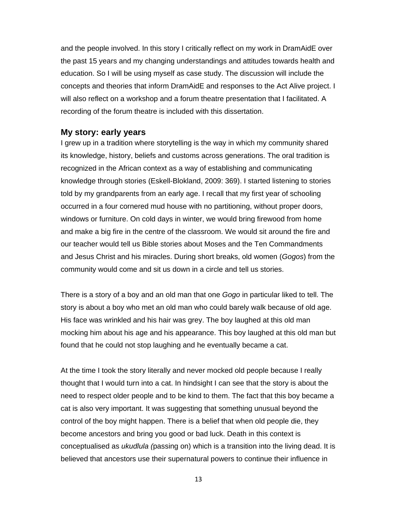and the people involved. In this story I critically reflect on my work in DramAidE over the past 15 years and my changing understandings and attitudes towards health and education. So I will be using myself as case study. The discussion will include the concepts and theories that inform DramAidE and responses to the Act Alive project. I will also reflect on a workshop and a forum theatre presentation that I facilitated. A recording of the forum theatre is included with this dissertation.

#### **My story: early years**

I grew up in a tradition where storytelling is the way in which my community shared its knowledge, history, beliefs and customs across generations. The oral tradition is recognized in the African context as a way of establishing and communicating knowledge through stories (Eskell-Blokland, 2009: 369). I started listening to stories told by my grandparents from an early age. I recall that my first year of schooling occurred in a four cornered mud house with no partitioning, without proper doors, windows or furniture. On cold days in winter, we would bring firewood from home and make a big fire in the centre of the classroom. We would sit around the fire and our teacher would tell us Bible stories about Moses and the Ten Commandments and Jesus Christ and his miracles. During short breaks, old women (*Gogos*) from the community would come and sit us down in a circle and tell us stories.

There is a story of a boy and an old man that one *Gogo* in particular liked to tell. The story is about a boy who met an old man who could barely walk because of old age. His face was wrinkled and his hair was grey. The boy laughed at this old man mocking him about his age and his appearance. This boy laughed at this old man but found that he could not stop laughing and he eventually became a cat.

At the time I took the story literally and never mocked old people because I really thought that I would turn into a cat. In hindsight I can see that the story is about the need to respect older people and to be kind to them. The fact that this boy became a cat is also very important. It was suggesting that something unusual beyond the control of the boy might happen. There is a belief that when old people die, they become ancestors and bring you good or bad luck. Death in this context is conceptualised as *ukudlula (*passing on) which is a transition into the living dead. It is believed that ancestors use their supernatural powers to continue their influence in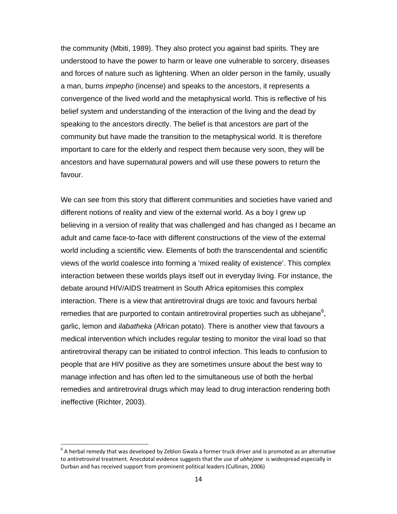the community (Mbiti, 1989). They also protect you against bad spirits. They are understood to have the power to harm or leave one vulnerable to sorcery, diseases and forces of nature such as lightening. When an older person in the family, usually a man, burns *impepho* (incense) and speaks to the ancestors, it represents a convergence of the lived world and the metaphysical world. This is reflective of his belief system and understanding of the interaction of the living and the dead by speaking to the ancestors directly. The belief is that ancestors are part of the community but have made the transition to the metaphysical world. It is therefore important to care for the elderly and respect them because very soon, they will be ancestors and have supernatural powers and will use these powers to return the favour.

We can see from this story that different communities and societies have varied and different notions of reality and view of the external world. As a boy I grew up believing in a version of reality that was challenged and has changed as I became an adult and came face-to-face with different constructions of the view of the external world including a scientific view. Elements of both the transcendental and scientific views of the world coalesce into forming a 'mixed reality of existence'. This complex interaction between these worlds plays itself out in everyday living. For instance, the debate around HIV/AIDS treatment in South Africa epitomises this complex interaction. There is a view that antiretroviral drugs are toxic and favours herbal remedies that are purported to contain antiretroviral properties such as ubhejane $6$ , garlic, lemon and *ilabatheka* (African potato). There is another view that favours a medical intervention which includes regular testing to monitor the viral load so that antiretroviral therapy can be initiated to control infection. This leads to confusion to people that are HIV positive as they are sometimes unsure about the best way to manage infection and has often led to the simultaneous use of both the herbal remedies and antiretroviral drugs which may lead to drug interaction rendering both ineffective (Richter, 2003).

 $^{\circ}$  A herbal remedy that was developed by Zeblon Gwala a former truck driver and is promoted as an alternative to antiretroviral treatment. Anecdotal evidence suggests that the use of *ubhejane* is widespread especially in Durban and has received support from prominent political leaders (Cullinan, 2006)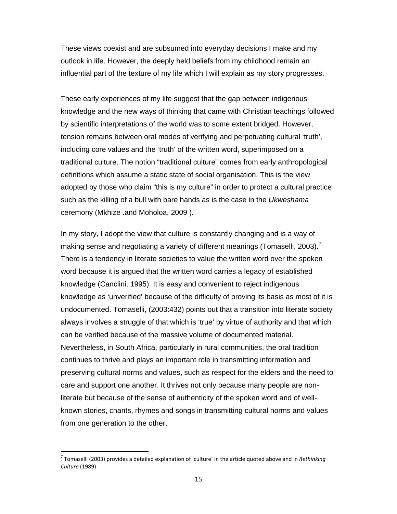These views coexist and are subsumed into everyday decisions I make and my outlook in life. However, the deeply held beliefs from my childhood remain an influential part of the texture of my life which I will explain as my story progresses.

These early experiences of my life suggest that the gap between indigenous knowledge and the new ways of thinking that came with Christian teachings followed by scientific interpretations of the world was to some extent bridged. However, tension remains between oral modes of verifying and perpetuating cultural 'truth', including core values and the 'truth' of the written word, superimposed on a traditional culture. The notion "traditional culture" comes from early anthropological definitions which assume a static state of social organisation. This is the view adopted by those who claim "this is my culture" in order to protect a cultural practice such as the killing of a bull with bare hands as is the case in the *Ukweshama* ceremony (Mkhize .and Moholoa, 2009 ).

In my story, I adopt the view that culture is constantly changing and is a way of making sense and negotiating a variety of different meanings (Tomaselli, 2003).<sup>7</sup> There is a tendency in literate societies to value the written word over the spoken word because it is argued that the written word carries a legacy of established knowledge (Canclini, 1995). It is easy and convenient to reject indigenous knowledge as 'unverified' because of the difficulty of proving its basis as most of it is undocumented. Tomaselli, (2003:432) points out that a transition into literate society always involves a struggle of that which is 'true' by virtue of authority and that which can be verified because of the massive volume of documented material. Nevertheless, in South Africa, particularly in rural communities, the oral tradition continues to thrive and plays an important role in transmitting information and preserving cultural norms and values, such as respect for the elders and the need to care and support one another. It thrives not only because many people are nonliterate but because of the sense of authenticity of the spoken word and of wellknown stories, chants, rhymes and songs in transmitting cultural norms and values from one generation to the other.

<sup>7</sup> Tomaselli (2003) provides a detailed explanation of 'culture' in the article quoted above and in *Rethinking Culture* (1989)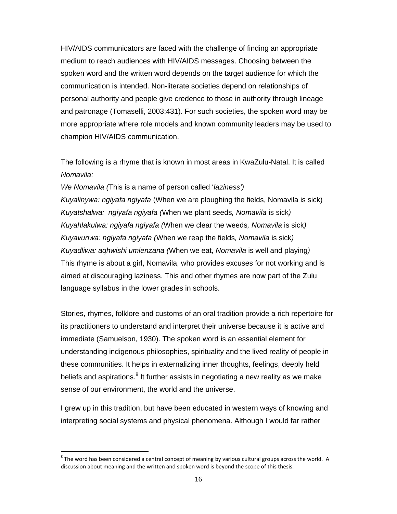HIV/AIDS communicators are faced with the challenge of finding an appropriate medium to reach audiences with HIV/AIDS messages. Choosing between the spoken word and the written word depends on the target audience for which the communication is intended. Non-literate societies depend on relationships of personal authority and people give credence to those in authority through lineage and patronage (Tomaselli, 2003:431). For such societies, the spoken word may be more appropriate where role models and known community leaders may be used to champion HIV/AIDS communication.

The following is a rhyme that is known in most areas in KwaZulu-Natal. It is called *Nomavila:*

*We Nomavila (*This is a name of person called '*laziness') Kuyalinywa: ngiyafa ngiyafa* (When we are ploughing the fields, Nomavila is sick) *Kuyatshalwa: ngiyafa ngiyafa (*When we plant seeds*, Nomavila* is sick*) Kuyahlakulwa: ngiyafa ngiyafa (*When we clear the weeds*, Nomavila* is sick*) Kuyavunwa: ngiyafa ngiyafa (*When we reap the fields*, Nomavila* is sick*) Kuyadliwa: aqhwishi umlenzana (When we eat, Nomavila is well and playing)* This rhyme is about a girl, Nomavila, who provides excuses for not working and is aimed at discouraging laziness. This and other rhymes are now part of the Zulu language syllabus in the lower grades in schools.

Stories, rhymes, folklore and customs of an oral tradition provide a rich repertoire for its practitioners to understand and interpret their universe because it is active and immediate (Samuelson, 1930). The spoken word is an essential element for understanding indigenous philosophies, spirituality and the lived reality of people in these communities. It helps in externalizing inner thoughts, feelings, deeply held beliefs and aspirations. $8$  It further assists in negotiating a new reality as we make sense of our environment, the world and the universe.

I grew up in this tradition, but have been educated in western ways of knowing and interpreting social systems and physical phenomena. Although I would far rather

 $8$  The word has been considered a central concept of meaning by various cultural groups across the world. A discussion about meaning and the written and spoken word is beyond the scope of this thesis.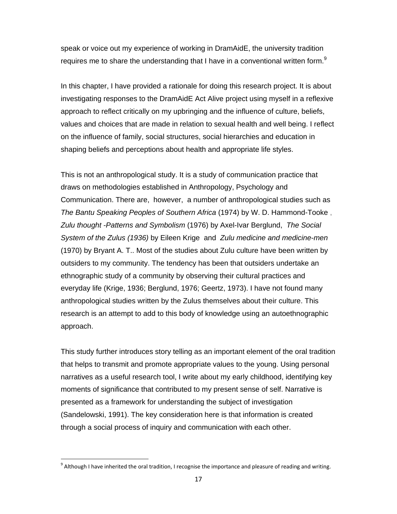speak or voice out my experience of working in DramAidE, the university tradition requires me to share the understanding that I have in a conventional written form. $9$ 

In this chapter, I have provided a rationale for doing this research project. It is about investigating responses to the DramAidE Act Alive project using myself in a reflexive approach to reflect critically on my upbringing and the influence of culture, beliefs, values and choices that are made in relation to sexual health and well being. I reflect on the influence of family, social structures, social hierarchies and education in shaping beliefs and perceptions about health and appropriate life styles.

This is not an anthropological study. It is a study of communication practice that draws on methodologies established in Anthropology, Psychology and Communication. There are, however, a number of anthropological studies such as *The Bantu Speaking Peoples of Southern Africa* (1974) by W. D. Hammond-Tooke , *Zulu thought -Patterns and Symbolism* (1976) by Axel-Ivar Berglund, *The Social System of the Zulus (1936)* by Eileen Krige and *Zulu medicine and medicine-men*  (1970) by Bryant A. T.. Most of the studies about Zulu culture have been written by outsiders to my community. The tendency has been that outsiders undertake an ethnographic study of a community by observing their cultural practices and everyday life (Krige, 1936; Berglund, 1976; Geertz, 1973). I have not found many anthropological studies written by the Zulus themselves about their culture. This research is an attempt to add to this body of knowledge using an autoethnographic approach.

This study further introduces story telling as an important element of the oral tradition that helps to transmit and promote appropriate values to the young. Using personal narratives as a useful research tool, I write about my early childhood, identifying key moments of significance that contributed to my present sense of self. Narrative is presented as a framework for understanding the subject of investigation (Sandelowski, 1991). The key consideration here is that information is created through a social process of inquiry and communication with each other.

 $9$  Although I have inherited the oral tradition, I recognise the importance and pleasure of reading and writing.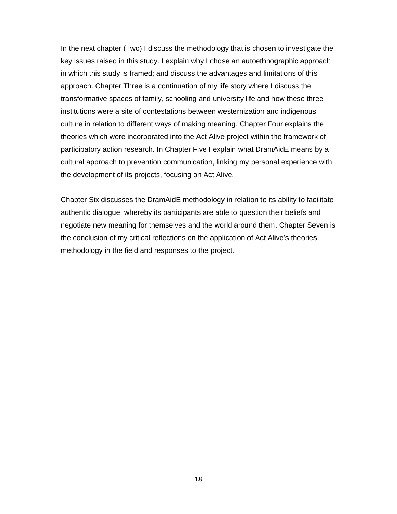In the next chapter (Two) I discuss the methodology that is chosen to investigate the key issues raised in this study. I explain why I chose an autoethnographic approach in which this study is framed; and discuss the advantages and limitations of this approach. Chapter Three is a continuation of my life story where I discuss the transformative spaces of family, schooling and university life and how these three institutions were a site of contestations between westernization and indigenous culture in relation to different ways of making meaning. Chapter Four explains the theories which were incorporated into the Act Alive project within the framework of participatory action research. In Chapter Five I explain what DramAidE means by a cultural approach to prevention communication, linking my personal experience with the development of its projects, focusing on Act Alive.

Chapter Six discusses the DramAidE methodology in relation to its ability to facilitate authentic dialogue, whereby its participants are able to question their beliefs and negotiate new meaning for themselves and the world around them. Chapter Seven is the conclusion of my critical reflections on the application of Act Alive's theories, methodology in the field and responses to the project.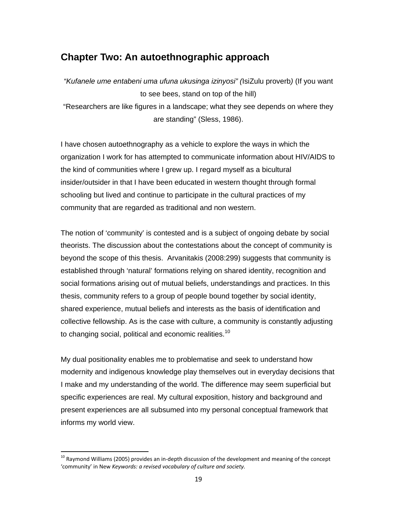# **Chapter Two: An autoethnographic approach**

*"Kufanele ume entabeni uma ufuna ukusinga izinyosi" (*IsiZulu proverb*)* (If you want to see bees, stand on top of the hill) "Researchers are like figures in a landscape; what they see depends on where they are standing" (Sless, 1986).

I have chosen autoethnography as a vehicle to explore the ways in which the organization I work for has attempted to communicate information about HIV/AIDS to the kind of communities where I grew up. I regard myself as a bicultural insider/outsider in that I have been educated in western thought through formal schooling but lived and continue to participate in the cultural practices of my community that are regarded as traditional and non western.

The notion of 'community' is contested and is a subject of ongoing debate by social theorists. The discussion about the contestations about the concept of community is beyond the scope of this thesis. Arvanitakis (2008:299) suggests that community is established through 'natural' formations relying on shared identity, recognition and social formations arising out of mutual beliefs, understandings and practices. In this thesis, community refers to a group of people bound together by social identity, shared experience, mutual beliefs and interests as the basis of identification and collective fellowship. As is the case with culture, a community is constantly adjusting to changing social, political and economic realities.<sup>10</sup>

My dual positionality enables me to problematise and seek to understand how modernity and indigenous knowledge play themselves out in everyday decisions that I make and my understanding of the world. The difference may seem superficial but specific experiences are real. My cultural exposition, history and background and present experiences are all subsumed into my personal conceptual framework that informs my world view.

 $^{10}$  Raymond Williams (2005) provides an in-depth discussion of the development and meaning of the concept 'community' in New *Keywords: a revised vocabulary of culture and society.*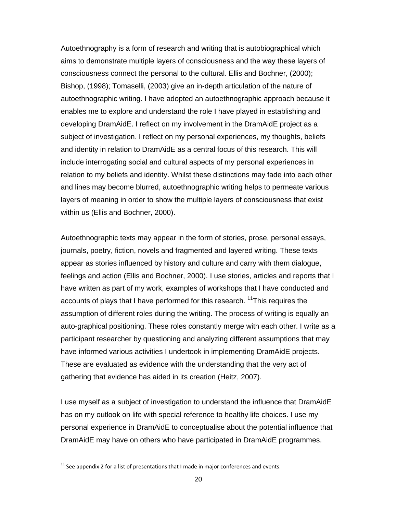Autoethnography is a form of research and writing that is autobiographical which aims to demonstrate multiple layers of consciousness and the way these layers of consciousness connect the personal to the cultural. Ellis and Bochner, (2000); Bishop, (1998); Tomaselli, (2003) give an in-depth articulation of the nature of autoethnographic writing. I have adopted an autoethnographic approach because it enables me to explore and understand the role I have played in establishing and developing DramAidE. I reflect on my involvement in the DramAidE project as a subject of investigation. I reflect on my personal experiences, my thoughts, beliefs and identity in relation to DramAidE as a central focus of this research. This will include interrogating social and cultural aspects of my personal experiences in relation to my beliefs and identity. Whilst these distinctions may fade into each other and lines may become blurred, autoethnographic writing helps to permeate various layers of meaning in order to show the multiple layers of consciousness that exist within us (Ellis and Bochner, 2000).

Autoethnographic texts may appear in the form of stories, prose, personal essays, journals, poetry, fiction, novels and fragmented and layered writing. These texts appear as stories influenced by history and culture and carry with them dialogue, feelings and action (Ellis and Bochner, 2000). I use stories, articles and reports that I have written as part of my work, examples of workshops that I have conducted and accounts of plays that I have performed for this research. <sup>11</sup>This requires the assumption of different roles during the writing. The process of writing is equally an auto-graphical positioning. These roles constantly merge with each other. I write as a participant researcher by questioning and analyzing different assumptions that may have informed various activities I undertook in implementing DramAidE projects. These are evaluated as evidence with the understanding that the very act of gathering that evidence has aided in its creation (Heitz, 2007).

I use myself as a subject of investigation to understand the influence that DramAidE has on my outlook on life with special reference to healthy life choices. I use my personal experience in DramAidE to conceptualise about the potential influence that DramAidE may have on others who have participated in DramAidE programmes.

 $11$  See appendix 2 for a list of presentations that I made in major conferences and events.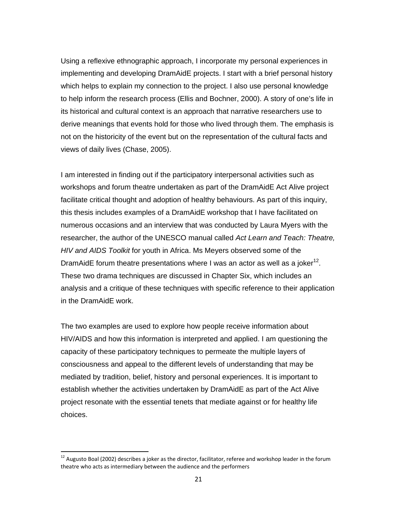Using a reflexive ethnographic approach, I incorporate my personal experiences in implementing and developing DramAidE projects. I start with a brief personal history which helps to explain my connection to the project. I also use personal knowledge to help inform the research process (Ellis and Bochner, 2000). A story of one's life in its historical and cultural context is an approach that narrative researchers use to derive meanings that events hold for those who lived through them. The emphasis is not on the historicity of the event but on the representation of the cultural facts and views of daily lives (Chase, 2005).

I am interested in finding out if the participatory interpersonal activities such as workshops and forum theatre undertaken as part of the DramAidE Act Alive project facilitate critical thought and adoption of healthy behaviours. As part of this inquiry, this thesis includes examples of a DramAidE workshop that I have facilitated on numerous occasions and an interview that was conducted by Laura Myers with the researcher, the author of the UNESCO manual called *Act Learn and Teach: Theatre, HIV and AIDS Toolkit* for youth in Africa. Ms Meyers observed some of the DramAidE forum theatre presentations where I was an actor as well as a joker<sup>12</sup>. These two drama techniques are discussed in Chapter Six, which includes an analysis and a critique of these techniques with specific reference to their application in the DramAidE work.

The two examples are used to explore how people receive information about HIV/AIDS and how this information is interpreted and applied. I am questioning the capacity of these participatory techniques to permeate the multiple layers of consciousness and appeal to the different levels of understanding that may be mediated by tradition, belief, history and personal experiences. It is important to establish whether the activities undertaken by DramAidE as part of the Act Alive project resonate with the essential tenets that mediate against or for healthy life choices.

 $12$  Augusto Boal (2002) describes a joker as the director, facilitator, referee and workshop leader in the forum theatre who acts as intermediary between the audience and the performers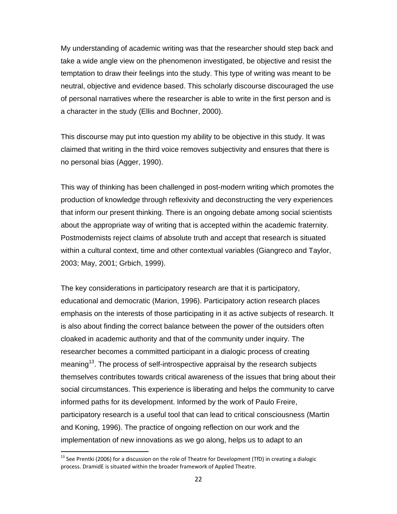My understanding of academic writing was that the researcher should step back and take a wide angle view on the phenomenon investigated, be objective and resist the temptation to draw their feelings into the study. This type of writing was meant to be neutral, objective and evidence based. This scholarly discourse discouraged the use of personal narratives where the researcher is able to write in the first person and is a character in the study (Ellis and Bochner, 2000).

This discourse may put into question my ability to be objective in this study. It was claimed that writing in the third voice removes subjectivity and ensures that there is no personal bias (Agger, 1990).

This way of thinking has been challenged in post-modern writing which promotes the production of knowledge through reflexivity and deconstructing the very experiences that inform our present thinking. There is an ongoing debate among social scientists about the appropriate way of writing that is accepted within the academic fraternity. Postmodernists reject claims of absolute truth and accept that research is situated within a cultural context, time and other contextual variables (Giangreco and Taylor, 2003; May, 2001; Grbich, 1999).

The key considerations in participatory research are that it is participatory, educational and democratic (Marion, 1996). Participatory action research places emphasis on the interests of those participating in it as active subjects of research. It is also about finding the correct balance between the power of the outsiders often cloaked in academic authority and that of the community under inquiry. The researcher becomes a committed participant in a dialogic process of creating meaning<sup>13</sup>. The process of self-introspective appraisal by the research subjects themselves contributes towards critical awareness of the issues that bring about their social circumstances. This experience is liberating and helps the community to carve informed paths for its development. Informed by the work of Paulo Freire, participatory research is a useful tool that can lead to critical consciousness (Martin and Koning, 1996). The practice of ongoing reflection on our work and the implementation of new innovations as we go along, helps us to adapt to an

<sup>&</sup>lt;sup>13</sup> See Prentki (2006) for a discussion on the role of Theatre for Development (TfD) in creating a dialogic process. DramidE is situated within the broader framework of Applied Theatre.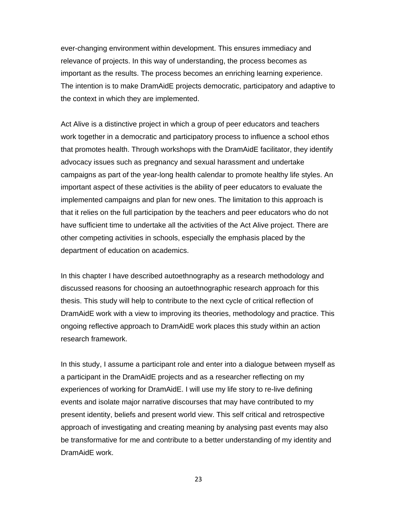ever-changing environment within development. This ensures immediacy and relevance of projects. In this way of understanding, the process becomes as important as the results. The process becomes an enriching learning experience. The intention is to make DramAidE projects democratic, participatory and adaptive to the context in which they are implemented.

Act Alive is a distinctive project in which a group of peer educators and teachers work together in a democratic and participatory process to influence a school ethos that promotes health. Through workshops with the DramAidE facilitator, they identify advocacy issues such as pregnancy and sexual harassment and undertake campaigns as part of the year-long health calendar to promote healthy life styles. An important aspect of these activities is the ability of peer educators to evaluate the implemented campaigns and plan for new ones. The limitation to this approach is that it relies on the full participation by the teachers and peer educators who do not have sufficient time to undertake all the activities of the Act Alive project. There are other competing activities in schools, especially the emphasis placed by the department of education on academics.

In this chapter I have described autoethnography as a research methodology and discussed reasons for choosing an autoethnographic research approach for this thesis. This study will help to contribute to the next cycle of critical reflection of DramAidE work with a view to improving its theories, methodology and practice. This ongoing reflective approach to DramAidE work places this study within an action research framework.

In this study, I assume a participant role and enter into a dialogue between myself as a participant in the DramAidE projects and as a researcher reflecting on my experiences of working for DramAidE. I will use my life story to re-live defining events and isolate major narrative discourses that may have contributed to my present identity, beliefs and present world view. This self critical and retrospective approach of investigating and creating meaning by analysing past events may also be transformative for me and contribute to a better understanding of my identity and DramAidE work.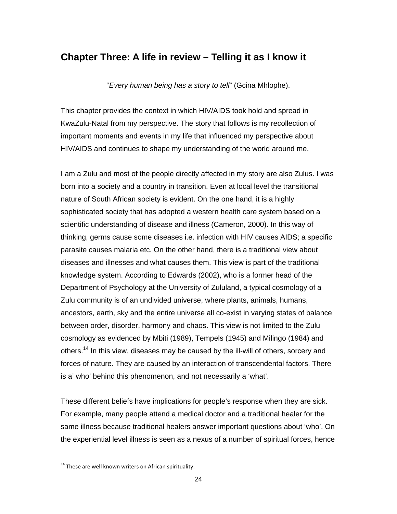# **Chapter Three: A life in review – Telling it as I know it**

"*Every human being has a story to tell*" (Gcina Mhlophe).

This chapter provides the context in which HIV/AIDS took hold and spread in KwaZulu-Natal from my perspective. The story that follows is my recollection of important moments and events in my life that influenced my perspective about HIV/AIDS and continues to shape my understanding of the world around me.

I am a Zulu and most of the people directly affected in my story are also Zulus. I was born into a society and a country in transition. Even at local level the transitional nature of South African society is evident. On the one hand, it is a highly sophisticated society that has adopted a western health care system based on a scientific understanding of disease and illness (Cameron, 2000). In this way of thinking, germs cause some diseases i.e. infection with HIV causes AIDS; a specific parasite causes malaria etc. On the other hand, there is a traditional view about diseases and illnesses and what causes them. This view is part of the traditional knowledge system. According to Edwards (2002), who is a former head of the Department of Psychology at the University of Zululand, a typical cosmology of a Zulu community is of an undivided universe, where plants, animals, humans, ancestors, earth, sky and the entire universe all co-exist in varying states of balance between order, disorder, harmony and chaos. This view is not limited to the Zulu cosmology as evidenced by Mbiti (1989), Tempels (1945) and Milingo (1984) and others.<sup>14</sup> In this view, diseases may be caused by the ill-will of others, sorcery and forces of nature. They are caused by an interaction of transcendental factors. There is a' who' behind this phenomenon, and not necessarily a 'what'.

These different beliefs have implications for people's response when they are sick. For example, many people attend a medical doctor and a traditional healer for the same illness because traditional healers answer important questions about 'who'. On the experiential level illness is seen as a nexus of a number of spiritual forces, hence

<sup>&</sup>lt;sup>14</sup> These are well known writers on African spirituality.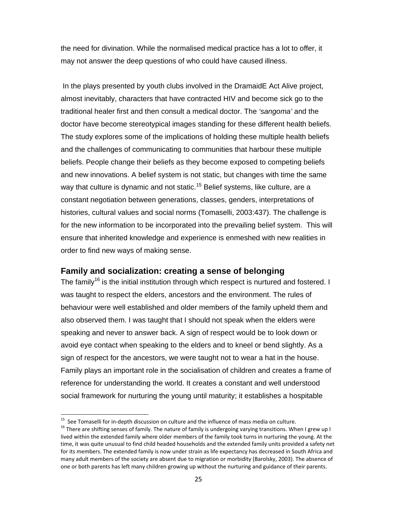the need for divination. While the normalised medical practice has a lot to offer, it may not answer the deep questions of who could have caused illness.

 In the plays presented by youth clubs involved in the DramaidE Act Alive project, almost inevitably, characters that have contracted HIV and become sick go to the traditional healer first and then consult a medical doctor. The *'sangoma'* and the doctor have become stereotypical images standing for these different health beliefs. The study explores some of the implications of holding these multiple health beliefs and the challenges of communicating to communities that harbour these multiple beliefs. People change their beliefs as they become exposed to competing beliefs and new innovations. A belief system is not static, but changes with time the same way that culture is dynamic and not static.<sup>15</sup> Belief systems, like culture, are a constant negotiation between generations, classes, genders, interpretations of histories, cultural values and social norms (Tomaselli, 2003:437). The challenge is for the new information to be incorporated into the prevailing belief system. This will ensure that inherited knowledge and experience is enmeshed with new realities in order to find new ways of making sense.

## **Family and socialization: creating a sense of belonging**

The family<sup>16</sup> is the initial institution through which respect is nurtured and fostered. I was taught to respect the elders, ancestors and the environment. The rules of behaviour were well established and older members of the family upheld them and also observed them. I was taught that I should not speak when the elders were speaking and never to answer back. A sign of respect would be to look down or avoid eye contact when speaking to the elders and to kneel or bend slightly. As a sign of respect for the ancestors, we were taught not to wear a hat in the house. Family plays an important role in the socialisation of children and creates a frame of reference for understanding the world. It creates a constant and well understood social framework for nurturing the young until maturity; it establishes a hospitable

<sup>&</sup>lt;sup>15</sup> See Tomaselli for in-depth discussion on culture and the influence of mass media on culture.

<sup>&</sup>lt;sup>16</sup> There are shifting senses of family. The nature of family is undergoing varying transitions. When I grew up I lived within the extended family where older members of the family took turns in nurturing the young. At the time, it was quite unusual to find child headed households and the extended family units provided a safety net for its members. The extended family is now under strain as life expectancy has decreased in South Africa and many adult members of the society are absent due to migration or morbidity (Barolsky, 2003). The absence of one or both parents has left many children growing up without the nurturing and guidance of their parents.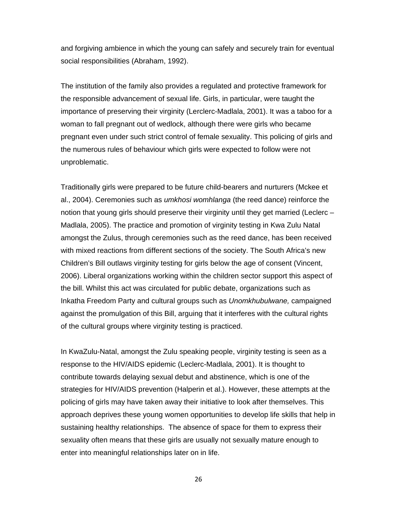and forgiving ambience in which the young can safely and securely train for eventual social responsibilities (Abraham, 1992).

The institution of the family also provides a regulated and protective framework for the responsible advancement of sexual life. Girls, in particular, were taught the importance of preserving their virginity (Lerclerc-Madlala, 2001). It was a taboo for a woman to fall pregnant out of wedlock, although there were girls who became pregnant even under such strict control of female sexuality. This policing of girls and the numerous rules of behaviour which girls were expected to follow were not unproblematic.

Traditionally girls were prepared to be future child-bearers and nurturers (Mckee et al., 2004). Ceremonies such as *umkhosi womhlanga* (the reed dance) reinforce the notion that young girls should preserve their virginity until they get married (Leclerc – Madlala, 2005). The practice and promotion of virginity testing in Kwa Zulu Natal amongst the Zulus, through ceremonies such as the reed dance, has been received with mixed reactions from different sections of the society. The South Africa's new Children's Bill outlaws virginity testing for girls below the age of consent (Vincent, 2006). Liberal organizations working within the children sector support this aspect of the bill. Whilst this act was circulated for public debate, organizations such as Inkatha Freedom Party and cultural groups such as *Unomkhubulwane,* campaigned against the promulgation of this Bill, arguing that it interferes with the cultural rights of the cultural groups where virginity testing is practiced.

In KwaZulu-Natal, amongst the Zulu speaking people, virginity testing is seen as a response to the HIV/AIDS epidemic (Leclerc-Madlala, 2001). It is thought to contribute towards delaying sexual debut and abstinence, which is one of the strategies for HIV/AIDS prevention (Halperin et al.). However, these attempts at the policing of girls may have taken away their initiative to look after themselves. This approach deprives these young women opportunities to develop life skills that help in sustaining healthy relationships. The absence of space for them to express their sexuality often means that these girls are usually not sexually mature enough to enter into meaningful relationships later on in life.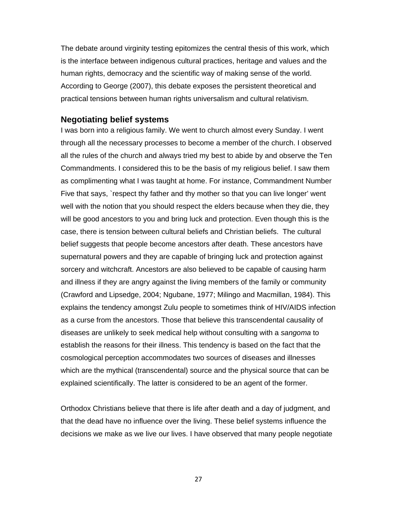The debate around virginity testing epitomizes the central thesis of this work, which is the interface between indigenous cultural practices, heritage and values and the human rights, democracy and the scientific way of making sense of the world. According to George (2007), this debate exposes the persistent theoretical and practical tensions between human rights universalism and cultural relativism.

#### **Negotiating belief systems**

I was born into a religious family. We went to church almost every Sunday. I went through all the necessary processes to become a member of the church. I observed all the rules of the church and always tried my best to abide by and observe the Ten Commandments. I considered this to be the basis of my religious belief. I saw them as complimenting what I was taught at home. For instance, Commandment Number Five that says, `respect thy father and thy mother so that you can live longer' went well with the notion that you should respect the elders because when they die, they will be good ancestors to you and bring luck and protection. Even though this is the case, there is tension between cultural beliefs and Christian beliefs. The cultural belief suggests that people become ancestors after death. These ancestors have supernatural powers and they are capable of bringing luck and protection against sorcery and witchcraft. Ancestors are also believed to be capable of causing harm and illness if they are angry against the living members of the family or community (Crawford and Lipsedge, 2004; Ngubane, 1977; Milingo and Macmillan, 1984). This explains the tendency amongst Zulu people to sometimes think of HIV/AIDS infection as a curse from the ancestors. Those that believe this transcendental causality of diseases are unlikely to seek medical help without consulting with a *sangoma* to establish the reasons for their illness. This tendency is based on the fact that the cosmological perception accommodates two sources of diseases and illnesses which are the mythical (transcendental) source and the physical source that can be explained scientifically. The latter is considered to be an agent of the former.

Orthodox Christians believe that there is life after death and a day of judgment, and that the dead have no influence over the living. These belief systems influence the decisions we make as we live our lives. I have observed that many people negotiate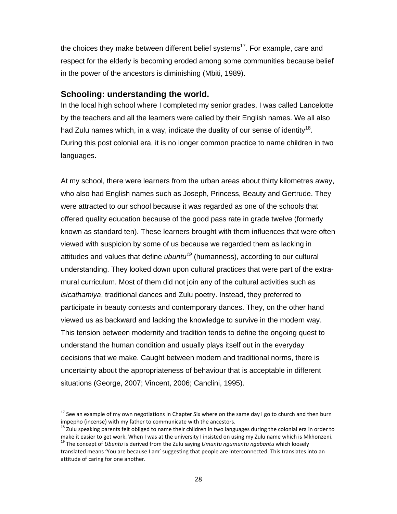the choices they make between different belief systems<sup>17</sup>. For example, care and respect for the elderly is becoming eroded among some communities because belief in the power of the ancestors is diminishing (Mbiti, 1989).

#### **Schooling: understanding the world.**

In the local high school where I completed my senior grades, I was called Lancelotte by the teachers and all the learners were called by their English names. We all also had Zulu names which, in a way, indicate the duality of our sense of identity<sup>18</sup>. During this post colonial era, it is no longer common practice to name children in two languages.

At my school, there were learners from the urban areas about thirty kilometres away, who also had English names such as Joseph, Princess, Beauty and Gertrude. They were attracted to our school because it was regarded as one of the schools that offered quality education because of the good pass rate in grade twelve (formerly known as standard ten). These learners brought with them influences that were often viewed with suspicion by some of us because we regarded them as lacking in attitudes and values that define *ubuntu<sup>19</sup>* (humanness), according to our cultural understanding. They looked down upon cultural practices that were part of the extramural curriculum. Most of them did not join any of the cultural activities such as *isicathamiya*, traditional dances and Zulu poetry. Instead, they preferred to participate in beauty contests and contemporary dances. They, on the other hand viewed us as backward and lacking the knowledge to survive in the modern way. This tension between modernity and tradition tends to define the ongoing quest to understand the human condition and usually plays itself out in the everyday decisions that we make. Caught between modern and traditional norms, there is uncertainty about the appropriateness of behaviour that is acceptable in different situations (George, 2007; Vincent, 2006; Canclini, 1995).

 $^{17}$  See an example of my own negotiations in Chapter Six where on the same day I go to church and then burn

impepho (incense) with my father to communicate with the ancestors.<br><sup>18</sup> Zulu speaking parents felt obliged to name their children in two languages during the colonial era in order to<br>make it easier to get work. When I wa

<sup>&</sup>lt;sup>19</sup> The concept of Ubuntu is derived from the Zulu saying Umuntu ngumuntu ngabantu which loosely translated means 'You are because I am' suggesting that people are interconnected. This translates into an attitude of caring for one another.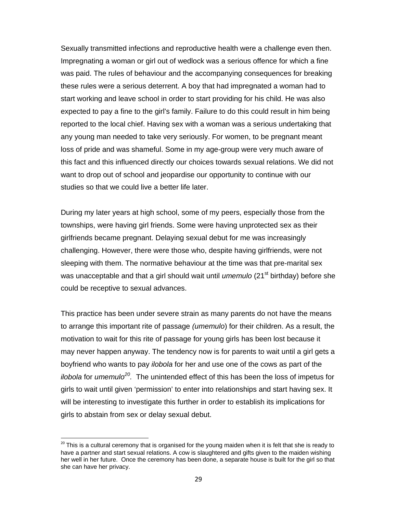Sexually transmitted infections and reproductive health were a challenge even then. Impregnating a woman or girl out of wedlock was a serious offence for which a fine was paid. The rules of behaviour and the accompanying consequences for breaking these rules were a serious deterrent. A boy that had impregnated a woman had to start working and leave school in order to start providing for his child. He was also expected to pay a fine to the girl's family. Failure to do this could result in him being reported to the local chief. Having sex with a woman was a serious undertaking that any young man needed to take very seriously. For women, to be pregnant meant loss of pride and was shameful. Some in my age-group were very much aware of this fact and this influenced directly our choices towards sexual relations. We did not want to drop out of school and jeopardise our opportunity to continue with our studies so that we could live a better life later.

During my later years at high school, some of my peers, especially those from the townships, were having girl friends. Some were having unprotected sex as their girlfriends became pregnant. Delaying sexual debut for me was increasingly challenging. However, there were those who, despite having girlfriends, were not sleeping with them. The normative behaviour at the time was that pre-marital sex was unacceptable and that a girl should wait until *umemulo* (21<sup>st</sup> birthday) before she could be receptive to sexual advances.

This practice has been under severe strain as many parents do not have the means to arrange this important rite of passage *(umemulo*) for their children. As a result, the motivation to wait for this rite of passage for young girls has been lost because it may never happen anyway. The tendency now is for parents to wait until a girl gets a boyfriend who wants to pay *ilobola* for her and use one of the cows as part of the *ilobola* for *umemulo20.* The unintended effect of this has been the loss of impetus for girls to wait until given 'permission' to enter into relationships and start having sex. It will be interesting to investigate this further in order to establish its implications for girls to abstain from sex or delay sexual debut.

 $20$  This is a cultural ceremony that is organised for the young maiden when it is felt that she is ready to have a partner and start sexual relations. A cow is slaughtered and gifts given to the maiden wishing her well in her future. Once the ceremony has been done, a separate house is built for the girl so that she can have her privacy.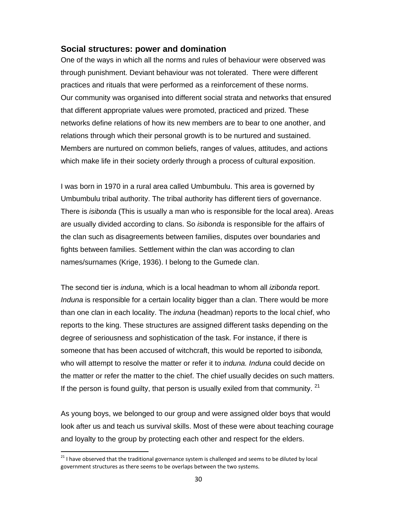## **Social structures: power and domination**

One of the ways in which all the norms and rules of behaviour were observed was through punishment. Deviant behaviour was not tolerated. There were different practices and rituals that were performed as a reinforcement of these norms. Our community was organised into different social strata and networks that ensured that different appropriate values were promoted, practiced and prized. These networks define relations of how its new members are to bear to one another, and relations through which their personal growth is to be nurtured and sustained. Members are nurtured on common beliefs, ranges of values, attitudes, and actions which make life in their society orderly through a process of cultural exposition.

I was born in 1970 in a rural area called Umbumbulu. This area is governed by Umbumbulu tribal authority. The tribal authority has different tiers of governance. There is *isibonda* (This is usually a man who is responsible for the local area). Areas are usually divided according to clans. So *isibonda* is responsible for the affairs of the clan such as disagreements between families, disputes over boundaries and fights between families. Settlement within the clan was according to clan names/surnames (Krige, 1936). I belong to the Gumede clan.

The second tier is *induna,* which is a local headman to whom all *izibonda* report. *Induna* is responsible for a certain locality bigger than a clan. There would be more than one clan in each locality. The *induna* (headman) reports to the local chief, who reports to the king. These structures are assigned different tasks depending on the degree of seriousness and sophistication of the task. For instance, if there is someone that has been accused of witchcraft, this would be reported to i*sibonda,* who will attempt to resolve the matter or refer it to *induna. Induna* could decide on the matter or refer the matter to the chief. The chief usually decides on such matters. If the person is found guilty, that person is usually exiled from that community.  $21$ 

As young boys, we belonged to our group and were assigned older boys that would look after us and teach us survival skills. Most of these were about teaching courage and loyalty to the group by protecting each other and respect for the elders.

<sup>&</sup>lt;sup>21</sup> I have observed that the traditional governance system is challenged and seems to be diluted by local government structures as there seems to be overlaps between the two systems.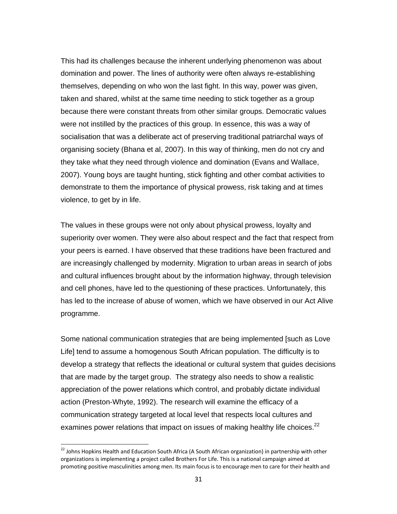This had its challenges because the inherent underlying phenomenon was about domination and power. The lines of authority were often always re-establishing themselves, depending on who won the last fight. In this way, power was given, taken and shared, whilst at the same time needing to stick together as a group because there were constant threats from other similar groups. Democratic values were not instilled by the practices of this group. In essence, this was a way of socialisation that was a deliberate act of preserving traditional patriarchal ways of organising society (Bhana et al, 2007). In this way of thinking, men do not cry and they take what they need through violence and domination (Evans and Wallace, 2007). Young boys are taught hunting, stick fighting and other combat activities to demonstrate to them the importance of physical prowess, risk taking and at times violence, to get by in life.

The values in these groups were not only about physical prowess, loyalty and superiority over women. They were also about respect and the fact that respect from your peers is earned. I have observed that these traditions have been fractured and are increasingly challenged by modernity. Migration to urban areas in search of jobs and cultural influences brought about by the information highway, through television and cell phones, have led to the questioning of these practices. Unfortunately, this has led to the increase of abuse of women, which we have observed in our Act Alive programme.

Some national communication strategies that are being implemented [such as Love Life] tend to assume a homogenous South African population. The difficulty is to develop a strategy that reflects the ideational or cultural system that guides decisions that are made by the target group. The strategy also needs to show a realistic appreciation of the power relations which control, and probably dictate individual action (Preston-Whyte, 1992). The research will examine the efficacy of a communication strategy targeted at local level that respects local cultures and examines power relations that impact on issues of making healthy life choices.<sup>22</sup>

 $^{22}$  Johns Hopkins Health and Education South Africa (A South African organization) in partnership with other organizations is implementing a project called Brothers For Life. This is a national campaign aimed at promoting positive masculinities among men. Its main focus is to encourage men to care for their health and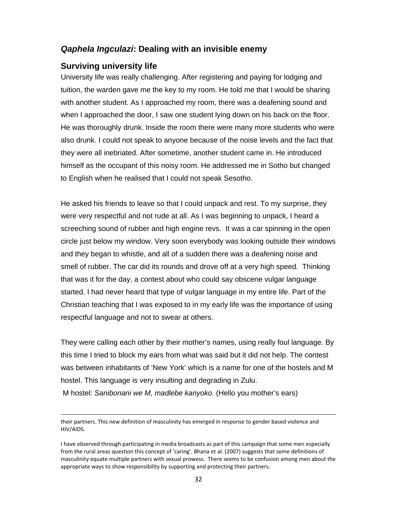## *Qaphela Ingculazi***: Dealing with an invisible enemy**

### **Surviving university life**

University life was really challenging. After registering and paying for lodging and tuition, the warden gave me the key to my room. He told me that I would be sharing with another student. As I approached my room, there was a deafening sound and when I approached the door, I saw one student lying down on his back on the floor. He was thoroughly drunk. Inside the room there were many more students who were also drunk. I could not speak to anyone because of the noise levels and the fact that they were all inebriated. After sometime, another student came in. He introduced himself as the occupant of this noisy room. He addressed me in Sotho but changed to English when he realised that I could not speak Sesotho.

He asked his friends to leave so that I could unpack and rest. To my surprise, they were very respectful and not rude at all. As I was beginning to unpack, I heard a screeching sound of rubber and high engine revs. It was a car spinning in the open circle just below my window. Very soon everybody was looking outside their windows and they began to whistle, and all of a sudden there was a deafening noise and smell of rubber. The car did its rounds and drove off at a very high speed. Thinking that was it for the day, a contest about who could say obscene vulgar language started. I had never heard that type of vulgar language in my entire life. Part of the Christian teaching that I was exposed to in my early life was the importance of using respectful language and not to swear at others.

They were calling each other by their mother's names, using really foul language. By this time I tried to block my ears from what was said but it did not help. The contest was between inhabitants of 'New York' which is a name for one of the hostels and M hostel. This language is very insulting and degrading in Zulu.

M hostel: *Sanibonani we M, madlebe kanyoko*. (Hello you mother's ears)

<u> Andreas Andrews Andrews Andrews Andrews Andrews Andrews Andrews Andrews Andrews Andrews Andrews Andrews Andr</u>

their partners. This new definition of masculinity has emerged in response to gender based violence and HIV/AIDS.

I have observed through participating in media broadcasts as part of this campaign that some men especially from the rural areas question this concept of 'caring'. Bhana et al. (2007) suggests that some definitions of masculinity equate multiple partners with sexual prowess. There seems to be confusion among men about the appropriate ways to show responsibility by supporting and protecting their partners.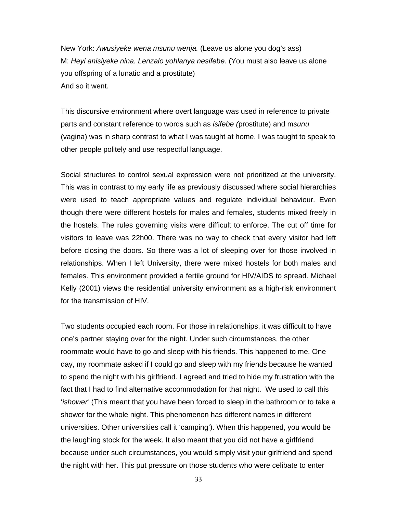New York: *Awusiyeke wena msunu wenja.* (Leave us alone you dog's ass) M: *Heyi anisiyeke nina. Lenzalo yohlanya nesifebe*. (You must also leave us alone you offspring of a lunatic and a prostitute) And so it went.

This discursive environment where overt language was used in reference to private parts and constant reference to words such as *isifebe (*prostitute) and m*sunu* (vagina) was in sharp contrast to what I was taught at home. I was taught to speak to other people politely and use respectful language.

Social structures to control sexual expression were not prioritized at the university. This was in contrast to my early life as previously discussed where social hierarchies were used to teach appropriate values and regulate individual behaviour. Even though there were different hostels for males and females, students mixed freely in the hostels. The rules governing visits were difficult to enforce. The cut off time for visitors to leave was 22h00. There was no way to check that every visitor had left before closing the doors. So there was a lot of sleeping over for those involved in relationships. When I left University, there were mixed hostels for both males and females. This environment provided a fertile ground for HIV/AIDS to spread. Michael Kelly (2001) views the residential university environment as a high-risk environment for the transmission of HIV.

Two students occupied each room. For those in relationships, it was difficult to have one's partner staying over for the night. Under such circumstances, the other roommate would have to go and sleep with his friends. This happened to me. One day, my roommate asked if I could go and sleep with my friends because he wanted to spend the night with his girlfriend. I agreed and tried to hide my frustration with the fact that I had to find alternative accommodation for that night. We used to call this '*ishower'* (This meant that you have been forced to sleep in the bathroom or to take a shower for the whole night. This phenomenon has different names in different universities. Other universities call it 'camping'). When this happened, you would be the laughing stock for the week. It also meant that you did not have a girlfriend because under such circumstances, you would simply visit your girlfriend and spend the night with her. This put pressure on those students who were celibate to enter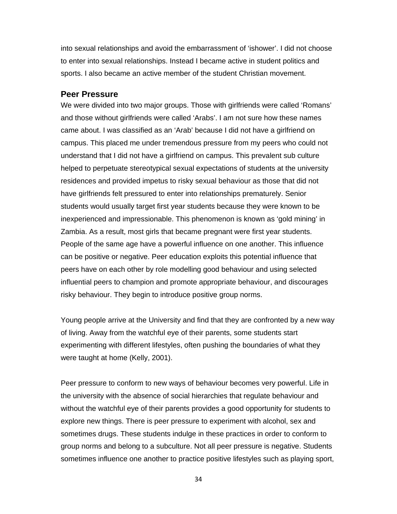into sexual relationships and avoid the embarrassment of 'ishower'. I did not choose to enter into sexual relationships. Instead I became active in student politics and sports. I also became an active member of the student Christian movement.

#### **Peer Pressure**

We were divided into two major groups. Those with girlfriends were called 'Romans' and those without girlfriends were called 'Arabs'. I am not sure how these names came about. I was classified as an 'Arab' because I did not have a girlfriend on campus. This placed me under tremendous pressure from my peers who could not understand that I did not have a girlfriend on campus. This prevalent sub culture helped to perpetuate stereotypical sexual expectations of students at the university residences and provided impetus to risky sexual behaviour as those that did not have girlfriends felt pressured to enter into relationships prematurely. Senior students would usually target first year students because they were known to be inexperienced and impressionable. This phenomenon is known as 'gold mining' in Zambia. As a result, most girls that became pregnant were first year students. People of the same age have a powerful influence on one another. This influence can be positive or negative. Peer education exploits this potential influence that peers have on each other by role modelling good behaviour and using selected influential peers to champion and promote appropriate behaviour, and discourages risky behaviour. They begin to introduce positive group norms.

Young people arrive at the University and find that they are confronted by a new way of living. Away from the watchful eye of their parents, some students start experimenting with different lifestyles, often pushing the boundaries of what they were taught at home (Kelly, 2001).

Peer pressure to conform to new ways of behaviour becomes very powerful. Life in the university with the absence of social hierarchies that regulate behaviour and without the watchful eye of their parents provides a good opportunity for students to explore new things. There is peer pressure to experiment with alcohol, sex and sometimes drugs. These students indulge in these practices in order to conform to group norms and belong to a subculture. Not all peer pressure is negative. Students sometimes influence one another to practice positive lifestyles such as playing sport,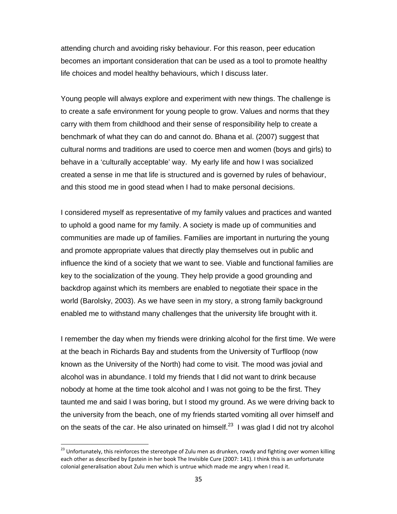attending church and avoiding risky behaviour. For this reason, peer education becomes an important consideration that can be used as a tool to promote healthy life choices and model healthy behaviours, which I discuss later.

Young people will always explore and experiment with new things. The challenge is to create a safe environment for young people to grow. Values and norms that they carry with them from childhood and their sense of responsibility help to create a benchmark of what they can do and cannot do. Bhana et al. (2007) suggest that cultural norms and traditions are used to coerce men and women (boys and girls) to behave in a 'culturally acceptable' way. My early life and how I was socialized created a sense in me that life is structured and is governed by rules of behaviour, and this stood me in good stead when I had to make personal decisions.

I considered myself as representative of my family values and practices and wanted to uphold a good name for my family. A society is made up of communities and communities are made up of families. Families are important in nurturing the young and promote appropriate values that directly play themselves out in public and influence the kind of a society that we want to see. Viable and functional families are key to the socialization of the young. They help provide a good grounding and backdrop against which its members are enabled to negotiate their space in the world (Barolsky, 2003). As we have seen in my story, a strong family background enabled me to withstand many challenges that the university life brought with it.

I remember the day when my friends were drinking alcohol for the first time. We were at the beach in Richards Bay and students from the University of Turflloop (now known as the University of the North) had come to visit. The mood was jovial and alcohol was in abundance. I told my friends that I did not want to drink because nobody at home at the time took alcohol and I was not going to be the first. They taunted me and said I was boring, but I stood my ground. As we were driving back to the university from the beach, one of my friends started vomiting all over himself and on the seats of the car. He also urinated on himself.<sup>23</sup> I was glad I did not try alcohol

<sup>&</sup>lt;sup>23</sup> Unfortunately, this reinforces the stereotype of Zulu men as drunken, rowdy and fighting over women killing each other as described by Epstein in her book The Invisible Cure (2007: 141). I think this is an unfortunate colonial generalisation about Zulu men which is untrue which made me angry when I read it.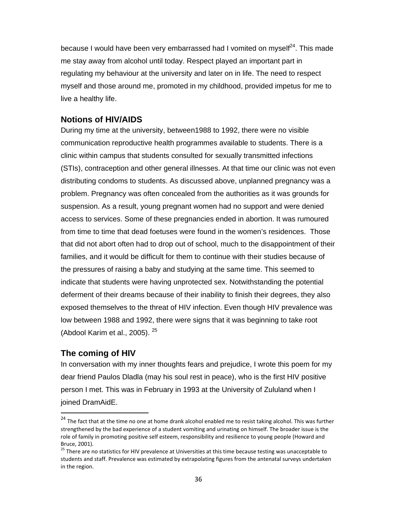because I would have been very embarrassed had I vomited on myself<sup>24</sup>. This made me stay away from alcohol until today. Respect played an important part in regulating my behaviour at the university and later on in life. The need to respect myself and those around me, promoted in my childhood, provided impetus for me to live a healthy life.

## **Notions of HIV/AIDS**

During my time at the university, between1988 to 1992, there were no visible communication reproductive health programmes available to students. There is a clinic within campus that students consulted for sexually transmitted infections (STIs), contraception and other general illnesses. At that time our clinic was not even distributing condoms to students. As discussed above, unplanned pregnancy was a problem. Pregnancy was often concealed from the authorities as it was grounds for suspension. As a result, young pregnant women had no support and were denied access to services. Some of these pregnancies ended in abortion. It was rumoured from time to time that dead foetuses were found in the women's residences. Those that did not abort often had to drop out of school, much to the disappointment of their families, and it would be difficult for them to continue with their studies because of the pressures of raising a baby and studying at the same time. This seemed to indicate that students were having unprotected sex. Notwithstanding the potential deferment of their dreams because of their inability to finish their degrees, they also exposed themselves to the threat of HIV infection. Even though HIV prevalence was low between 1988 and 1992, there were signs that it was beginning to take root (Abdool Karim et al., 2005). <sup>25</sup>

## **The coming of HIV**

In conversation with my inner thoughts fears and prejudice, I wrote this poem for my dear friend Paulos Dladla (may his soul rest in peace), who is the first HIV positive person I met. This was in February in 1993 at the University of Zululand when I joined DramAidE.

<sup>&</sup>lt;sup>24</sup> The fact that at the time no one at home drank alcohol enabled me to resist taking alcohol. This was further strengthened by the bad experience of a student vomiting and urinating on himself. The broader issue is the role of family in promoting positive self esteem, responsibility and resilience to young people (Howard and Bruce, 2001).<br><sup>25</sup> There are no statistics for HIV prevalence at Universities at this time because testing was unacceptable to

students and staff. Prevalence was estimated by extrapolating figures from the antenatal surveys undertaken in the region.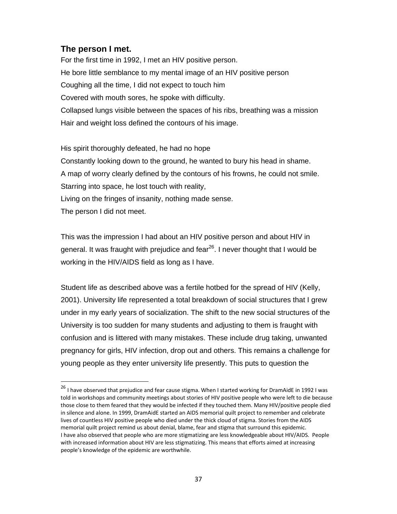## **The person I met.**

For the first time in 1992, I met an HIV positive person. He bore little semblance to my mental image of an HIV positive person Coughing all the time, I did not expect to touch him Covered with mouth sores, he spoke with difficulty. Collapsed lungs visible between the spaces of his ribs, breathing was a mission Hair and weight loss defined the contours of his image.

His spirit thoroughly defeated, he had no hope Constantly looking down to the ground, he wanted to bury his head in shame. A map of worry clearly defined by the contours of his frowns, he could not smile. Starring into space, he lost touch with reality, Living on the fringes of insanity, nothing made sense. The person I did not meet.

This was the impression I had about an HIV positive person and about HIV in general. It was fraught with prejudice and fear<sup>26</sup>. I never thought that I would be working in the HIV/AIDS field as long as I have.

Student life as described above was a fertile hotbed for the spread of HIV (Kelly, 2001). University life represented a total breakdown of social structures that I grew under in my early years of socialization. The shift to the new social structures of the University is too sudden for many students and adjusting to them is fraught with confusion and is littered with many mistakes. These include drug taking, unwanted pregnancy for girls, HIV infection, drop out and others. This remains a challenge for young people as they enter university life presently. This puts to question the

<sup>&</sup>lt;sup>26</sup> I have observed that prejudice and fear cause stigma. When I started working for DramAidE in 1992 I was told in workshops and community meetings about stories of HIV positive people who were left to die because those close to them feared that they would be infected if they touched them. Many HIV/positive people died in silence and alone. In 1999, DramAidE started an AIDS memorial quilt project to remember and celebrate lives of countless HIV positive people who died under the thick cloud of stigma. Stories from the AIDS memorial quilt project remind us about denial, blame, fear and stigma that surround this epidemic. I have also observed that people who are more stigmatizing are less knowledgeable about HIV/AIDS. People with increased information about HIV are less stigmatizing. This means that efforts aimed at increasing people's knowledge of the epidemic are worthwhile.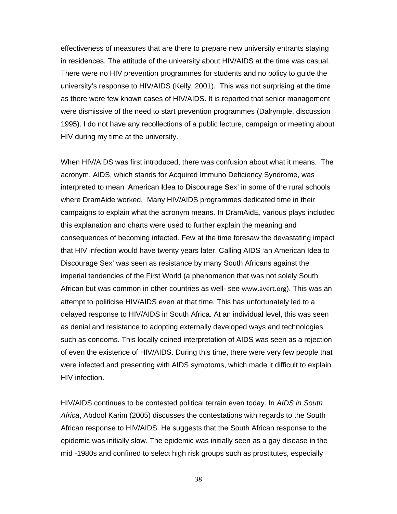effectiveness of measures that are there to prepare new university entrants staying in residences. The attitude of the university about HIV/AIDS at the time was casual. There were no HIV prevention programmes for students and no policy to guide the university's response to HIV/AIDS (Kelly, 2001). This was not surprising at the time as there were few known cases of HIV/AIDS. It is reported that senior management were dismissive of the need to start prevention programmes (Dalrymple, discussion 1995). I do not have any recollections of a public lecture, campaign or meeting about HIV during my time at the university.

When HIV/AIDS was first introduced, there was confusion about what it means. The acronym, AIDS, which stands for Acquired Immuno Deficiency Syndrome, was interpreted to mean '**A**merican **I**dea to **D**iscourage **S**ex' in some of the rural schools where DramAide worked. Many HIV/AIDS programmes dedicated time in their campaigns to explain what the acronym means. In DramAidE, various plays included this explanation and charts were used to further explain the meaning and consequences of becoming infected. Few at the time foresaw the devastating impact that HIV infection would have twenty years later. Calling AIDS 'an American Idea to Discourage Sex' was seen as resistance by many South Africans against the imperial tendencies of the First World (a phenomenon that was not solely South African but was common in other countries as well- see www.avert.org). This was an attempt to politicise HIV/AIDS even at that time. This has unfortunately led to a delayed response to HIV/AIDS in South Africa. At an individual level, this was seen as denial and resistance to adopting externally developed ways and technologies such as condoms. This locally coined interpretation of AIDS was seen as a rejection of even the existence of HIV/AIDS. During this time, there were very few people that were infected and presenting with AIDS symptoms, which made it difficult to explain HIV infection.

HIV/AIDS continues to be contested political terrain even today. In *AIDS in South Africa*, Abdool Karim (2005) discusses the contestations with regards to the South African response to HIV/AIDS. He suggests that the South African response to the epidemic was initially slow. The epidemic was initially seen as a gay disease in the mid -1980s and confined to select high risk groups such as prostitutes, especially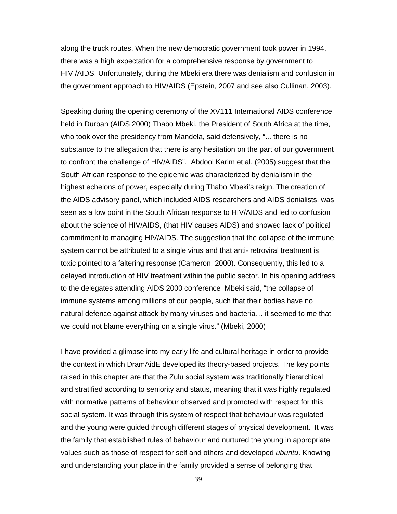along the truck routes. When the new democratic government took power in 1994, there was a high expectation for a comprehensive response by government to HIV /AIDS. Unfortunately, during the Mbeki era there was denialism and confusion in the government approach to HIV/AIDS (Epstein, 2007 and see also Cullinan, 2003).

Speaking during the opening ceremony of the XV111 International AIDS conference held in Durban (AIDS 2000) Thabo Mbeki, the President of South Africa at the time, who took over the presidency from Mandela, said defensively, "... there is no substance to the allegation that there is any hesitation on the part of our government to confront the challenge of HIV/AIDS". Abdool Karim et al. (2005) suggest that the South African response to the epidemic was characterized by denialism in the highest echelons of power, especially during Thabo Mbeki's reign. The creation of the AIDS advisory panel, which included AIDS researchers and AIDS denialists, was seen as a low point in the South African response to HIV/AIDS and led to confusion about the science of HIV/AIDS, (that HIV causes AIDS) and showed lack of political commitment to managing HIV/AIDS. The suggestion that the collapse of the immune system cannot be attributed to a single virus and that anti- retroviral treatment is toxic pointed to a faltering response (Cameron, 2000). Consequently, this led to a delayed introduction of HIV treatment within the public sector. In his opening address to the delegates attending AIDS 2000 conference Mbeki said, "the collapse of immune systems among millions of our people, such that their bodies have no natural defence against attack by many viruses and bacteria… it seemed to me that we could not blame everything on a single virus." (Mbeki, 2000)

I have provided a glimpse into my early life and cultural heritage in order to provide the context in which DramAidE developed its theory-based projects. The key points raised in this chapter are that the Zulu social system was traditionally hierarchical and stratified according to seniority and status, meaning that it was highly regulated with normative patterns of behaviour observed and promoted with respect for this social system. It was through this system of respect that behaviour was regulated and the young were guided through different stages of physical development. It was the family that established rules of behaviour and nurtured the young in appropriate values such as those of respect for self and others and developed *ubuntu*. Knowing and understanding your place in the family provided a sense of belonging that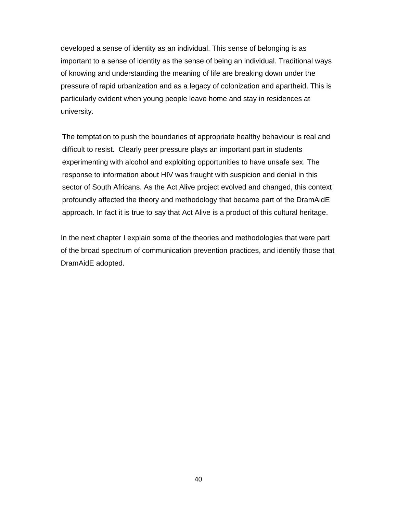developed a sense of identity as an individual. This sense of belonging is as important to a sense of identity as the sense of being an individual. Traditional ways of knowing and understanding the meaning of life are breaking down under the pressure of rapid urbanization and as a legacy of colonization and apartheid. This is particularly evident when young people leave home and stay in residences at university.

The temptation to push the boundaries of appropriate healthy behaviour is real and difficult to resist. Clearly peer pressure plays an important part in students experimenting with alcohol and exploiting opportunities to have unsafe sex. The response to information about HIV was fraught with suspicion and denial in this sector of South Africans. As the Act Alive project evolved and changed, this context profoundly affected the theory and methodology that became part of the DramAidE approach. In fact it is true to say that Act Alive is a product of this cultural heritage.

In the next chapter I explain some of the theories and methodologies that were part of the broad spectrum of communication prevention practices, and identify those that DramAidE adopted.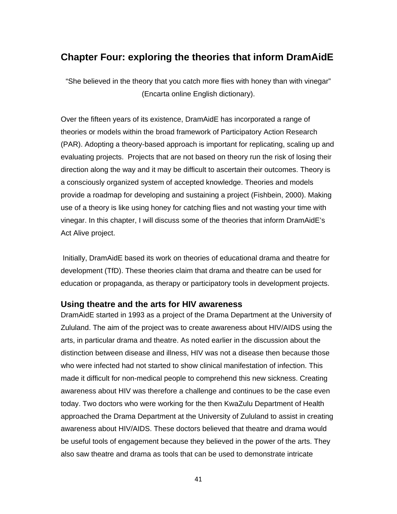# **Chapter Four: exploring the theories that inform DramAidE**

"She believed in the theory that you catch more flies with honey than with vinegar" (Encarta online English dictionary).

Over the fifteen years of its existence, DramAidE has incorporated a range of theories or models within the broad framework of Participatory Action Research (PAR). Adopting a theory-based approach is important for replicating, scaling up and evaluating projects. Projects that are not based on theory run the risk of losing their direction along the way and it may be difficult to ascertain their outcomes. Theory is a consciously organized system of accepted knowledge. Theories and models provide a roadmap for developing and sustaining a project (Fishbein, 2000). Making use of a theory is like using honey for catching flies and not wasting your time with vinegar. In this chapter, I will discuss some of the theories that inform DramAidE's Act Alive project.

 Initially, DramAidE based its work on theories of educational drama and theatre for development (TfD). These theories claim that drama and theatre can be used for education or propaganda, as therapy or participatory tools in development projects.

### **Using theatre and the arts for HIV awareness**

DramAidE started in 1993 as a project of the Drama Department at the University of Zululand. The aim of the project was to create awareness about HIV/AIDS using the arts, in particular drama and theatre. As noted earlier in the discussion about the distinction between disease and illness, HIV was not a disease then because those who were infected had not started to show clinical manifestation of infection. This made it difficult for non-medical people to comprehend this new sickness. Creating awareness about HIV was therefore a challenge and continues to be the case even today. Two doctors who were working for the then KwaZulu Department of Health approached the Drama Department at the University of Zululand to assist in creating awareness about HIV/AIDS. These doctors believed that theatre and drama would be useful tools of engagement because they believed in the power of the arts. They also saw theatre and drama as tools that can be used to demonstrate intricate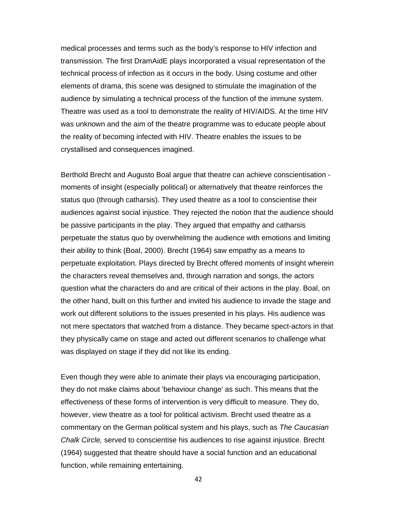medical processes and terms such as the body's response to HIV infection and transmission. The first DramAidE plays incorporated a visual representation of the technical process of infection as it occurs in the body. Using costume and other elements of drama, this scene was designed to stimulate the imagination of the audience by simulating a technical process of the function of the immune system. Theatre was used as a tool to demonstrate the reality of HIV/AIDS. At the time HIV was unknown and the aim of the theatre programme was to educate people about the reality of becoming infected with HIV. Theatre enables the issues to be crystallised and consequences imagined.

Berthold Brecht and Augusto Boal argue that theatre can achieve conscientisation moments of insight (especially political) or alternatively that theatre reinforces the status quo (through catharsis). They used theatre as a tool to conscientise their audiences against social injustice. They rejected the notion that the audience should be passive participants in the play. They argued that empathy and catharsis perpetuate the status quo by overwhelming the audience with emotions and limiting their ability to think (Boal, 2000). Brecht (1964) saw empathy as a means to perpetuate exploitation. Plays directed by Brecht offered moments of insight wherein the characters reveal themselves and, through narration and songs, the actors question what the characters do and are critical of their actions in the play. Boal, on the other hand, built on this further and invited his audience to invade the stage and work out different solutions to the issues presented in his plays. His audience was not mere spectators that watched from a distance. They became spect-actors in that they physically came on stage and acted out different scenarios to challenge what was displayed on stage if they did not like its ending.

Even though they were able to animate their plays via encouraging participation, they do not make claims about 'behaviour change' as such. This means that the effectiveness of these forms of intervention is very difficult to measure. They do, however, view theatre as a tool for political activism. Brecht used theatre as a commentary on the German political system and his plays, such as *The Caucasian Chalk Circle,* served to conscientise his audiences to rise against injustice. Brecht (1964) suggested that theatre should have a social function and an educational function, while remaining entertaining.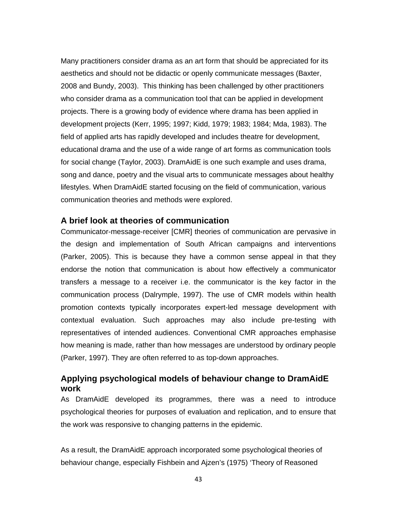Many practitioners consider drama as an art form that should be appreciated for its aesthetics and should not be didactic or openly communicate messages (Baxter, 2008 and Bundy, 2003). This thinking has been challenged by other practitioners who consider drama as a communication tool that can be applied in development projects. There is a growing body of evidence where drama has been applied in development projects (Kerr, 1995; 1997; Kidd, 1979; 1983; 1984; Mda, 1983). The field of applied arts has rapidly developed and includes theatre for development, educational drama and the use of a wide range of art forms as communication tools for social change (Taylor, 2003). DramAidE is one such example and uses drama, song and dance, poetry and the visual arts to communicate messages about healthy lifestyles. When DramAidE started focusing on the field of communication, various communication theories and methods were explored.

### **A brief look at theories of communication**

Communicator-message-receiver [CMR] theories of communication are pervasive in the design and implementation of South African campaigns and interventions (Parker, 2005). This is because they have a common sense appeal in that they endorse the notion that communication is about how effectively a communicator transfers a message to a receiver i.e. the communicator is the key factor in the communication process (Dalrymple, 1997). The use of CMR models within health promotion contexts typically incorporates expert-led message development with contextual evaluation. Such approaches may also include pre-testing with representatives of intended audiences. Conventional CMR approaches emphasise how meaning is made, rather than how messages are understood by ordinary people (Parker, 1997). They are often referred to as top-down approaches.

## **Applying psychological models of behaviour change to DramAidE work**

As DramAidE developed its programmes, there was a need to introduce psychological theories for purposes of evaluation and replication, and to ensure that the work was responsive to changing patterns in the epidemic.

As a result, the DramAidE approach incorporated some psychological theories of behaviour change, especially Fishbein and Ajzen's (1975) 'Theory of Reasoned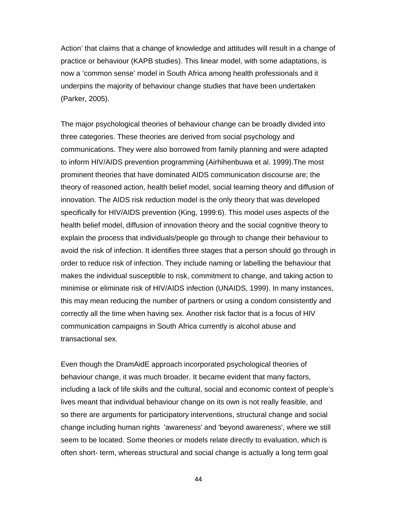Action' that claims that a change of knowledge and attitudes will result in a change of practice or behaviour (KAPB studies). This linear model, with some adaptations, is now a 'common sense' model in South Africa among health professionals and it underpins the majority of behaviour change studies that have been undertaken (Parker, 2005).

The major psychological theories of behaviour change can be broadly divided into three categories. These theories are derived from social psychology and communications. They were also borrowed from family planning and were adapted to inform HIV/AIDS prevention programming (Airhihenbuwa et al. 1999).The most prominent theories that have dominated AIDS communication discourse are; the theory of reasoned action, health belief model, social learning theory and diffusion of innovation. The AIDS risk reduction model is the only theory that was developed specifically for HIV/AIDS prevention (King, 1999:6). This model uses aspects of the health belief model, diffusion of innovation theory and the social cognitive theory to explain the process that individuals/people go through to change their behaviour to avoid the risk of infection. It identifies three stages that a person should go through in order to reduce risk of infection. They include naming or labelling the behaviour that makes the individual susceptible to risk, commitment to change, and taking action to minimise or eliminate risk of HIV/AIDS infection (UNAIDS, 1999). In many instances, this may mean reducing the number of partners or using a condom consistently and correctly all the time when having sex. Another risk factor that is a focus of HIV communication campaigns in South Africa currently is alcohol abuse and transactional sex.

Even though the DramAidE approach incorporated psychological theories of behaviour change, it was much broader. It became evident that many factors, including a lack of life skills and the cultural, social and economic context of people's lives meant that individual behaviour change on its own is not really feasible, and so there are arguments for participatory interventions, structural change and social change including human rights 'awareness' and 'beyond awareness', where we still seem to be located. Some theories or models relate directly to evaluation, which is often short- term, whereas structural and social change is actually a long term goal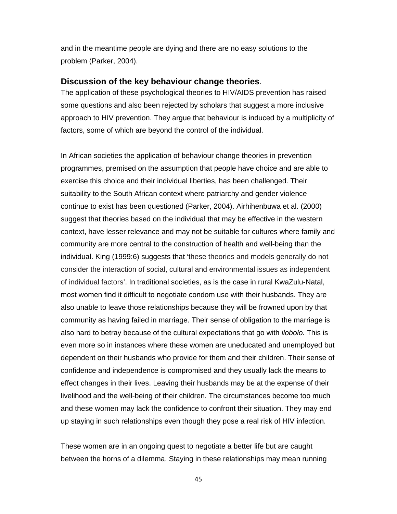and in the meantime people are dying and there are no easy solutions to the problem (Parker, 2004).

### **Discussion of the key behaviour change theories***.*

The application of these psychological theories to HIV/AIDS prevention has raised some questions and also been rejected by scholars that suggest a more inclusive approach to HIV prevention. They argue that behaviour is induced by a multiplicity of factors, some of which are beyond the control of the individual.

In African societies the application of behaviour change theories in prevention programmes, premised on the assumption that people have choice and are able to exercise this choice and their individual liberties, has been challenged. Their suitability to the South African context where patriarchy and gender violence continue to exist has been questioned (Parker, 2004). Airhihenbuwa et al. (2000) suggest that theories based on the individual that may be effective in the western context, have lesser relevance and may not be suitable for cultures where family and community are more central to the construction of health and well-being than the individual. King (1999:6) suggests that 'these theories and models generally do not consider the interaction of social, cultural and environmental issues as independent of individual factors'. In traditional societies, as is the case in rural KwaZulu-Natal, most women find it difficult to negotiate condom use with their husbands. They are also unable to leave those relationships because they will be frowned upon by that community as having failed in marriage. Their sense of obligation to the marriage is also hard to betray because of the cultural expectations that go with *ilobolo.* This is even more so in instances where these women are uneducated and unemployed but dependent on their husbands who provide for them and their children. Their sense of confidence and independence is compromised and they usually lack the means to effect changes in their lives. Leaving their husbands may be at the expense of their livelihood and the well-being of their children. The circumstances become too much and these women may lack the confidence to confront their situation. They may end up staying in such relationships even though they pose a real risk of HIV infection.

These women are in an ongoing quest to negotiate a better life but are caught between the horns of a dilemma. Staying in these relationships may mean running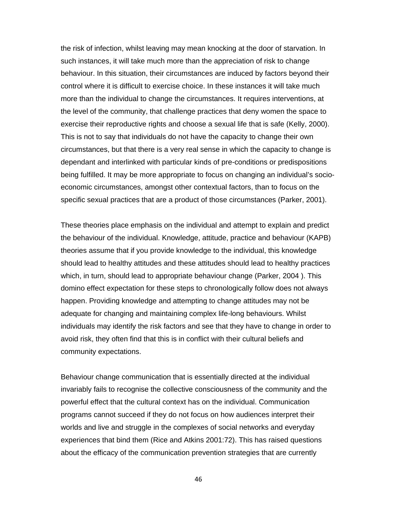the risk of infection, whilst leaving may mean knocking at the door of starvation. In such instances, it will take much more than the appreciation of risk to change behaviour. In this situation, their circumstances are induced by factors beyond their control where it is difficult to exercise choice. In these instances it will take much more than the individual to change the circumstances. It requires interventions, at the level of the community, that challenge practices that deny women the space to exercise their reproductive rights and choose a sexual life that is safe (Kelly, 2000). This is not to say that individuals do not have the capacity to change their own circumstances, but that there is a very real sense in which the capacity to change is dependant and interlinked with particular kinds of pre-conditions or predispositions being fulfilled. It may be more appropriate to focus on changing an individual's socioeconomic circumstances, amongst other contextual factors, than to focus on the specific sexual practices that are a product of those circumstances (Parker, 2001).

These theories place emphasis on the individual and attempt to explain and predict the behaviour of the individual. Knowledge, attitude, practice and behaviour (KAPB) theories assume that if you provide knowledge to the individual, this knowledge should lead to healthy attitudes and these attitudes should lead to healthy practices which, in turn, should lead to appropriate behaviour change (Parker, 2004 ). This domino effect expectation for these steps to chronologically follow does not always happen. Providing knowledge and attempting to change attitudes may not be adequate for changing and maintaining complex life-long behaviours. Whilst individuals may identify the risk factors and see that they have to change in order to avoid risk, they often find that this is in conflict with their cultural beliefs and community expectations.

Behaviour change communication that is essentially directed at the individual invariably fails to recognise the collective consciousness of the community and the powerful effect that the cultural context has on the individual. Communication programs cannot succeed if they do not focus on how audiences interpret their worlds and live and struggle in the complexes of social networks and everyday experiences that bind them (Rice and Atkins 2001:72). This has raised questions about the efficacy of the communication prevention strategies that are currently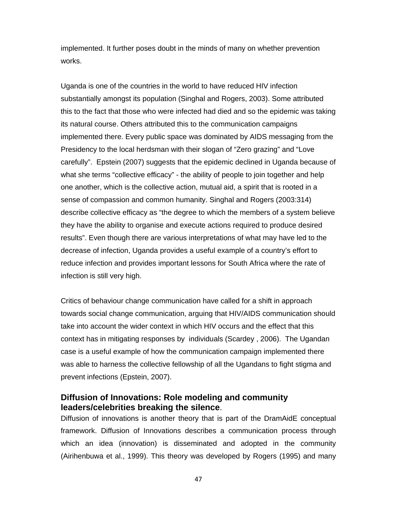implemented. It further poses doubt in the minds of many on whether prevention works.

Uganda is one of the countries in the world to have reduced HIV infection substantially amongst its population (Singhal and Rogers, 2003). Some attributed this to the fact that those who were infected had died and so the epidemic was taking its natural course. Others attributed this to the communication campaigns implemented there. Every public space was dominated by AIDS messaging from the Presidency to the local herdsman with their slogan of "Zero grazing" and "Love carefully". Epstein (2007) suggests that the epidemic declined in Uganda because of what she terms "collective efficacy" - the ability of people to join together and help one another, which is the collective action, mutual aid, a spirit that is rooted in a sense of compassion and common humanity. Singhal and Rogers (2003:314) describe collective efficacy as "the degree to which the members of a system believe they have the ability to organise and execute actions required to produce desired results". Even though there are various interpretations of what may have led to the decrease of infection, Uganda provides a useful example of a country's effort to reduce infection and provides important lessons for South Africa where the rate of infection is still very high.

Critics of behaviour change communication have called for a shift in approach towards social change communication, arguing that HIV/AIDS communication should take into account the wider context in which HIV occurs and the effect that this context has in mitigating responses by individuals (Scardey , 2006). The Ugandan case is a useful example of how the communication campaign implemented there was able to harness the collective fellowship of all the Ugandans to fight stigma and prevent infections (Epstein, 2007).

## **Diffusion of Innovations: Role modeling and community leaders/celebrities breaking the silence**.

Diffusion of innovations is another theory that is part of the DramAidE conceptual framework. Diffusion of Innovations describes a communication process through which an idea (innovation) is disseminated and adopted in the community (Airihenbuwa et al., 1999). This theory was developed by Rogers (1995) and many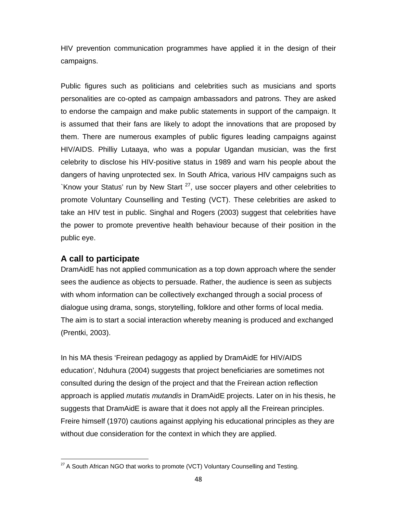HIV prevention communication programmes have applied it in the design of their campaigns.

Public figures such as politicians and celebrities such as musicians and sports personalities are co-opted as campaign ambassadors and patrons. They are asked to endorse the campaign and make public statements in support of the campaign. It is assumed that their fans are likely to adopt the innovations that are proposed by them. There are numerous examples of public figures leading campaigns against HIV/AIDS. Philliy Lutaaya, who was a popular Ugandan musician, was the first celebrity to disclose his HIV-positive status in 1989 and warn his people about the dangers of having unprotected sex. In South Africa, various HIV campaigns such as `Know your Status' run by New Start  $^{27}$ , use soccer players and other celebrities to promote Voluntary Counselling and Testing (VCT). These celebrities are asked to take an HIV test in public. Singhal and Rogers (2003) suggest that celebrities have the power to promote preventive health behaviour because of their position in the public eye.

## **A call to participate**

DramAidE has not applied communication as a top down approach where the sender sees the audience as objects to persuade. Rather, the audience is seen as subjects with whom information can be collectively exchanged through a social process of dialogue using drama, songs, storytelling, folklore and other forms of local media. The aim is to start a social interaction whereby meaning is produced and exchanged (Prentki, 2003).

In his MA thesis 'Freirean pedagogy as applied by DramAidE for HIV/AIDS education', Nduhura (2004) suggests that project beneficiaries are sometimes not consulted during the design of the project and that the Freirean action reflection approach is applied *mutatis mutandis* in DramAidE projects. Later on in his thesis, he suggests that DramAidE is aware that it does not apply all the Freirean principles. Freire himself (1970) cautions against applying his educational principles as they are without due consideration for the context in which they are applied.

 $27$  A South African NGO that works to promote (VCT) Voluntary Counselling and Testing.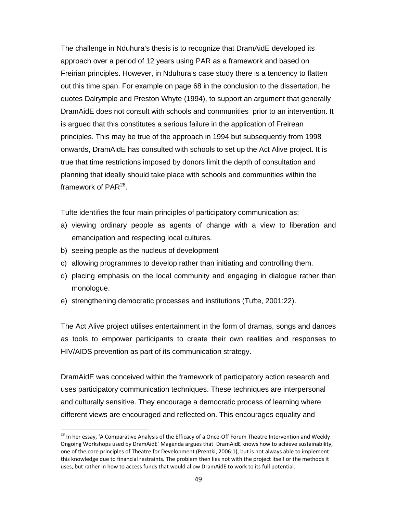The challenge in Nduhura's thesis is to recognize that DramAidE developed its approach over a period of 12 years using PAR as a framework and based on Freirian principles. However, in Nduhura's case study there is a tendency to flatten out this time span. For example on page 68 in the conclusion to the dissertation, he quotes Dalrymple and Preston Whyte (1994), to support an argument that generally DramAidE does not consult with schools and communities prior to an intervention. It is argued that this constitutes a serious failure in the application of Freirean principles. This may be true of the approach in 1994 but subsequently from 1998 onwards, DramAidE has consulted with schools to set up the Act Alive project. It is true that time restrictions imposed by donors limit the depth of consultation and planning that ideally should take place with schools and communities within the framework of  $PAR^{28}$ .

Tufte identifies the four main principles of participatory communication as:

- a) viewing ordinary people as agents of change with a view to liberation and emancipation and respecting local cultures.
- b) seeing people as the nucleus of development

- c) allowing programmes to develop rather than initiating and controlling them.
- d) placing emphasis on the local community and engaging in dialogue rather than monologue.
- e) strengthening democratic processes and institutions (Tufte, 2001:22).

The Act Alive project utilises entertainment in the form of dramas, songs and dances as tools to empower participants to create their own realities and responses to HIV/AIDS prevention as part of its communication strategy.

DramAidE was conceived within the framework of participatory action research and uses participatory communication techniques. These techniques are interpersonal and culturally sensitive. They encourage a democratic process of learning where different views are encouraged and reflected on. This encourages equality and

<sup>&</sup>lt;sup>28</sup> In her essay, 'A Comparative Analysis of the Efficacy of a Once-Off Forum Theatre Intervention and Weekly Ongoing Workshops used by DramAidE' Magenda argues that DramAidE knows how to achieve sustainability, one of the core principles of Theatre for Development (Prentki, 2006:1), but is not always able to implement this knowledge due to financial restraints. The problem then lies not with the project itself or the methods it uses, but rather in how to access funds that would allow DramAidE to work to its full potential.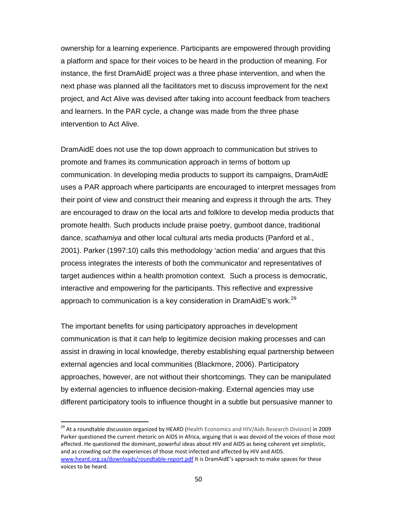ownership for a learning experience. Participants are empowered through providing a platform and space for their voices to be heard in the production of meaning. For instance, the first DramAidE project was a three phase intervention, and when the next phase was planned all the facilitators met to discuss improvement for the next project, and Act Alive was devised after taking into account feedback from teachers and learners. In the PAR cycle, a change was made from the three phase intervention to Act Alive.

DramAidE does not use the top down approach to communication but strives to promote and frames its communication approach in terms of bottom up communication. In developing media products to support its campaigns, DramAidE uses a PAR approach where participants are encouraged to interpret messages from their point of view and construct their meaning and express it through the arts. They are encouraged to draw on the local arts and folklore to develop media products that promote health. Such products include praise poetry, gumboot dance, traditional dance, *scathamiya* and other local cultural arts media products (Panford et al., 2001). Parker (1997:10) calls this methodology 'action media' and argues that this process integrates the interests of both the communicator and representatives of target audiences within a health promotion context. Such a process is democratic, interactive and empowering for the participants. This reflective and expressive approach to communication is a key consideration in DramAidE's work.<sup>29</sup>

The important benefits for using participatory approaches in development communication is that it can help to legitimize decision making processes and can assist in drawing in local knowledge, thereby establishing equal partnership between external agencies and local communities (Blackmore, 2006). Participatory approaches, however, are not without their shortcomings. They can be manipulated by external agencies to influence decision-making. External agencies may use different participatory tools to influence thought in a subtle but persuasive manner to

<sup>29</sup> At a roundtable discussion organized by HEARD (Health Economics and HIV/Aids Research Division) in 2009 Parker questioned the current rhetoric on AIDS in Africa, arguing that is was devoid of the voices of those most affected. He questioned the dominant, powerful ideas about HIV and AIDS as being coherent yet simplistic, and as crowding out the experiences of those most infected and affected by HIV and AIDS. www.heard.org.za/downloads/roundtable-report.pdf It is DramAidE's approach to make spaces for these voices to be heard.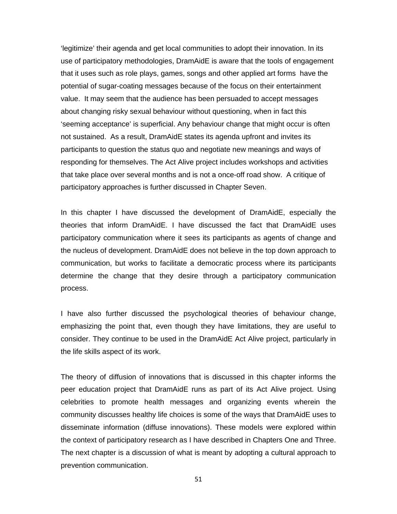'legitimize' their agenda and get local communities to adopt their innovation. In its use of participatory methodologies, DramAidE is aware that the tools of engagement that it uses such as role plays, games, songs and other applied art forms have the potential of sugar-coating messages because of the focus on their entertainment value. It may seem that the audience has been persuaded to accept messages about changing risky sexual behaviour without questioning, when in fact this 'seeming acceptance' is superficial. Any behaviour change that might occur is often not sustained. As a result, DramAidE states its agenda upfront and invites its participants to question the status quo and negotiate new meanings and ways of responding for themselves. The Act Alive project includes workshops and activities that take place over several months and is not a once-off road show. A critique of participatory approaches is further discussed in Chapter Seven.

In this chapter I have discussed the development of DramAidE, especially the theories that inform DramAidE. I have discussed the fact that DramAidE uses participatory communication where it sees its participants as agents of change and the nucleus of development. DramAidE does not believe in the top down approach to communication, but works to facilitate a democratic process where its participants determine the change that they desire through a participatory communication process.

I have also further discussed the psychological theories of behaviour change, emphasizing the point that, even though they have limitations, they are useful to consider. They continue to be used in the DramAidE Act Alive project, particularly in the life skills aspect of its work.

The theory of diffusion of innovations that is discussed in this chapter informs the peer education project that DramAidE runs as part of its Act Alive project. Using celebrities to promote health messages and organizing events wherein the community discusses healthy life choices is some of the ways that DramAidE uses to disseminate information (diffuse innovations). These models were explored within the context of participatory research as I have described in Chapters One and Three. The next chapter is a discussion of what is meant by adopting a cultural approach to prevention communication.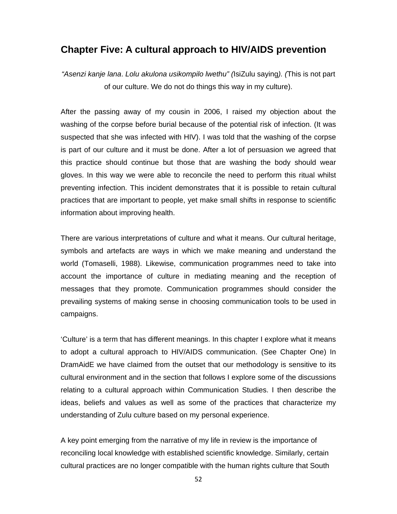## **Chapter Five: A cultural approach to HIV/AIDS prevention**

*"Asenzi kanje lana*. *Lolu akulona usikompilo lwethu" (*IsiZulu saying*). (*This is not part of our culture. We do not do things this way in my culture).

After the passing away of my cousin in 2006, I raised my objection about the washing of the corpse before burial because of the potential risk of infection. (It was suspected that she was infected with HIV). I was told that the washing of the corpse is part of our culture and it must be done. After a lot of persuasion we agreed that this practice should continue but those that are washing the body should wear gloves. In this way we were able to reconcile the need to perform this ritual whilst preventing infection. This incident demonstrates that it is possible to retain cultural practices that are important to people, yet make small shifts in response to scientific information about improving health.

There are various interpretations of culture and what it means. Our cultural heritage, symbols and artefacts are ways in which we make meaning and understand the world (Tomaselli, 1988). Likewise, communication programmes need to take into account the importance of culture in mediating meaning and the reception of messages that they promote. Communication programmes should consider the prevailing systems of making sense in choosing communication tools to be used in campaigns.

'Culture' is a term that has different meanings. In this chapter I explore what it means to adopt a cultural approach to HIV/AIDS communication. (See Chapter One) In DramAidE we have claimed from the outset that our methodology is sensitive to its cultural environment and in the section that follows I explore some of the discussions relating to a cultural approach within Communication Studies. I then describe the ideas, beliefs and values as well as some of the practices that characterize my understanding of Zulu culture based on my personal experience.

A key point emerging from the narrative of my life in review is the importance of reconciling local knowledge with established scientific knowledge. Similarly, certain cultural practices are no longer compatible with the human rights culture that South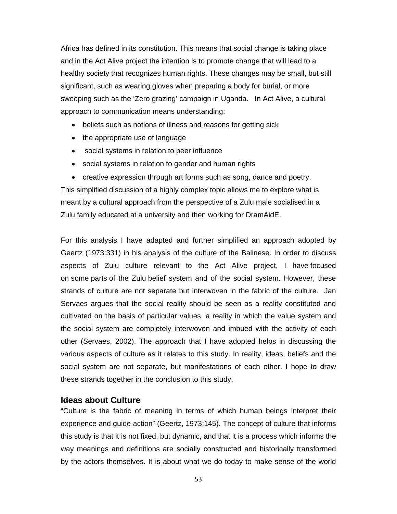Africa has defined in its constitution. This means that social change is taking place and in the Act Alive project the intention is to promote change that will lead to a healthy society that recognizes human rights. These changes may be small, but still significant, such as wearing gloves when preparing a body for burial, or more sweeping such as the 'Zero grazing' campaign in Uganda. In Act Alive, a cultural approach to communication means understanding:

- beliefs such as notions of illness and reasons for getting sick
- the appropriate use of language
- social systems in relation to peer influence
- social systems in relation to gender and human rights
- creative expression through art forms such as song, dance and poetry.

This simplified discussion of a highly complex topic allows me to explore what is meant by a cultural approach from the perspective of a Zulu male socialised in a Zulu family educated at a university and then working for DramAidE.

For this analysis I have adapted and further simplified an approach adopted by Geertz (1973:331) in his analysis of the culture of the Balinese. In order to discuss aspects of Zulu culture relevant to the Act Alive project, I have focused on some parts of the Zulu belief system and of the social system. However, these strands of culture are not separate but interwoven in the fabric of the culture. Jan Servaes argues that the social reality should be seen as a reality constituted and cultivated on the basis of particular values, a reality in which the value system and the social system are completely interwoven and imbued with the activity of each other (Servaes, 2002). The approach that I have adopted helps in discussing the various aspects of culture as it relates to this study. In reality, ideas, beliefs and the social system are not separate, but manifestations of each other. I hope to draw these strands together in the conclusion to this study.

### **Ideas about Culture**

"Culture is the fabric of meaning in terms of which human beings interpret their experience and guide action" (Geertz, 1973:145). The concept of culture that informs this study is that it is not fixed, but dynamic, and that it is a process which informs the way meanings and definitions are socially constructed and historically transformed by the actors themselves. It is about what we do today to make sense of the world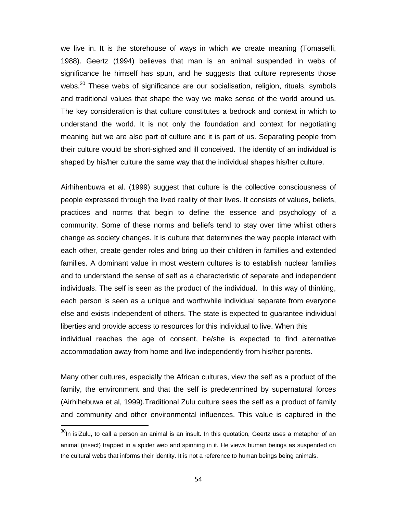we live in. It is the storehouse of ways in which we create meaning (Tomaselli, 1988). Geertz (1994) believes that man is an animal suspended in webs of significance he himself has spun, and he suggests that culture represents those webs.<sup>30</sup> These webs of significance are our socialisation, religion, rituals, symbols and traditional values that shape the way we make sense of the world around us. The key consideration is that culture constitutes a bedrock and context in which to understand the world. It is not only the foundation and context for negotiating meaning but we are also part of culture and it is part of us. Separating people from their culture would be short-sighted and ill conceived. The identity of an individual is shaped by his/her culture the same way that the individual shapes his/her culture.

Airhihenbuwa et al. (1999) suggest that culture is the collective consciousness of people expressed through the lived reality of their lives. It consists of values, beliefs, practices and norms that begin to define the essence and psychology of a community. Some of these norms and beliefs tend to stay over time whilst others change as society changes. It is culture that determines the way people interact with each other, create gender roles and bring up their children in families and extended families. A dominant value in most western cultures is to establish nuclear families and to understand the sense of self as a characteristic of separate and independent individuals. The self is seen as the product of the individual. In this way of thinking, each person is seen as a unique and worthwhile individual separate from everyone else and exists independent of others. The state is expected to guarantee individual liberties and provide access to resources for this individual to live. When this individual reaches the age of consent, he/she is expected to find alternative accommodation away from home and live independently from his/her parents.

Many other cultures, especially the African cultures, view the self as a product of the family, the environment and that the self is predetermined by supernatural forces (Airhihebuwa et al, 1999).Traditional Zulu culture sees the self as a product of family and community and other environmental influences. This value is captured in the

 $30$ In isiZulu, to call a person an animal is an insult. In this quotation, Geertz uses a metaphor of an animal (insect) trapped in a spider web and spinning in it. He views human beings as suspended on the cultural webs that informs their identity. It is not a reference to human beings being animals.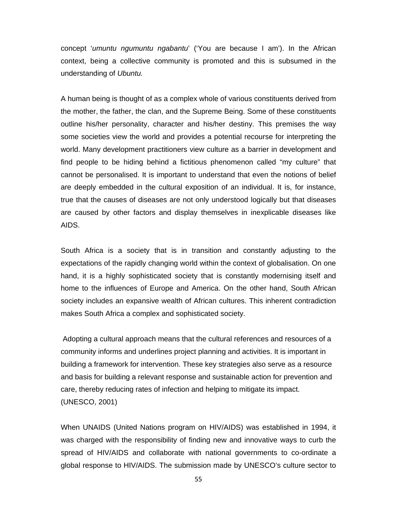concept '*umuntu ngumuntu ngabantu*' ('You are because I am'). In the African context, being a collective community is promoted and this is subsumed in the understanding of *Ubuntu.* 

A human being is thought of as a complex whole of various constituents derived from the mother, the father, the clan, and the Supreme Being. Some of these constituents outline his/her personality, character and his/her destiny. This premises the way some societies view the world and provides a potential recourse for interpreting the world. Many development practitioners view culture as a barrier in development and find people to be hiding behind a fictitious phenomenon called "my culture" that cannot be personalised. It is important to understand that even the notions of belief are deeply embedded in the cultural exposition of an individual. It is, for instance, true that the causes of diseases are not only understood logically but that diseases are caused by other factors and display themselves in inexplicable diseases like AIDS.

South Africa is a society that is in transition and constantly adjusting to the expectations of the rapidly changing world within the context of globalisation. On one hand, it is a highly sophisticated society that is constantly modernising itself and home to the influences of Europe and America. On the other hand, South African society includes an expansive wealth of African cultures. This inherent contradiction makes South Africa a complex and sophisticated society.

 Adopting a cultural approach means that the cultural references and resources of a community informs and underlines project planning and activities. It is important in building a framework for intervention. These key strategies also serve as a resource and basis for building a relevant response and sustainable action for prevention and care, thereby reducing rates of infection and helping to mitigate its impact. (UNESCO, 2001)

When UNAIDS (United Nations program on HIV/AIDS) was established in 1994, it was charged with the responsibility of finding new and innovative ways to curb the spread of HIV/AIDS and collaborate with national governments to co-ordinate a global response to HIV/AIDS. The submission made by UNESCO's culture sector to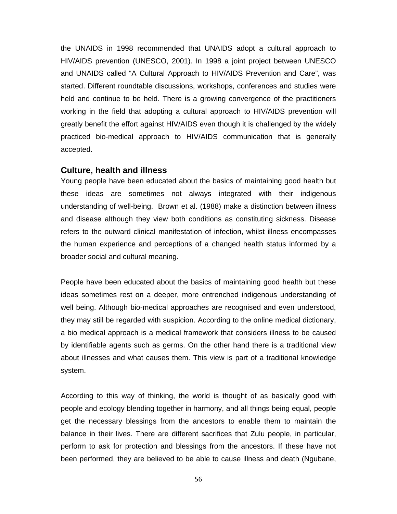the UNAIDS in 1998 recommended that UNAIDS adopt a cultural approach to HIV/AIDS prevention (UNESCO, 2001). In 1998 a joint project between UNESCO and UNAIDS called "A Cultural Approach to HIV/AIDS Prevention and Care", was started. Different roundtable discussions, workshops, conferences and studies were held and continue to be held. There is a growing convergence of the practitioners working in the field that adopting a cultural approach to HIV/AIDS prevention will greatly benefit the effort against HIV/AIDS even though it is challenged by the widely practiced bio-medical approach to HIV/AIDS communication that is generally accepted.

#### **Culture, health and illness**

Young people have been educated about the basics of maintaining good health but these ideas are sometimes not always integrated with their indigenous understanding of well-being. Brown et al. (1988) make a distinction between illness and disease although they view both conditions as constituting sickness. Disease refers to the outward clinical manifestation of infection, whilst illness encompasses the human experience and perceptions of a changed health status informed by a broader social and cultural meaning.

People have been educated about the basics of maintaining good health but these ideas sometimes rest on a deeper, more entrenched indigenous understanding of well being. Although bio-medical approaches are recognised and even understood, they may still be regarded with suspicion. According to the online medical dictionary, a bio medical approach is a medical framework that considers illness to be caused by identifiable agents such as germs. On the other hand there is a traditional view about illnesses and what causes them. This view is part of a traditional knowledge system.

According to this way of thinking, the world is thought of as basically good with people and ecology blending together in harmony, and all things being equal, people get the necessary blessings from the ancestors to enable them to maintain the balance in their lives. There are different sacrifices that Zulu people, in particular, perform to ask for protection and blessings from the ancestors. If these have not been performed, they are believed to be able to cause illness and death (Ngubane,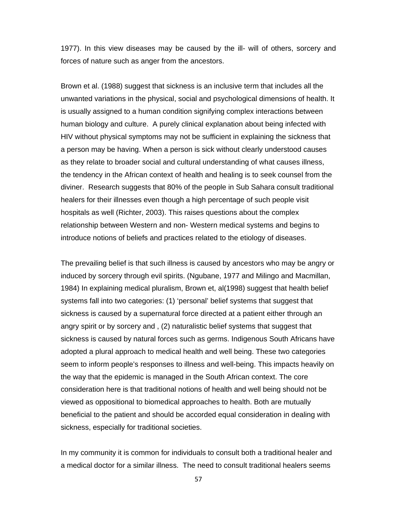1977). In this view diseases may be caused by the ill- will of others, sorcery and forces of nature such as anger from the ancestors.

Brown et al. (1988) suggest that sickness is an inclusive term that includes all the unwanted variations in the physical, social and psychological dimensions of health. It is usually assigned to a human condition signifying complex interactions between human biology and culture. A purely clinical explanation about being infected with HIV without physical symptoms may not be sufficient in explaining the sickness that a person may be having. When a person is sick without clearly understood causes as they relate to broader social and cultural understanding of what causes illness, the tendency in the African context of health and healing is to seek counsel from the diviner. Research suggests that 80% of the people in Sub Sahara consult traditional healers for their illnesses even though a high percentage of such people visit hospitals as well (Richter, 2003). This raises questions about the complex relationship between Western and non- Western medical systems and begins to introduce notions of beliefs and practices related to the etiology of diseases.

The prevailing belief is that such illness is caused by ancestors who may be angry or induced by sorcery through evil spirits. (Ngubane, 1977 and Milingo and Macmillan, 1984) In explaining medical pluralism, Brown et, al(1998) suggest that health belief systems fall into two categories: (1) 'personal' belief systems that suggest that sickness is caused by a supernatural force directed at a patient either through an angry spirit or by sorcery and , (2) naturalistic belief systems that suggest that sickness is caused by natural forces such as germs. Indigenous South Africans have adopted a plural approach to medical health and well being. These two categories seem to inform people's responses to illness and well-being. This impacts heavily on the way that the epidemic is managed in the South African context. The core consideration here is that traditional notions of health and well being should not be viewed as oppositional to biomedical approaches to health. Both are mutually beneficial to the patient and should be accorded equal consideration in dealing with sickness, especially for traditional societies.

In my community it is common for individuals to consult both a traditional healer and a medical doctor for a similar illness. The need to consult traditional healers seems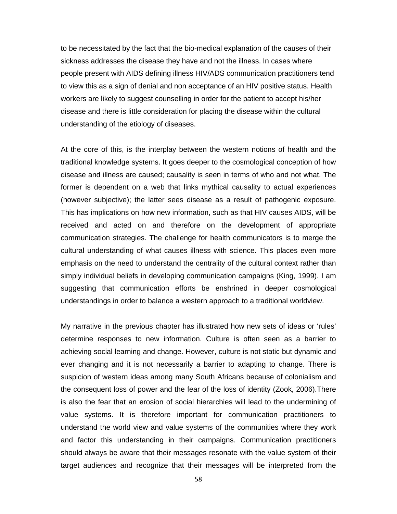to be necessitated by the fact that the bio-medical explanation of the causes of their sickness addresses the disease they have and not the illness. In cases where people present with AIDS defining illness HIV/ADS communication practitioners tend to view this as a sign of denial and non acceptance of an HIV positive status. Health workers are likely to suggest counselling in order for the patient to accept his/her disease and there is little consideration for placing the disease within the cultural understanding of the etiology of diseases.

At the core of this, is the interplay between the western notions of health and the traditional knowledge systems. It goes deeper to the cosmological conception of how disease and illness are caused; causality is seen in terms of who and not what. The former is dependent on a web that links mythical causality to actual experiences (however subjective); the latter sees disease as a result of pathogenic exposure. This has implications on how new information, such as that HIV causes AIDS, will be received and acted on and therefore on the development of appropriate communication strategies. The challenge for health communicators is to merge the cultural understanding of what causes illness with science. This places even more emphasis on the need to understand the centrality of the cultural context rather than simply individual beliefs in developing communication campaigns (King, 1999). I am suggesting that communication efforts be enshrined in deeper cosmological understandings in order to balance a western approach to a traditional worldview.

My narrative in the previous chapter has illustrated how new sets of ideas or 'rules' determine responses to new information. Culture is often seen as a barrier to achieving social learning and change. However, culture is not static but dynamic and ever changing and it is not necessarily a barrier to adapting to change. There is suspicion of western ideas among many South Africans because of colonialism and the consequent loss of power and the fear of the loss of identity (Zook, 2006).There is also the fear that an erosion of social hierarchies will lead to the undermining of value systems. It is therefore important for communication practitioners to understand the world view and value systems of the communities where they work and factor this understanding in their campaigns. Communication practitioners should always be aware that their messages resonate with the value system of their target audiences and recognize that their messages will be interpreted from the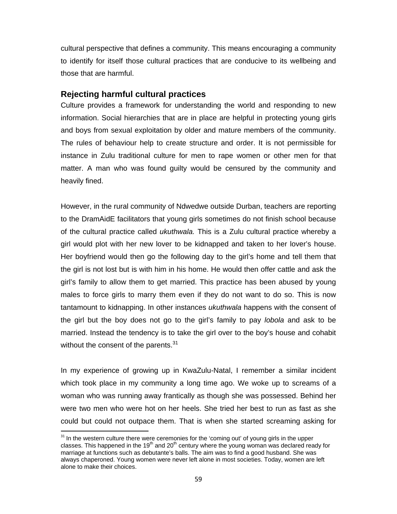cultural perspective that defines a community. This means encouraging a community to identify for itself those cultural practices that are conducive to its wellbeing and those that are harmful.

### **Rejecting harmful cultural practices**

Culture provides a framework for understanding the world and responding to new information. Social hierarchies that are in place are helpful in protecting young girls and boys from sexual exploitation by older and mature members of the community. The rules of behaviour help to create structure and order. It is not permissible for instance in Zulu traditional culture for men to rape women or other men for that matter. A man who was found guilty would be censured by the community and heavily fined.

However, in the rural community of Ndwedwe outside Durban, teachers are reporting to the DramAidE facilitators that young girls sometimes do not finish school because of the cultural practice called *ukuthwala.* This is a Zulu cultural practice whereby a girl would plot with her new lover to be kidnapped and taken to her lover's house. Her boyfriend would then go the following day to the girl's home and tell them that the girl is not lost but is with him in his home. He would then offer cattle and ask the girl's family to allow them to get married. This practice has been abused by young males to force girls to marry them even if they do not want to do so. This is now tantamount to kidnapping. In other instances *ukuthwala* happens with the consent of the girl but the boy does not go to the girl's family to pay *lobola* and ask to be married. Instead the tendency is to take the girl over to the boy's house and cohabit without the consent of the parents.<sup>31</sup>

In my experience of growing up in KwaZulu-Natal, I remember a similar incident which took place in my community a long time ago. We woke up to screams of a woman who was running away frantically as though she was possessed. Behind her were two men who were hot on her heels. She tried her best to run as fast as she could but could not outpace them. That is when she started screaming asking for

<u> Alexandria de la contrada de la contrada de la con</u>

 $31$  In the western culture there were ceremonies for the 'coming out' of young girls in the upper classes. This happened in the 19<sup>th</sup> and 20<sup>th</sup> century where the young woman was declared ready for marriage at functions such as debutante's balls. The aim was to find a good husband. She was always chaperoned. Young women were never left alone in most societies. Today, women are left alone to make their choices.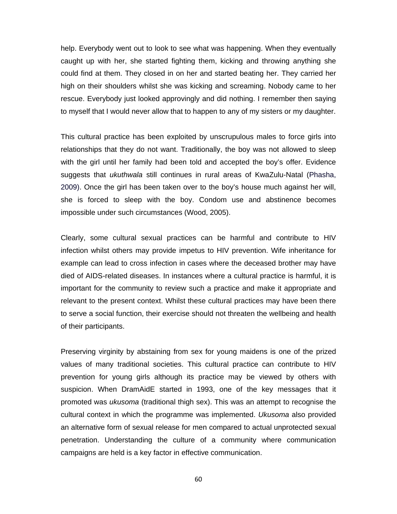help. Everybody went out to look to see what was happening. When they eventually caught up with her, she started fighting them, kicking and throwing anything she could find at them. They closed in on her and started beating her. They carried her high on their shoulders whilst she was kicking and screaming. Nobody came to her rescue. Everybody just looked approvingly and did nothing. I remember then saying to myself that I would never allow that to happen to any of my sisters or my daughter.

This cultural practice has been exploited by unscrupulous males to force girls into relationships that they do not want. Traditionally, the boy was not allowed to sleep with the girl until her family had been told and accepted the boy's offer. Evidence suggests that *ukuthwala* still continues in rural areas of KwaZulu-Natal (Phasha, 2009). Once the girl has been taken over to the boy's house much against her will, she is forced to sleep with the boy. Condom use and abstinence becomes impossible under such circumstances (Wood, 2005).

Clearly, some cultural sexual practices can be harmful and contribute to HIV infection whilst others may provide impetus to HIV prevention. Wife inheritance for example can lead to cross infection in cases where the deceased brother may have died of AIDS-related diseases. In instances where a cultural practice is harmful, it is important for the community to review such a practice and make it appropriate and relevant to the present context. Whilst these cultural practices may have been there to serve a social function, their exercise should not threaten the wellbeing and health of their participants.

Preserving virginity by abstaining from sex for young maidens is one of the prized values of many traditional societies. This cultural practice can contribute to HIV prevention for young girls although its practice may be viewed by others with suspicion. When DramAidE started in 1993, one of the key messages that it promoted was *ukusoma* (traditional thigh sex). This was an attempt to recognise the cultural context in which the programme was implemented. *Ukusoma* also provided an alternative form of sexual release for men compared to actual unprotected sexual penetration. Understanding the culture of a community where communication campaigns are held is a key factor in effective communication.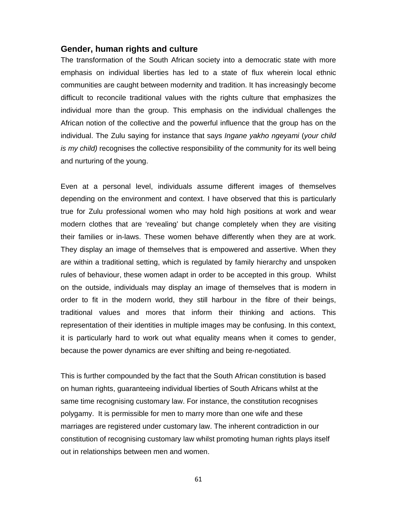### **Gender, human rights and culture**

The transformation of the South African society into a democratic state with more emphasis on individual liberties has led to a state of flux wherein local ethnic communities are caught between modernity and tradition. It has increasingly become difficult to reconcile traditional values with the rights culture that emphasizes the individual more than the group. This emphasis on the individual challenges the African notion of the collective and the powerful influence that the group has on the individual. The Zulu saying for instance that says *Ingane yakho ngeyami* (*your child is my child)* recognises the collective responsibility of the community for its well being and nurturing of the young.

Even at a personal level, individuals assume different images of themselves depending on the environment and context. I have observed that this is particularly true for Zulu professional women who may hold high positions at work and wear modern clothes that are 'revealing' but change completely when they are visiting their families or in-laws. These women behave differently when they are at work. They display an image of themselves that is empowered and assertive. When they are within a traditional setting, which is regulated by family hierarchy and unspoken rules of behaviour, these women adapt in order to be accepted in this group. Whilst on the outside, individuals may display an image of themselves that is modern in order to fit in the modern world, they still harbour in the fibre of their beings, traditional values and mores that inform their thinking and actions. This representation of their identities in multiple images may be confusing. In this context, it is particularly hard to work out what equality means when it comes to gender, because the power dynamics are ever shifting and being re-negotiated.

This is further compounded by the fact that the South African constitution is based on human rights, guaranteeing individual liberties of South Africans whilst at the same time recognising customary law. For instance, the constitution recognises polygamy. It is permissible for men to marry more than one wife and these marriages are registered under customary law. The inherent contradiction in our constitution of recognising customary law whilst promoting human rights plays itself out in relationships between men and women.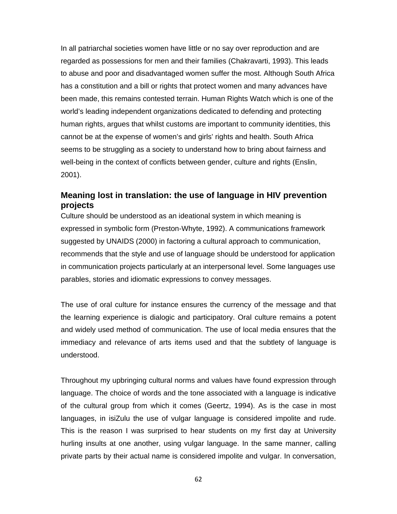In all patriarchal societies women have little or no say over reproduction and are regarded as possessions for men and their families (Chakravarti, 1993). This leads to abuse and poor and disadvantaged women suffer the most. Although South Africa has a constitution and a bill or rights that protect women and many advances have been made, this remains contested terrain. Human Rights Watch which is one of the world's leading independent organizations dedicated to defending and protecting human rights, argues that whilst customs are important to community identities, this cannot be at the expense of women's and girls' rights and health. South Africa seems to be struggling as a society to understand how to bring about fairness and well-being in the context of conflicts between gender, culture and rights (Enslin, 2001).

## **Meaning lost in translation: the use of language in HIV prevention projects**

Culture should be understood as an ideational system in which meaning is expressed in symbolic form (Preston-Whyte, 1992). A communications framework suggested by UNAIDS (2000) in factoring a cultural approach to communication, recommends that the style and use of language should be understood for application in communication projects particularly at an interpersonal level. Some languages use parables, stories and idiomatic expressions to convey messages.

The use of oral culture for instance ensures the currency of the message and that the learning experience is dialogic and participatory. Oral culture remains a potent and widely used method of communication. The use of local media ensures that the immediacy and relevance of arts items used and that the subtlety of language is understood.

Throughout my upbringing cultural norms and values have found expression through language. The choice of words and the tone associated with a language is indicative of the cultural group from which it comes (Geertz, 1994). As is the case in most languages, in isiZulu the use of vulgar language is considered impolite and rude. This is the reason I was surprised to hear students on my first day at University hurling insults at one another, using vulgar language. In the same manner, calling private parts by their actual name is considered impolite and vulgar. In conversation,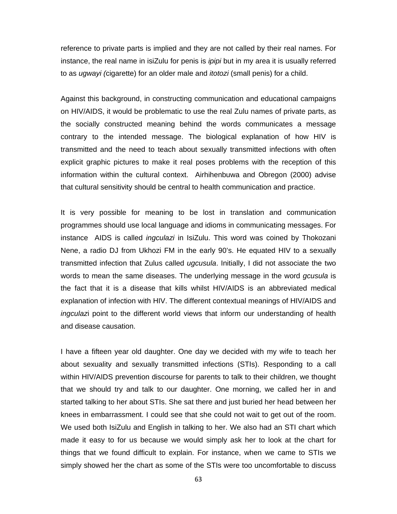reference to private parts is implied and they are not called by their real names. For instance, the real name in isiZulu for penis is *ipipi* but in my area it is usually referred to as *ugwayi (*cigarette) for an older male and *itotozi* (small penis) for a child.

Against this background, in constructing communication and educational campaigns on HIV/AIDS, it would be problematic to use the real Zulu names of private parts, as the socially constructed meaning behind the words communicates a message contrary to the intended message. The biological explanation of how HIV is transmitted and the need to teach about sexually transmitted infections with often explicit graphic pictures to make it real poses problems with the reception of this information within the cultural context. Airhihenbuwa and Obregon (2000) advise that cultural sensitivity should be central to health communication and practice.

It is very possible for meaning to be lost in translation and communication programmes should use local language and idioms in communicating messages. For instance AIDS is called *ingculazi* in IsiZulu. This word was coined by Thokozani Nene, a radio DJ from Ukhozi FM in the early 90's. He equated HIV to a sexually transmitted infection that Zulus called *ugcusula*. Initially, I did not associate the two words to mean the same diseases. The underlying message in the word *gcusula* is the fact that it is a disease that kills whilst HIV/AIDS is an abbreviated medical explanation of infection with HIV. The different contextual meanings of HIV/AIDS and *ingculaz*i point to the different world views that inform our understanding of health and disease causation.

I have a fifteen year old daughter. One day we decided with my wife to teach her about sexuality and sexually transmitted infections (STIs). Responding to a call within HIV/AIDS prevention discourse for parents to talk to their children, we thought that we should try and talk to our daughter. One morning, we called her in and started talking to her about STIs. She sat there and just buried her head between her knees in embarrassment. I could see that she could not wait to get out of the room. We used both IsiZulu and English in talking to her. We also had an STI chart which made it easy to for us because we would simply ask her to look at the chart for things that we found difficult to explain. For instance, when we came to STIs we simply showed her the chart as some of the STIs were too uncomfortable to discuss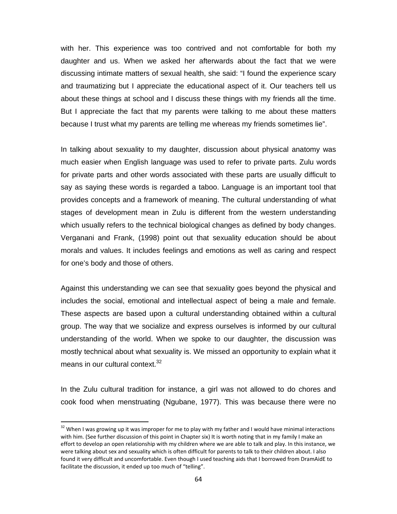with her. This experience was too contrived and not comfortable for both my daughter and us. When we asked her afterwards about the fact that we were discussing intimate matters of sexual health, she said: "I found the experience scary and traumatizing but I appreciate the educational aspect of it. Our teachers tell us about these things at school and I discuss these things with my friends all the time. But I appreciate the fact that my parents were talking to me about these matters because I trust what my parents are telling me whereas my friends sometimes lie".

In talking about sexuality to my daughter, discussion about physical anatomy was much easier when English language was used to refer to private parts. Zulu words for private parts and other words associated with these parts are usually difficult to say as saying these words is regarded a taboo. Language is an important tool that provides concepts and a framework of meaning. The cultural understanding of what stages of development mean in Zulu is different from the western understanding which usually refers to the technical biological changes as defined by body changes. Verganani and Frank, (1998) point out that sexuality education should be about morals and values. It includes feelings and emotions as well as caring and respect for one's body and those of others.

Against this understanding we can see that sexuality goes beyond the physical and includes the social, emotional and intellectual aspect of being a male and female. These aspects are based upon a cultural understanding obtained within a cultural group. The way that we socialize and express ourselves is informed by our cultural understanding of the world. When we spoke to our daughter, the discussion was mostly technical about what sexuality is. We missed an opportunity to explain what it means in our cultural context.<sup>32</sup>

In the Zulu cultural tradition for instance, a girl was not allowed to do chores and cook food when menstruating (Ngubane, 1977). This was because there were no

 $32$  When I was growing up it was improper for me to play with my father and I would have minimal interactions with him. (See further discussion of this point in Chapter six) It is worth noting that in my family I make an effort to develop an open relationship with my children where we are able to talk and play. In this instance, we were talking about sex and sexuality which is often difficult for parents to talk to their children about. I also found it very difficult and uncomfortable. Even though I used teaching aids that I borrowed from DramAidE to facilitate the discussion, it ended up too much of "telling".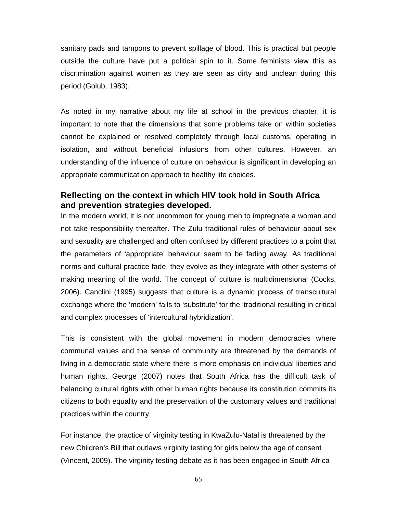sanitary pads and tampons to prevent spillage of blood. This is practical but people outside the culture have put a political spin to it. Some feminists view this as discrimination against women as they are seen as dirty and unclean during this period (Golub, 1983).

As noted in my narrative about my life at school in the previous chapter, it is important to note that the dimensions that some problems take on within societies cannot be explained or resolved completely through local customs, operating in isolation, and without beneficial infusions from other cultures. However, an understanding of the influence of culture on behaviour is significant in developing an appropriate communication approach to healthy life choices.

## **Reflecting on the context in which HIV took hold in South Africa and prevention strategies developed.**

In the modern world, it is not uncommon for young men to impregnate a woman and not take responsibility thereafter. The Zulu traditional rules of behaviour about sex and sexuality are challenged and often confused by different practices to a point that the parameters of 'appropriate' behaviour seem to be fading away. As traditional norms and cultural practice fade, they evolve as they integrate with other systems of making meaning of the world. The concept of culture is multidimensional (Cocks, 2006). Canclini (1995) suggests that culture is a dynamic process of transcultural exchange where the 'modern' fails to 'substitute' for the 'traditional resulting in critical and complex processes of 'intercultural hybridization'.

This is consistent with the global movement in modern democracies where communal values and the sense of community are threatened by the demands of living in a democratic state where there is more emphasis on individual liberties and human rights. George (2007) notes that South Africa has the difficult task of balancing cultural rights with other human rights because its constitution commits its citizens to both equality and the preservation of the customary values and traditional practices within the country.

For instance, the practice of virginity testing in KwaZulu-Natal is threatened by the new Children's Bill that outlaws virginity testing for girls below the age of consent (Vincent, 2009). The virginity testing debate as it has been engaged in South Africa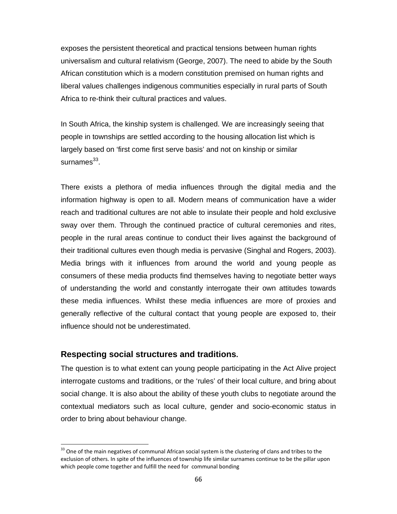exposes the persistent theoretical and practical tensions between human rights universalism and cultural relativism (George, 2007). The need to abide by the South African constitution which is a modern constitution premised on human rights and liberal values challenges indigenous communities especially in rural parts of South Africa to re-think their cultural practices and values.

In South Africa, the kinship system is challenged. We are increasingly seeing that people in townships are settled according to the housing allocation list which is largely based on 'first come first serve basis' and not on kinship or similar surnames $^{33}$ .

There exists a plethora of media influences through the digital media and the information highway is open to all. Modern means of communication have a wider reach and traditional cultures are not able to insulate their people and hold exclusive sway over them. Through the continued practice of cultural ceremonies and rites, people in the rural areas continue to conduct their lives against the background of their traditional cultures even though media is pervasive (Singhal and Rogers, 2003). Media brings with it influences from around the world and young people as consumers of these media products find themselves having to negotiate better ways of understanding the world and constantly interrogate their own attitudes towards these media influences. Whilst these media influences are more of proxies and generally reflective of the cultural contact that young people are exposed to, their influence should not be underestimated.

## **Respecting social structures and traditions.**

The question is to what extent can young people participating in the Act Alive project interrogate customs and traditions, or the 'rules' of their local culture, and bring about social change. It is also about the ability of these youth clubs to negotiate around the contextual mediators such as local culture, gender and socio-economic status in order to bring about behaviour change.

 $33$  One of the main negatives of communal African social system is the clustering of clans and tribes to the exclusion of others. In spite of the influences of township life similar surnames continue to be the pillar upon which people come together and fulfill the need for communal bonding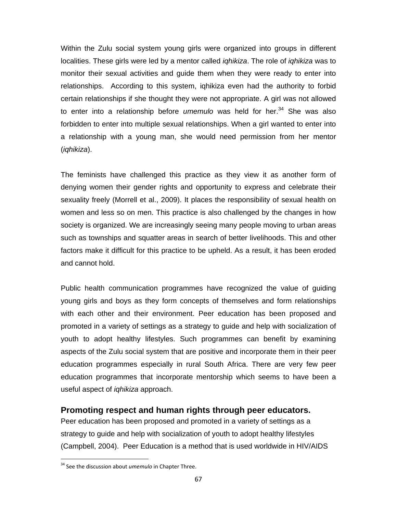Within the Zulu social system young girls were organized into groups in different localities. These girls were led by a mentor called *iqhikiza*. The role of *iqhikiza* was to monitor their sexual activities and guide them when they were ready to enter into relationships. According to this system, iqhikiza even had the authority to forbid certain relationships if she thought they were not appropriate. A girl was not allowed to enter into a relationship before *umemulo* was held for her.<sup>34</sup> She was also forbidden to enter into multiple sexual relationships. When a girl wanted to enter into a relationship with a young man, she would need permission from her mentor (*iqhikiza*).

The feminists have challenged this practice as they view it as another form of denying women their gender rights and opportunity to express and celebrate their sexuality freely (Morrell et al., 2009). It places the responsibility of sexual health on women and less so on men. This practice is also challenged by the changes in how society is organized. We are increasingly seeing many people moving to urban areas such as townships and squatter areas in search of better livelihoods. This and other factors make it difficult for this practice to be upheld. As a result, it has been eroded and cannot hold.

Public health communication programmes have recognized the value of guiding young girls and boys as they form concepts of themselves and form relationships with each other and their environment. Peer education has been proposed and promoted in a variety of settings as a strategy to guide and help with socialization of youth to adopt healthy lifestyles. Such programmes can benefit by examining aspects of the Zulu social system that are positive and incorporate them in their peer education programmes especially in rural South Africa. There are very few peer education programmes that incorporate mentorship which seems to have been a useful aspect of *iqhikiza* approach.

## **Promoting respect and human rights through peer educators.**

Peer education has been proposed and promoted in a variety of settings as a strategy to guide and help with socialization of youth to adopt healthy lifestyles (Campbell, 2004). Peer Education is a method that is used worldwide in HIV/AIDS

<sup>34</sup> See the discussion about *umemulo* in Chapter Three.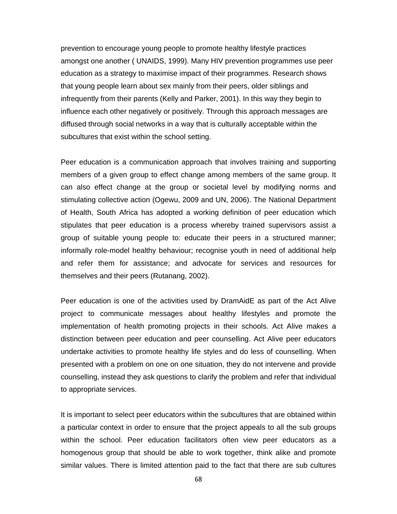prevention to encourage young people to promote healthy lifestyle practices amongst one another ( UNAIDS, 1999). Many HIV prevention programmes use peer education as a strategy to maximise impact of their programmes. Research shows that young people learn about sex mainly from their peers, older siblings and infrequently from their parents (Kelly and Parker, 2001). In this way they begin to influence each other negatively or positively. Through this approach messages are diffused through social networks in a way that is culturally acceptable within the subcultures that exist within the school setting.

Peer education is a communication approach that involves training and supporting members of a given group to effect change among members of the same group. It can also effect change at the group or societal level by modifying norms and stimulating collective action (Ogewu, 2009 and UN, 2006). The National Department of Health, South Africa has adopted a working definition of peer education which stipulates that peer education is a process whereby trained supervisors assist a group of suitable young people to: educate their peers in a structured manner; informally role-model healthy behaviour; recognise youth in need of additional help and refer them for assistance; and advocate for services and resources for themselves and their peers (Rutanang, 2002).

Peer education is one of the activities used by DramAidE as part of the Act Alive project to communicate messages about healthy lifestyles and promote the implementation of health promoting projects in their schools. Act Alive makes a distinction between peer education and peer counselling. Act Alive peer educators undertake activities to promote healthy life styles and do less of counselling. When presented with a problem on one on one situation, they do not intervene and provide counselling, instead they ask questions to clarify the problem and refer that individual to appropriate services.

It is important to select peer educators within the subcultures that are obtained within a particular context in order to ensure that the project appeals to all the sub groups within the school. Peer education facilitators often view peer educators as a homogenous group that should be able to work together, think alike and promote similar values. There is limited attention paid to the fact that there are sub cultures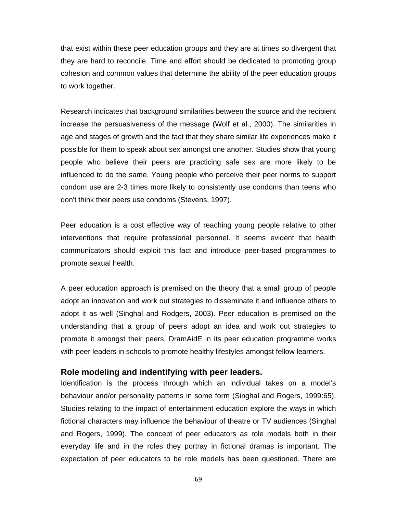that exist within these peer education groups and they are at times so divergent that they are hard to reconcile. Time and effort should be dedicated to promoting group cohesion and common values that determine the ability of the peer education groups to work together.

Research indicates that background similarities between the source and the recipient increase the persuasiveness of the message (Wolf et al., 2000). The similarities in age and stages of growth and the fact that they share similar life experiences make it possible for them to speak about sex amongst one another. Studies show that young people who believe their peers are practicing safe sex are more likely to be influenced to do the same. Young people who perceive their peer norms to support condom use are 2-3 times more likely to consistently use condoms than teens who don't think their peers use condoms (Stevens, 1997).

Peer education is a cost effective way of reaching young people relative to other interventions that require professional personnel. It seems evident that health communicators should exploit this fact and introduce peer-based programmes to promote sexual health.

A peer education approach is premised on the theory that a small group of people adopt an innovation and work out strategies to disseminate it and influence others to adopt it as well (Singhal and Rodgers, 2003). Peer education is premised on the understanding that a group of peers adopt an idea and work out strategies to promote it amongst their peers. DramAidE in its peer education programme works with peer leaders in schools to promote healthy lifestyles amongst fellow learners.

### **Role modeling and indentifying with peer leaders.**

Identification is the process through which an individual takes on a model's behaviour and/or personality patterns in some form (Singhal and Rogers, 1999:65). Studies relating to the impact of entertainment education explore the ways in which fictional characters may influence the behaviour of theatre or TV audiences (Singhal and Rogers, 1999). The concept of peer educators as role models both in their everyday life and in the roles they portray in fictional dramas is important. The expectation of peer educators to be role models has been questioned. There are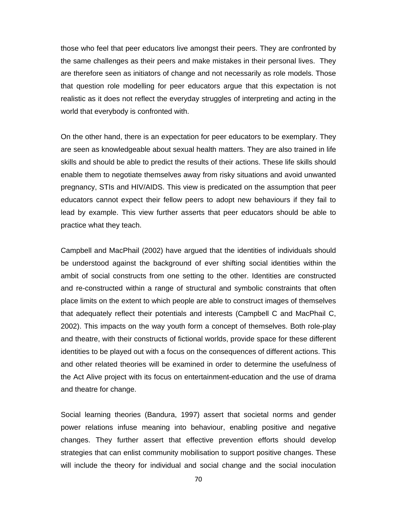those who feel that peer educators live amongst their peers. They are confronted by the same challenges as their peers and make mistakes in their personal lives. They are therefore seen as initiators of change and not necessarily as role models. Those that question role modelling for peer educators argue that this expectation is not realistic as it does not reflect the everyday struggles of interpreting and acting in the world that everybody is confronted with.

On the other hand, there is an expectation for peer educators to be exemplary. They are seen as knowledgeable about sexual health matters. They are also trained in life skills and should be able to predict the results of their actions. These life skills should enable them to negotiate themselves away from risky situations and avoid unwanted pregnancy, STIs and HIV/AIDS. This view is predicated on the assumption that peer educators cannot expect their fellow peers to adopt new behaviours if they fail to lead by example. This view further asserts that peer educators should be able to practice what they teach.

Campbell and MacPhail (2002) have argued that the identities of individuals should be understood against the background of ever shifting social identities within the ambit of social constructs from one setting to the other. Identities are constructed and re-constructed within a range of structural and symbolic constraints that often place limits on the extent to which people are able to construct images of themselves that adequately reflect their potentials and interests (Campbell C and MacPhail C, 2002). This impacts on the way youth form a concept of themselves. Both role-play and theatre, with their constructs of fictional worlds, provide space for these different identities to be played out with a focus on the consequences of different actions. This and other related theories will be examined in order to determine the usefulness of the Act Alive project with its focus on entertainment-education and the use of drama and theatre for change.

Social learning theories (Bandura, 1997) assert that societal norms and gender power relations infuse meaning into behaviour, enabling positive and negative changes. They further assert that effective prevention efforts should develop strategies that can enlist community mobilisation to support positive changes. These will include the theory for individual and social change and the social inoculation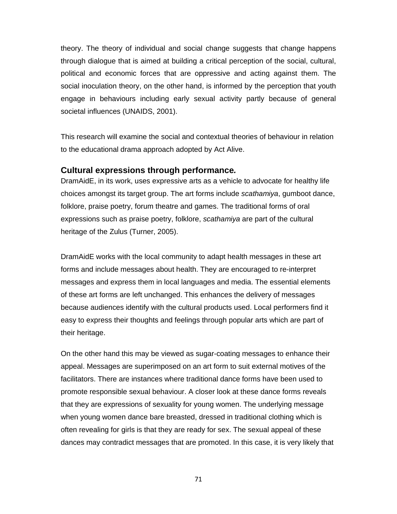theory. The theory of individual and social change suggests that change happens through dialogue that is aimed at building a critical perception of the social, cultural, political and economic forces that are oppressive and acting against them. The social inoculation theory, on the other hand, is informed by the perception that youth engage in behaviours including early sexual activity partly because of general societal influences (UNAIDS, 2001).

This research will examine the social and contextual theories of behaviour in relation to the educational drama approach adopted by Act Alive.

### **Cultural expressions through performance***.*

DramAidE, in its work, uses expressive arts as a vehicle to advocate for healthy life choices amongst its target group. The art forms include *scathamiya*, gumboot dance, folklore, praise poetry, forum theatre and games. The traditional forms of oral expressions such as praise poetry, folklore, *scathamiya* are part of the cultural heritage of the Zulus (Turner, 2005).

DramAidE works with the local community to adapt health messages in these art forms and include messages about health. They are encouraged to re-interpret messages and express them in local languages and media. The essential elements of these art forms are left unchanged. This enhances the delivery of messages because audiences identify with the cultural products used. Local performers find it easy to express their thoughts and feelings through popular arts which are part of their heritage.

On the other hand this may be viewed as sugar-coating messages to enhance their appeal. Messages are superimposed on an art form to suit external motives of the facilitators. There are instances where traditional dance forms have been used to promote responsible sexual behaviour. A closer look at these dance forms reveals that they are expressions of sexuality for young women. The underlying message when young women dance bare breasted, dressed in traditional clothing which is often revealing for girls is that they are ready for sex. The sexual appeal of these dances may contradict messages that are promoted. In this case, it is very likely that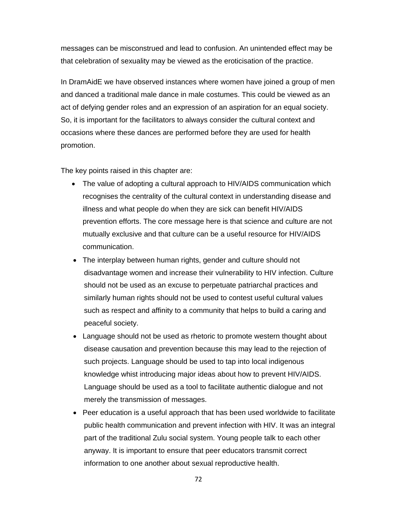messages can be misconstrued and lead to confusion. An unintended effect may be that celebration of sexuality may be viewed as the eroticisation of the practice.

In DramAidE we have observed instances where women have joined a group of men and danced a traditional male dance in male costumes. This could be viewed as an act of defying gender roles and an expression of an aspiration for an equal society. So, it is important for the facilitators to always consider the cultural context and occasions where these dances are performed before they are used for health promotion.

The key points raised in this chapter are:

- The value of adopting a cultural approach to HIV/AIDS communication which recognises the centrality of the cultural context in understanding disease and illness and what people do when they are sick can benefit HIV/AIDS prevention efforts. The core message here is that science and culture are not mutually exclusive and that culture can be a useful resource for HIV/AIDS communication.
- The interplay between human rights, gender and culture should not disadvantage women and increase their vulnerability to HIV infection. Culture should not be used as an excuse to perpetuate patriarchal practices and similarly human rights should not be used to contest useful cultural values such as respect and affinity to a community that helps to build a caring and peaceful society.
- Language should not be used as rhetoric to promote western thought about disease causation and prevention because this may lead to the rejection of such projects. Language should be used to tap into local indigenous knowledge whist introducing major ideas about how to prevent HIV/AIDS. Language should be used as a tool to facilitate authentic dialogue and not merely the transmission of messages.
- Peer education is a useful approach that has been used worldwide to facilitate public health communication and prevent infection with HIV. It was an integral part of the traditional Zulu social system. Young people talk to each other anyway. It is important to ensure that peer educators transmit correct information to one another about sexual reproductive health.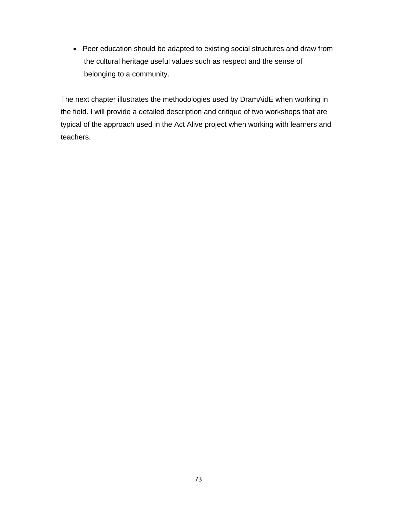• Peer education should be adapted to existing social structures and draw from the cultural heritage useful values such as respect and the sense of belonging to a community.

The next chapter illustrates the methodologies used by DramAidE when working in the field. I will provide a detailed description and critique of two workshops that are typical of the approach used in the Act Alive project when working with learners and teachers.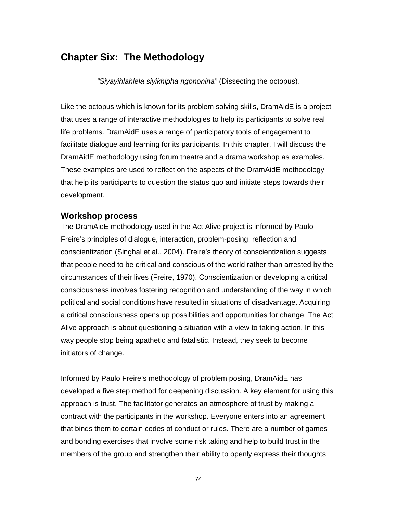# **Chapter Six: The Methodology**

*"Siyayihlahlela siyikhipha ngononina"* (Dissecting the octopus)*.* 

Like the octopus which is known for its problem solving skills, DramAidE is a project that uses a range of interactive methodologies to help its participants to solve real life problems. DramAidE uses a range of participatory tools of engagement to facilitate dialogue and learning for its participants. In this chapter, I will discuss the DramAidE methodology using forum theatre and a drama workshop as examples. These examples are used to reflect on the aspects of the DramAidE methodology that help its participants to question the status quo and initiate steps towards their development.

### **Workshop process**

The DramAidE methodology used in the Act Alive project is informed by Paulo Freire's principles of dialogue, interaction, problem-posing, reflection and conscientization (Singhal et al., 2004). Freire's theory of conscientization suggests that people need to be critical and conscious of the world rather than arrested by the circumstances of their lives (Freire, 1970). Conscientization or developing a critical consciousness involves fostering recognition and understanding of the way in which political and social conditions have resulted in situations of disadvantage. Acquiring a critical consciousness opens up possibilities and opportunities for change. The Act Alive approach is about questioning a situation with a view to taking action. In this way people stop being apathetic and fatalistic. Instead, they seek to become initiators of change.

Informed by Paulo Freire's methodology of problem posing, DramAidE has developed a five step method for deepening discussion. A key element for using this approach is trust. The facilitator generates an atmosphere of trust by making a contract with the participants in the workshop. Everyone enters into an agreement that binds them to certain codes of conduct or rules. There are a number of games and bonding exercises that involve some risk taking and help to build trust in the members of the group and strengthen their ability to openly express their thoughts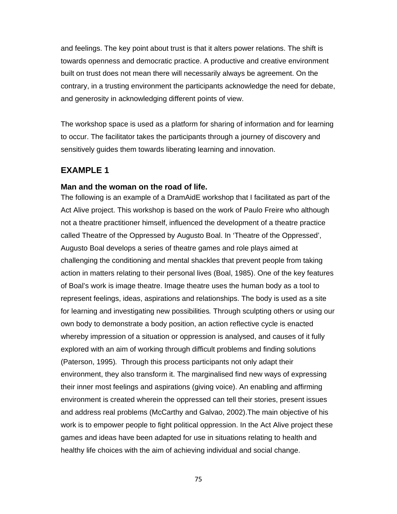and feelings. The key point about trust is that it alters power relations. The shift is towards openness and democratic practice. A productive and creative environment built on trust does not mean there will necessarily always be agreement. On the contrary, in a trusting environment the participants acknowledge the need for debate, and generosity in acknowledging different points of view.

The workshop space is used as a platform for sharing of information and for learning to occur. The facilitator takes the participants through a journey of discovery and sensitively guides them towards liberating learning and innovation.

### **EXAMPLE 1**

#### **Man and the woman on the road of life.**

The following is an example of a DramAidE workshop that I facilitated as part of the Act Alive project. This workshop is based on the work of Paulo Freire who although not a theatre practitioner himself, influenced the development of a theatre practice called Theatre of the Oppressed by Augusto Boal. In 'Theatre of the Oppressed', Augusto Boal develops a series of theatre games and role plays aimed at challenging the conditioning and mental shackles that prevent people from taking action in matters relating to their personal lives (Boal, 1985). One of the key features of Boal's work is image theatre. Image theatre uses the human body as a tool to represent feelings, ideas, aspirations and relationships. The body is used as a site for learning and investigating new possibilities*.* Through sculpting others or using our own body to demonstrate a body position, an action reflective cycle is enacted whereby impression of a situation or oppression is analysed, and causes of it fully explored with an aim of working through difficult problems and finding solutions (Paterson, 1995)*.* Through this process participants not only adapt their environment, they also transform it. The marginalised find new ways of expressing their inner most feelings and aspirations (giving voice). An enabling and affirming environment is created wherein the oppressed can tell their stories, present issues and address real problems (McCarthy and Galvao, 2002).The main objective of his work is to empower people to fight political oppression. In the Act Alive project these games and ideas have been adapted for use in situations relating to health and healthy life choices with the aim of achieving individual and social change.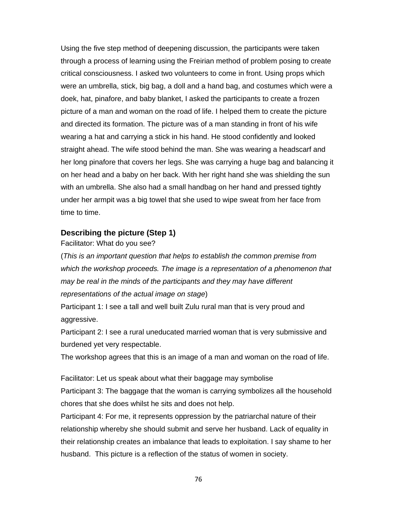Using the five step method of deepening discussion, the participants were taken through a process of learning using the Freirian method of problem posing to create critical consciousness. I asked two volunteers to come in front. Using props which were an umbrella, stick, big bag, a doll and a hand bag, and costumes which were a doek, hat, pinafore, and baby blanket, I asked the participants to create a frozen picture of a man and woman on the road of life. I helped them to create the picture and directed its formation. The picture was of a man standing in front of his wife wearing a hat and carrying a stick in his hand. He stood confidently and looked straight ahead. The wife stood behind the man. She was wearing a headscarf and her long pinafore that covers her legs. She was carrying a huge bag and balancing it on her head and a baby on her back. With her right hand she was shielding the sun with an umbrella. She also had a small handbag on her hand and pressed tightly under her armpit was a big towel that she used to wipe sweat from her face from time to time.

### **Describing the picture (Step 1)**

Facilitator: What do you see?

(*This is an important question that helps to establish the common premise from which the workshop proceeds. The image is a representation of a phenomenon that may be real in the minds of the participants and they may have different representations of the actual image on stage*)

Participant 1: I see a tall and well built Zulu rural man that is very proud and aggressive.

Participant 2: I see a rural uneducated married woman that is very submissive and burdened yet very respectable.

The workshop agrees that this is an image of a man and woman on the road of life.

Facilitator: Let us speak about what their baggage may symbolise Participant 3: The baggage that the woman is carrying symbolizes all the household chores that she does whilst he sits and does not help.

Participant 4: For me, it represents oppression by the patriarchal nature of their relationship whereby she should submit and serve her husband. Lack of equality in their relationship creates an imbalance that leads to exploitation. I say shame to her husband. This picture is a reflection of the status of women in society.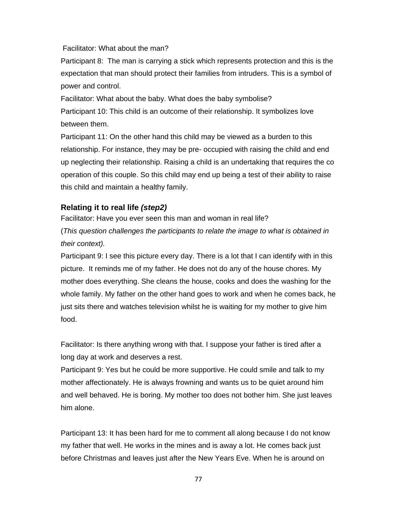Facilitator: What about the man?

Participant 8: The man is carrying a stick which represents protection and this is the expectation that man should protect their families from intruders. This is a symbol of power and control.

Facilitator: What about the baby. What does the baby symbolise? Participant 10: This child is an outcome of their relationship. It symbolizes love between them.

Participant 11: On the other hand this child may be viewed as a burden to this relationship. For instance, they may be pre- occupied with raising the child and end up neglecting their relationship. Raising a child is an undertaking that requires the co operation of this couple. So this child may end up being a test of their ability to raise this child and maintain a healthy family.

## **Relating it to real life** *(step2)*

Facilitator: Have you ever seen this man and woman in real life? (*This question challenges the participants to relate the image to what is obtained in their context).* 

Participant 9: I see this picture every day. There is a lot that I can identify with in this picture. It reminds me of my father. He does not do any of the house chores. My mother does everything. She cleans the house, cooks and does the washing for the whole family. My father on the other hand goes to work and when he comes back, he just sits there and watches television whilst he is waiting for my mother to give him food.

Facilitator: Is there anything wrong with that. I suppose your father is tired after a long day at work and deserves a rest.

Participant 9: Yes but he could be more supportive. He could smile and talk to my mother affectionately. He is always frowning and wants us to be quiet around him and well behaved. He is boring. My mother too does not bother him. She just leaves him alone.

Participant 13: It has been hard for me to comment all along because I do not know my father that well. He works in the mines and is away a lot. He comes back just before Christmas and leaves just after the New Years Eve. When he is around on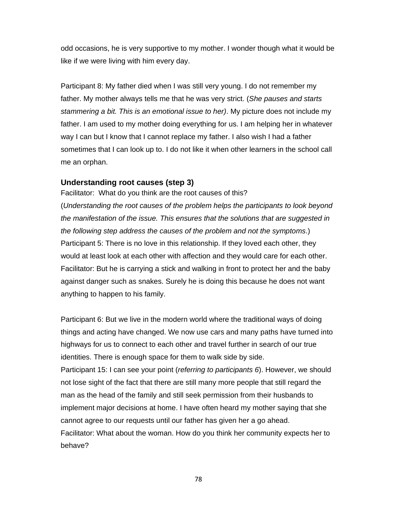odd occasions, he is very supportive to my mother. I wonder though what it would be like if we were living with him every day.

Participant 8: My father died when I was still very young. I do not remember my father. My mother always tells me that he was very strict. (*She pauses and starts stammering a bit. This is an emotional issue to her)*. My picture does not include my father. I am used to my mother doing everything for us. I am helping her in whatever way I can but I know that I cannot replace my father. I also wish I had a father sometimes that I can look up to. I do not like it when other learners in the school call me an orphan.

### **Understanding root causes (step 3)**

Facilitator: What do you think are the root causes of this? (*Understanding the root causes of the problem helps the participants to look beyond the manifestation of the issue. This ensures that the solutions that are suggested in the following step address the causes of the problem and not the symptoms*.) Participant 5: There is no love in this relationship. If they loved each other, they would at least look at each other with affection and they would care for each other. Facilitator: But he is carrying a stick and walking in front to protect her and the baby against danger such as snakes. Surely he is doing this because he does not want anything to happen to his family.

Participant 6: But we live in the modern world where the traditional ways of doing things and acting have changed. We now use cars and many paths have turned into highways for us to connect to each other and travel further in search of our true identities. There is enough space for them to walk side by side. Participant 15: I can see your point (*referring to participants 6*). However, we should not lose sight of the fact that there are still many more people that still regard the man as the head of the family and still seek permission from their husbands to implement major decisions at home. I have often heard my mother saying that she cannot agree to our requests until our father has given her a go ahead. Facilitator: What about the woman. How do you think her community expects her to behave?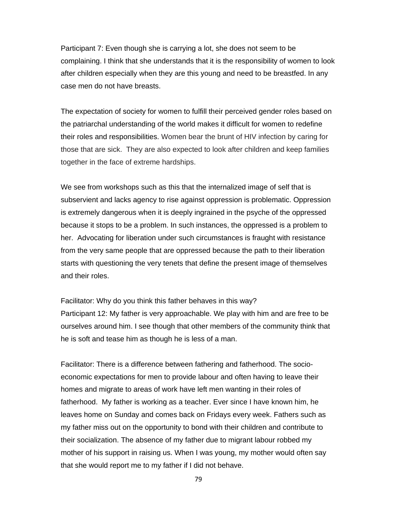Participant 7: Even though she is carrying a lot, she does not seem to be complaining. I think that she understands that it is the responsibility of women to look after children especially when they are this young and need to be breastfed. In any case men do not have breasts.

The expectation of society for women to fulfill their perceived gender roles based on the patriarchal understanding of the world makes it difficult for women to redefine their roles and responsibilities. Women bear the brunt of HIV infection by caring for those that are sick. They are also expected to look after children and keep families together in the face of extreme hardships.

We see from workshops such as this that the internalized image of self that is subservient and lacks agency to rise against oppression is problematic. Oppression is extremely dangerous when it is deeply ingrained in the psyche of the oppressed because it stops to be a problem. In such instances, the oppressed is a problem to her. Advocating for liberation under such circumstances is fraught with resistance from the very same people that are oppressed because the path to their liberation starts with questioning the very tenets that define the present image of themselves and their roles.

Facilitator: Why do you think this father behaves in this way? Participant 12: My father is very approachable. We play with him and are free to be ourselves around him. I see though that other members of the community think that he is soft and tease him as though he is less of a man.

Facilitator: There is a difference between fathering and fatherhood. The socioeconomic expectations for men to provide labour and often having to leave their homes and migrate to areas of work have left men wanting in their roles of fatherhood. My father is working as a teacher. Ever since I have known him, he leaves home on Sunday and comes back on Fridays every week. Fathers such as my father miss out on the opportunity to bond with their children and contribute to their socialization. The absence of my father due to migrant labour robbed my mother of his support in raising us. When I was young, my mother would often say that she would report me to my father if I did not behave.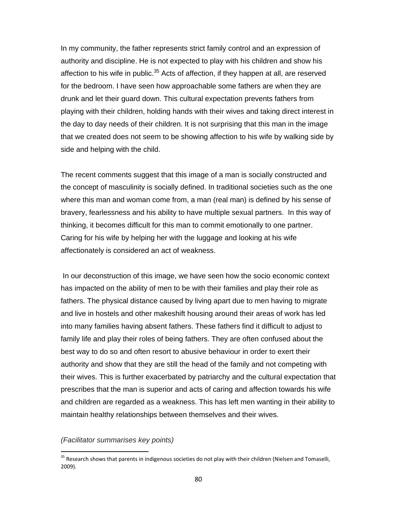In my community, the father represents strict family control and an expression of authority and discipline. He is not expected to play with his children and show his affection to his wife in public. $35$  Acts of affection, if they happen at all, are reserved for the bedroom. I have seen how approachable some fathers are when they are drunk and let their guard down. This cultural expectation prevents fathers from playing with their children, holding hands with their wives and taking direct interest in the day to day needs of their children. It is not surprising that this man in the image that we created does not seem to be showing affection to his wife by walking side by side and helping with the child.

The recent comments suggest that this image of a man is socially constructed and the concept of masculinity is socially defined. In traditional societies such as the one where this man and woman come from, a man (real man) is defined by his sense of bravery, fearlessness and his ability to have multiple sexual partners. In this way of thinking, it becomes difficult for this man to commit emotionally to one partner. Caring for his wife by helping her with the luggage and looking at his wife affectionately is considered an act of weakness.

 In our deconstruction of this image, we have seen how the socio economic context has impacted on the ability of men to be with their families and play their role as fathers. The physical distance caused by living apart due to men having to migrate and live in hostels and other makeshift housing around their areas of work has led into many families having absent fathers. These fathers find it difficult to adjust to family life and play their roles of being fathers. They are often confused about the best way to do so and often resort to abusive behaviour in order to exert their authority and show that they are still the head of the family and not competing with their wives. This is further exacerbated by patriarchy and the cultural expectation that prescribes that the man is superior and acts of caring and affection towards his wife and children are regarded as a weakness. This has left men wanting in their ability to maintain healthy relationships between themselves and their wives.

#### *(Facilitator summarises key points)*

<sup>&</sup>lt;sup>35</sup> Research shows that parents in indigenous societies do not play with their children (Nielsen and Tomaselli, 2009).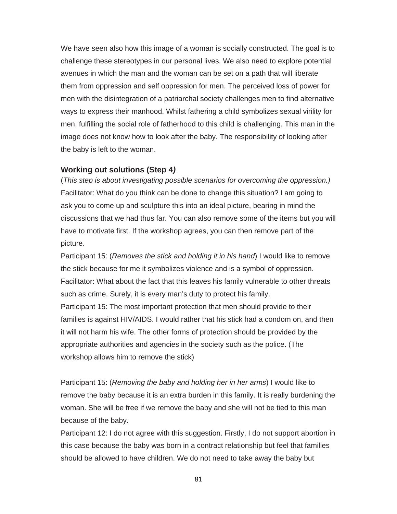We have seen also how this image of a woman is socially constructed. The goal is to challenge these stereotypes in our personal lives. We also need to explore potential avenues in which the man and the woman can be set on a path that will liberate them from oppression and self oppression for men. The perceived loss of power for men with the disintegration of a patriarchal society challenges men to find alternative ways to express their manhood. Whilst fathering a child symbolizes sexual virility for men, fulfilling the social role of fatherhood to this child is challenging. This man in the image does not know how to look after the baby. The responsibility of looking after the baby is left to the woman.

### **Working out solutions (Step 4***)*

(*This step is about investigating possible scenarios for overcoming the oppression.)*  Facilitator: What do you think can be done to change this situation? I am going to ask you to come up and sculpture this into an ideal picture, bearing in mind the discussions that we had thus far. You can also remove some of the items but you will have to motivate first. If the workshop agrees, you can then remove part of the picture.

Participant 15: (*Removes the stick and holding it in his hand*) I would like to remove the stick because for me it symbolizes violence and is a symbol of oppression. Facilitator: What about the fact that this leaves his family vulnerable to other threats such as crime. Surely, it is every man's duty to protect his family.

Participant 15: The most important protection that men should provide to their families is against HIV/AIDS. I would rather that his stick had a condom on, and then it will not harm his wife. The other forms of protection should be provided by the appropriate authorities and agencies in the society such as the police. (The workshop allows him to remove the stick)

Participant 15: (*Removing the baby and holding her in her arms*) I would like to remove the baby because it is an extra burden in this family. It is really burdening the woman. She will be free if we remove the baby and she will not be tied to this man because of the baby.

Participant 12: I do not agree with this suggestion. Firstly, I do not support abortion in this case because the baby was born in a contract relationship but feel that families should be allowed to have children. We do not need to take away the baby but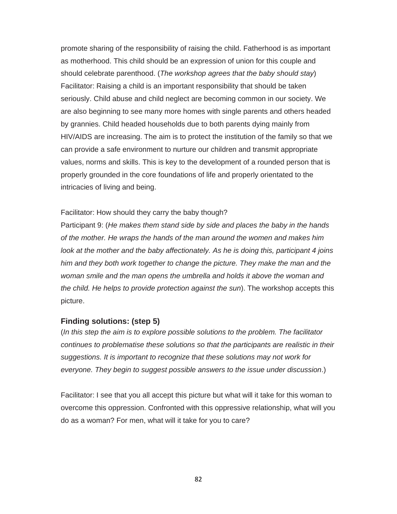promote sharing of the responsibility of raising the child. Fatherhood is as important as motherhood. This child should be an expression of union for this couple and should celebrate parenthood. (*The workshop agrees that the baby should stay*) Facilitator: Raising a child is an important responsibility that should be taken seriously. Child abuse and child neglect are becoming common in our society. We are also beginning to see many more homes with single parents and others headed by grannies. Child headed households due to both parents dying mainly from HIV/AIDS are increasing. The aim is to protect the institution of the family so that we can provide a safe environment to nurture our children and transmit appropriate values, norms and skills. This is key to the development of a rounded person that is properly grounded in the core foundations of life and properly orientated to the intricacies of living and being.

#### Facilitator: How should they carry the baby though?

Participant 9: (*He makes them stand side by side and places the baby in the hands of the mother. He wraps the hands of the man around the women and makes him look at the mother and the baby affectionately. As he is doing this, participant 4 joins him and they both work together to change the picture. They make the man and the woman smile and the man opens the umbrella and holds it above the woman and the child. He helps to provide protection against the sun*). The workshop accepts this picture.

#### **Finding solutions: (step 5)**

(*In this step the aim is to explore possible solutions to the problem. The facilitator continues to problematise these solutions so that the participants are realistic in their suggestions. It is important to recognize that these solutions may not work for everyone. They begin to suggest possible answers to the issue under discussion*.)

Facilitator: I see that you all accept this picture but what will it take for this woman to overcome this oppression. Confronted with this oppressive relationship, what will you do as a woman? For men, what will it take for you to care?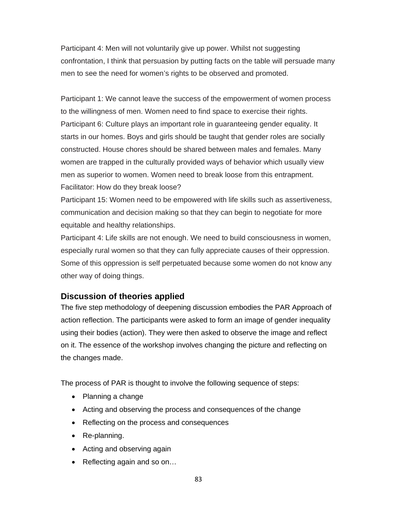Participant 4: Men will not voluntarily give up power. Whilst not suggesting confrontation, I think that persuasion by putting facts on the table will persuade many men to see the need for women's rights to be observed and promoted.

Participant 1: We cannot leave the success of the empowerment of women process to the willingness of men. Women need to find space to exercise their rights. Participant 6: Culture plays an important role in guaranteeing gender equality. It starts in our homes. Boys and girls should be taught that gender roles are socially constructed. House chores should be shared between males and females. Many women are trapped in the culturally provided ways of behavior which usually view men as superior to women. Women need to break loose from this entrapment. Facilitator: How do they break loose?

Participant 15: Women need to be empowered with life skills such as assertiveness, communication and decision making so that they can begin to negotiate for more equitable and healthy relationships.

Participant 4: Life skills are not enough. We need to build consciousness in women, especially rural women so that they can fully appreciate causes of their oppression. Some of this oppression is self perpetuated because some women do not know any other way of doing things.

### **Discussion of theories applied**

The five step methodology of deepening discussion embodies the PAR Approach of action reflection. The participants were asked to form an image of gender inequality using their bodies (action). They were then asked to observe the image and reflect on it. The essence of the workshop involves changing the picture and reflecting on the changes made.

The process of PAR is thought to involve the following sequence of steps:

- Planning a change
- Acting and observing the process and consequences of the change
- Reflecting on the process and consequences
- Re-planning.
- Acting and observing again
- Reflecting again and so on...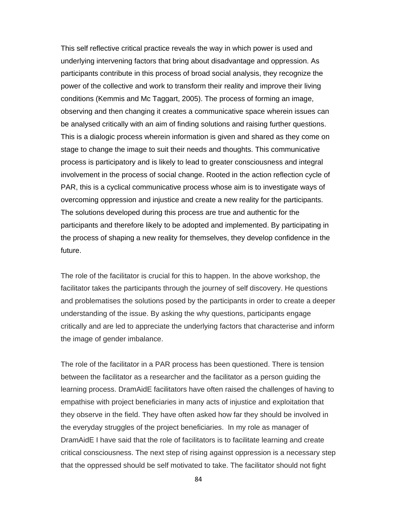This self reflective critical practice reveals the way in which power is used and underlying intervening factors that bring about disadvantage and oppression. As participants contribute in this process of broad social analysis, they recognize the power of the collective and work to transform their reality and improve their living conditions (Kemmis and Mc Taggart, 2005). The process of forming an image, observing and then changing it creates a communicative space wherein issues can be analysed critically with an aim of finding solutions and raising further questions. This is a dialogic process wherein information is given and shared as they come on stage to change the image to suit their needs and thoughts. This communicative process is participatory and is likely to lead to greater consciousness and integral involvement in the process of social change. Rooted in the action reflection cycle of PAR, this is a cyclical communicative process whose aim is to investigate ways of overcoming oppression and injustice and create a new reality for the participants. The solutions developed during this process are true and authentic for the participants and therefore likely to be adopted and implemented. By participating in the process of shaping a new reality for themselves, they develop confidence in the future.

The role of the facilitator is crucial for this to happen. In the above workshop, the facilitator takes the participants through the journey of self discovery. He questions and problematises the solutions posed by the participants in order to create a deeper understanding of the issue. By asking the why questions, participants engage critically and are led to appreciate the underlying factors that characterise and inform the image of gender imbalance.

The role of the facilitator in a PAR process has been questioned. There is tension between the facilitator as a researcher and the facilitator as a person guiding the learning process. DramAidE facilitators have often raised the challenges of having to empathise with project beneficiaries in many acts of injustice and exploitation that they observe in the field. They have often asked how far they should be involved in the everyday struggles of the project beneficiaries. In my role as manager of DramAidE I have said that the role of facilitators is to facilitate learning and create critical consciousness. The next step of rising against oppression is a necessary step that the oppressed should be self motivated to take. The facilitator should not fight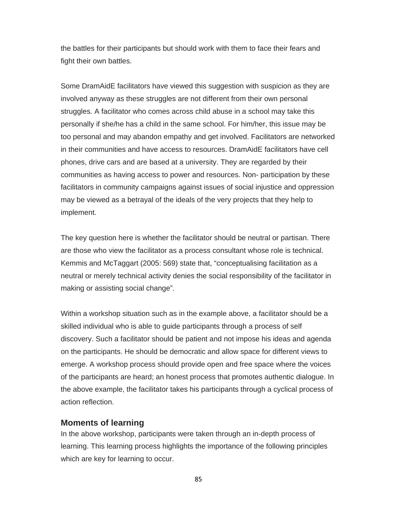the battles for their participants but should work with them to face their fears and fight their own battles.

Some DramAidE facilitators have viewed this suggestion with suspicion as they are involved anyway as these struggles are not different from their own personal struggles. A facilitator who comes across child abuse in a school may take this personally if she/he has a child in the same school. For him/her, this issue may be too personal and may abandon empathy and get involved. Facilitators are networked in their communities and have access to resources. DramAidE facilitators have cell phones, drive cars and are based at a university. They are regarded by their communities as having access to power and resources. Non- participation by these facilitators in community campaigns against issues of social injustice and oppression may be viewed as a betrayal of the ideals of the very projects that they help to implement.

The key question here is whether the facilitator should be neutral or partisan. There are those who view the facilitator as a process consultant whose role is technical. Kemmis and McTaggart (2005: 569) state that, "conceptualising facilitation as a neutral or merely technical activity denies the social responsibility of the facilitator in making or assisting social change".

Within a workshop situation such as in the example above, a facilitator should be a skilled individual who is able to guide participants through a process of self discovery. Such a facilitator should be patient and not impose his ideas and agenda on the participants. He should be democratic and allow space for different views to emerge. A workshop process should provide open and free space where the voices of the participants are heard; an honest process that promotes authentic dialogue. In the above example, the facilitator takes his participants through a cyclical process of action reflection.

### **Moments of learning**

In the above workshop, participants were taken through an in-depth process of learning. This learning process highlights the importance of the following principles which are key for learning to occur.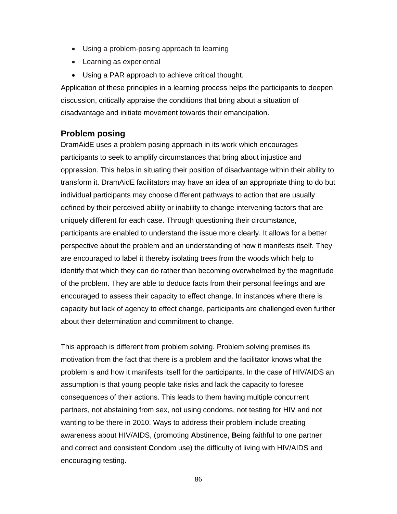- Using a problem-posing approach to learning
- Learning as experiential
- Using a PAR approach to achieve critical thought.

Application of these principles in a learning process helps the participants to deepen discussion, critically appraise the conditions that bring about a situation of disadvantage and initiate movement towards their emancipation.

## **Problem posing**

DramAidE uses a problem posing approach in its work which encourages participants to seek to amplify circumstances that bring about injustice and oppression. This helps in situating their position of disadvantage within their ability to transform it. DramAidE facilitators may have an idea of an appropriate thing to do but individual participants may choose different pathways to action that are usually defined by their perceived ability or inability to change intervening factors that are uniquely different for each case. Through questioning their circumstance, participants are enabled to understand the issue more clearly. It allows for a better perspective about the problem and an understanding of how it manifests itself. They are encouraged to label it thereby isolating trees from the woods which help to identify that which they can do rather than becoming overwhelmed by the magnitude of the problem. They are able to deduce facts from their personal feelings and are encouraged to assess their capacity to effect change. In instances where there is capacity but lack of agency to effect change, participants are challenged even further about their determination and commitment to change.

This approach is different from problem solving. Problem solving premises its motivation from the fact that there is a problem and the facilitator knows what the problem is and how it manifests itself for the participants. In the case of HIV/AIDS an assumption is that young people take risks and lack the capacity to foresee consequences of their actions. This leads to them having multiple concurrent partners, not abstaining from sex, not using condoms, not testing for HIV and not wanting to be there in 2010. Ways to address their problem include creating awareness about HIV/AIDS, (promoting **A**bstinence, **B**eing faithful to one partner and correct and consistent **C**ondom use) the difficulty of living with HIV/AIDS and encouraging testing.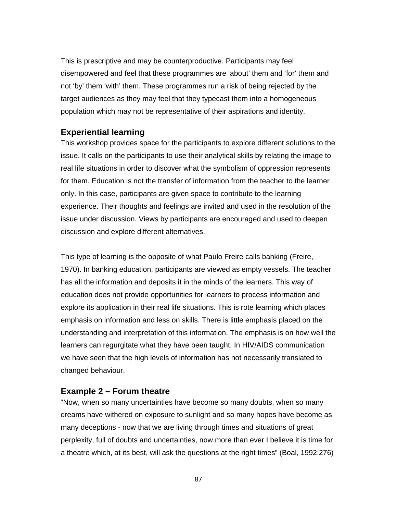This is prescriptive and may be counterproductive. Participants may feel disempowered and feel that these programmes are 'about' them and 'for' them and not 'by' them 'with' them. These programmes run a risk of being rejected by the target audiences as they may feel that they typecast them into a homogeneous population which may not be representative of their aspirations and identity.

### **Experiential learning**

This workshop provides space for the participants to explore different solutions to the issue. It calls on the participants to use their analytical skills by relating the image to real life situations in order to discover what the symbolism of oppression represents for them. Education is not the transfer of information from the teacher to the learner only. In this case, participants are given space to contribute to the learning experience. Their thoughts and feelings are invited and used in the resolution of the issue under discussion. Views by participants are encouraged and used to deepen discussion and explore different alternatives.

This type of learning is the opposite of what Paulo Freire calls banking (Freire, 1970). In banking education, participants are viewed as empty vessels. The teacher has all the information and deposits it in the minds of the learners. This way of education does not provide opportunities for learners to process information and explore its application in their real life situations. This is rote learning which places emphasis on information and less on skills. There is little emphasis placed on the understanding and interpretation of this information. The emphasis is on how well the learners can regurgitate what they have been taught. In HIV/AIDS communication we have seen that the high levels of information has not necessarily translated to changed behaviour.

### **Example 2 – Forum theatre**

"Now, when so many uncertainties have become so many doubts, when so many dreams have withered on exposure to sunlight and so many hopes have become as many deceptions - now that we are living through times and situations of great perplexity, full of doubts and uncertainties, now more than ever I believe it is time for a theatre which, at its best, will ask the questions at the right times" (Boal, 1992:276)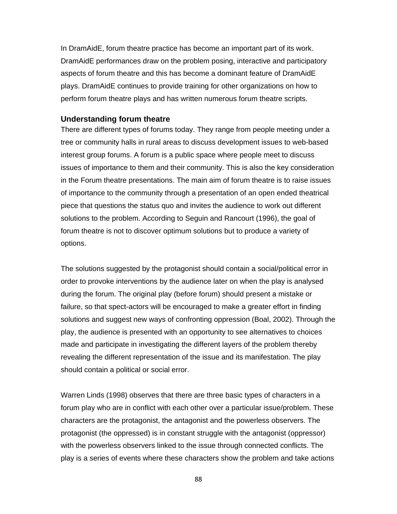In DramAidE, forum theatre practice has become an important part of its work. DramAidE performances draw on the problem posing, interactive and participatory aspects of forum theatre and this has become a dominant feature of DramAidE plays. DramAidE continues to provide training for other organizations on how to perform forum theatre plays and has written numerous forum theatre scripts.

#### **Understanding forum theatre**

There are different types of forums today. They range from people meeting under a tree or community halls in rural areas to discuss development issues to web-based interest group forums. A forum is a public space where people meet to discuss issues of importance to them and their community. This is also the key consideration in the Forum theatre presentations. The main aim of forum theatre is to raise issues of importance to the community through a presentation of an open ended theatrical piece that questions the status quo and invites the audience to work out different solutions to the problem. According to Seguin and Rancourt (1996), the goal of forum theatre is not to discover optimum solutions but to produce a variety of options.

The solutions suggested by the protagonist should contain a social/political error in order to provoke interventions by the audience later on when the play is analysed during the forum. The original play (before forum) should present a mistake or failure, so that spect-actors will be encouraged to make a greater effort in finding solutions and suggest new ways of confronting oppression (Boal, 2002). Through the play, the audience is presented with an opportunity to see alternatives to choices made and participate in investigating the different layers of the problem thereby revealing the different representation of the issue and its manifestation. The play should contain a political or social error.

Warren Linds (1998) observes that there are three basic types of characters in a forum play who are in conflict with each other over a particular issue/problem. These characters are the protagonist, the antagonist and the powerless observers. The protagonist (the oppressed) is in constant struggle with the antagonist (oppressor) with the powerless observers linked to the issue through connected conflicts. The play is a series of events where these characters show the problem and take actions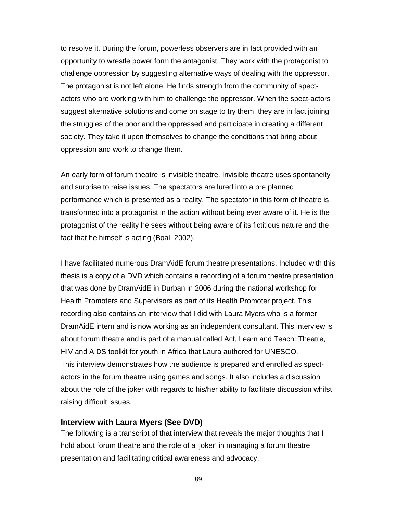to resolve it. During the forum, powerless observers are in fact provided with an opportunity to wrestle power form the antagonist. They work with the protagonist to challenge oppression by suggesting alternative ways of dealing with the oppressor. The protagonist is not left alone. He finds strength from the community of spectactors who are working with him to challenge the oppressor. When the spect-actors suggest alternative solutions and come on stage to try them, they are in fact joining the struggles of the poor and the oppressed and participate in creating a different society. They take it upon themselves to change the conditions that bring about oppression and work to change them.

An early form of forum theatre is invisible theatre. Invisible theatre uses spontaneity and surprise to raise issues. The spectators are lured into a pre planned performance which is presented as a reality. The spectator in this form of theatre is transformed into a protagonist in the action without being ever aware of it. He is the protagonist of the reality he sees without being aware of its fictitious nature and the fact that he himself is acting (Boal, 2002).

I have facilitated numerous DramAidE forum theatre presentations. Included with this thesis is a copy of a DVD which contains a recording of a forum theatre presentation that was done by DramAidE in Durban in 2006 during the national workshop for Health Promoters and Supervisors as part of its Health Promoter project. This recording also contains an interview that I did with Laura Myers who is a former DramAidE intern and is now working as an independent consultant. This interview is about forum theatre and is part of a manual called Act, Learn and Teach: Theatre, HIV and AIDS toolkit for youth in Africa that Laura authored for UNESCO. This interview demonstrates how the audience is prepared and enrolled as spectactors in the forum theatre using games and songs. It also includes a discussion about the role of the joker with regards to his/her ability to facilitate discussion whilst raising difficult issues.

#### **Interview with Laura Myers (See DVD)**

The following is a transcript of that interview that reveals the major thoughts that I hold about forum theatre and the role of a 'joker' in managing a forum theatre presentation and facilitating critical awareness and advocacy.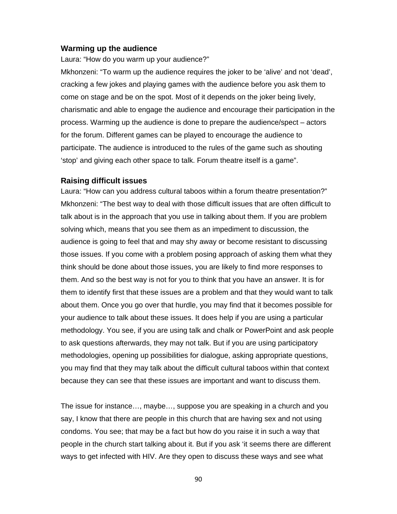#### **Warming up the audience**

Laura: "How do you warm up your audience?"

Mkhonzeni: "To warm up the audience requires the joker to be 'alive' and not 'dead', cracking a few jokes and playing games with the audience before you ask them to come on stage and be on the spot. Most of it depends on the joker being lively, charismatic and able to engage the audience and encourage their participation in the process. Warming up the audience is done to prepare the audience/spect – actors for the forum. Different games can be played to encourage the audience to participate. The audience is introduced to the rules of the game such as shouting 'stop' and giving each other space to talk. Forum theatre itself is a game".

#### **Raising difficult issues**

Laura: "How can you address cultural taboos within a forum theatre presentation?" Mkhonzeni: "The best way to deal with those difficult issues that are often difficult to talk about is in the approach that you use in talking about them. If you are problem solving which, means that you see them as an impediment to discussion, the audience is going to feel that and may shy away or become resistant to discussing those issues. If you come with a problem posing approach of asking them what they think should be done about those issues, you are likely to find more responses to them. And so the best way is not for you to think that you have an answer. It is for them to identify first that these issues are a problem and that they would want to talk about them. Once you go over that hurdle, you may find that it becomes possible for your audience to talk about these issues. It does help if you are using a particular methodology. You see, if you are using talk and chalk or PowerPoint and ask people to ask questions afterwards, they may not talk. But if you are using participatory methodologies, opening up possibilities for dialogue, asking appropriate questions, you may find that they may talk about the difficult cultural taboos within that context because they can see that these issues are important and want to discuss them.

The issue for instance…, maybe…, suppose you are speaking in a church and you say, I know that there are people in this church that are having sex and not using condoms. You see; that may be a fact but how do you raise it in such a way that people in the church start talking about it. But if you ask 'it seems there are different ways to get infected with HIV. Are they open to discuss these ways and see what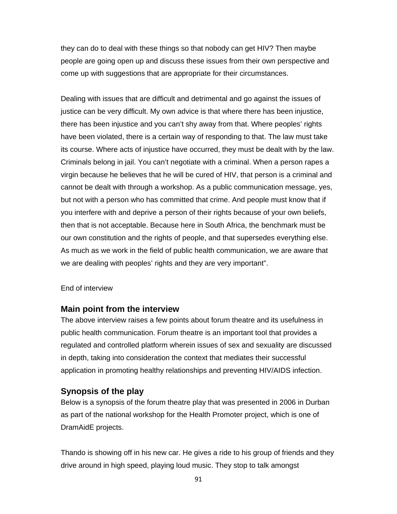they can do to deal with these things so that nobody can get HIV? Then maybe people are going open up and discuss these issues from their own perspective and come up with suggestions that are appropriate for their circumstances.

Dealing with issues that are difficult and detrimental and go against the issues of justice can be very difficult. My own advice is that where there has been injustice, there has been injustice and you can't shy away from that. Where peoples' rights have been violated, there is a certain way of responding to that. The law must take its course. Where acts of injustice have occurred, they must be dealt with by the law. Criminals belong in jail. You can't negotiate with a criminal. When a person rapes a virgin because he believes that he will be cured of HIV, that person is a criminal and cannot be dealt with through a workshop. As a public communication message, yes, but not with a person who has committed that crime. And people must know that if you interfere with and deprive a person of their rights because of your own beliefs, then that is not acceptable. Because here in South Africa, the benchmark must be our own constitution and the rights of people, and that supersedes everything else. As much as we work in the field of public health communication, we are aware that we are dealing with peoples' rights and they are very important".

#### End of interview

### **Main point from the interview**

The above interview raises a few points about forum theatre and its usefulness in public health communication. Forum theatre is an important tool that provides a regulated and controlled platform wherein issues of sex and sexuality are discussed in depth, taking into consideration the context that mediates their successful application in promoting healthy relationships and preventing HIV/AIDS infection.

### **Synopsis of the play**

Below is a synopsis of the forum theatre play that was presented in 2006 in Durban as part of the national workshop for the Health Promoter project, which is one of DramAidE projects.

Thando is showing off in his new car. He gives a ride to his group of friends and they drive around in high speed, playing loud music. They stop to talk amongst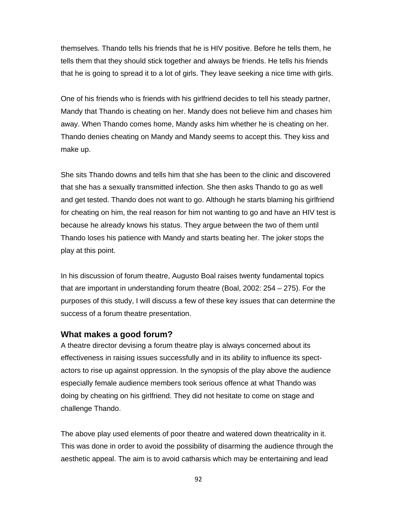themselves. Thando tells his friends that he is HIV positive. Before he tells them, he tells them that they should stick together and always be friends. He tells his friends that he is going to spread it to a lot of girls. They leave seeking a nice time with girls.

One of his friends who is friends with his girlfriend decides to tell his steady partner, Mandy that Thando is cheating on her. Mandy does not believe him and chases him away. When Thando comes home, Mandy asks him whether he is cheating on her. Thando denies cheating on Mandy and Mandy seems to accept this. They kiss and make up.

She sits Thando downs and tells him that she has been to the clinic and discovered that she has a sexually transmitted infection. She then asks Thando to go as well and get tested. Thando does not want to go. Although he starts blaming his girlfriend for cheating on him, the real reason for him not wanting to go and have an HIV test is because he already knows his status. They argue between the two of them until Thando loses his patience with Mandy and starts beating her. The joker stops the play at this point.

In his discussion of forum theatre, Augusto Boal raises twenty fundamental topics that are important in understanding forum theatre (Boal, 2002: 254 – 275). For the purposes of this study, I will discuss a few of these key issues that can determine the success of a forum theatre presentation.

### **What makes a good forum?**

A theatre director devising a forum theatre play is always concerned about its effectiveness in raising issues successfully and in its ability to influence its spectactors to rise up against oppression. In the synopsis of the play above the audience especially female audience members took serious offence at what Thando was doing by cheating on his girlfriend. They did not hesitate to come on stage and challenge Thando.

The above play used elements of poor theatre and watered down theatricality in it. This was done in order to avoid the possibility of disarming the audience through the aesthetic appeal. The aim is to avoid catharsis which may be entertaining and lead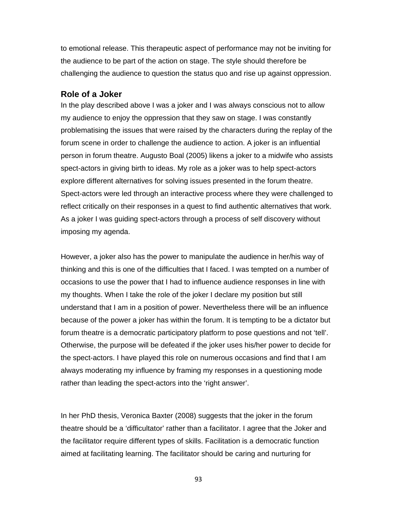to emotional release. This therapeutic aspect of performance may not be inviting for the audience to be part of the action on stage. The style should therefore be challenging the audience to question the status quo and rise up against oppression.

### **Role of a Joker**

In the play described above I was a joker and I was always conscious not to allow my audience to enjoy the oppression that they saw on stage. I was constantly problematising the issues that were raised by the characters during the replay of the forum scene in order to challenge the audience to action. A joker is an influential person in forum theatre. Augusto Boal (2005) likens a joker to a midwife who assists spect-actors in giving birth to ideas. My role as a joker was to help spect-actors explore different alternatives for solving issues presented in the forum theatre. Spect-actors were led through an interactive process where they were challenged to reflect critically on their responses in a quest to find authentic alternatives that work. As a joker I was guiding spect-actors through a process of self discovery without imposing my agenda.

However, a joker also has the power to manipulate the audience in her/his way of thinking and this is one of the difficulties that I faced. I was tempted on a number of occasions to use the power that I had to influence audience responses in line with my thoughts. When I take the role of the joker I declare my position but still understand that I am in a position of power. Nevertheless there will be an influence because of the power a joker has within the forum. It is tempting to be a dictator but forum theatre is a democratic participatory platform to pose questions and not 'tell'. Otherwise, the purpose will be defeated if the joker uses his/her power to decide for the spect-actors. I have played this role on numerous occasions and find that I am always moderating my influence by framing my responses in a questioning mode rather than leading the spect-actors into the 'right answer'.

In her PhD thesis, Veronica Baxter (2008) suggests that the joker in the forum theatre should be a 'difficultator' rather than a facilitator. I agree that the Joker and the facilitator require different types of skills. Facilitation is a democratic function aimed at facilitating learning. The facilitator should be caring and nurturing for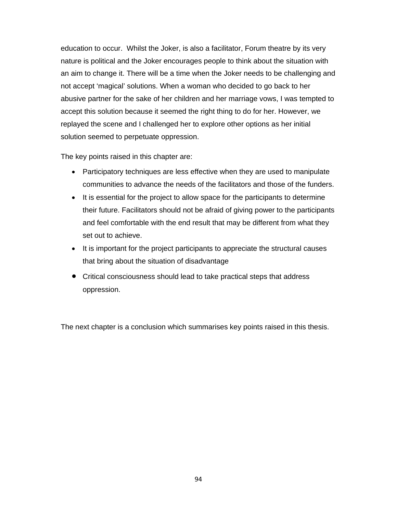education to occur. Whilst the Joker, is also a facilitator, Forum theatre by its very nature is political and the Joker encourages people to think about the situation with an aim to change it. There will be a time when the Joker needs to be challenging and not accept 'magical' solutions. When a woman who decided to go back to her abusive partner for the sake of her children and her marriage vows, I was tempted to accept this solution because it seemed the right thing to do for her. However, we replayed the scene and I challenged her to explore other options as her initial solution seemed to perpetuate oppression.

The key points raised in this chapter are:

- Participatory techniques are less effective when they are used to manipulate communities to advance the needs of the facilitators and those of the funders.
- It is essential for the project to allow space for the participants to determine their future. Facilitators should not be afraid of giving power to the participants and feel comfortable with the end result that may be different from what they set out to achieve.
- It is important for the project participants to appreciate the structural causes that bring about the situation of disadvantage
- Critical consciousness should lead to take practical steps that address oppression.

The next chapter is a conclusion which summarises key points raised in this thesis.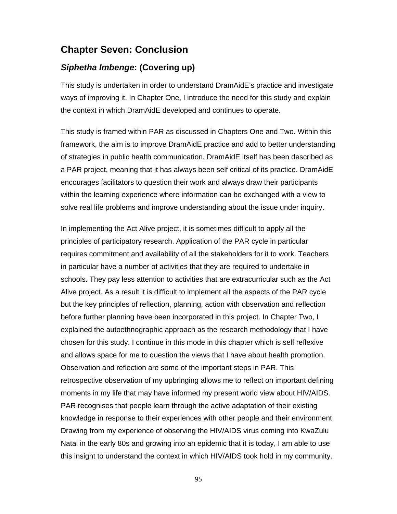# **Chapter Seven: Conclusion**

## *Siphetha Imbenge***: (Covering up)**

This study is undertaken in order to understand DramAidE's practice and investigate ways of improving it. In Chapter One, I introduce the need for this study and explain the context in which DramAidE developed and continues to operate.

This study is framed within PAR as discussed in Chapters One and Two. Within this framework, the aim is to improve DramAidE practice and add to better understanding of strategies in public health communication. DramAidE itself has been described as a PAR project, meaning that it has always been self critical of its practice. DramAidE encourages facilitators to question their work and always draw their participants within the learning experience where information can be exchanged with a view to solve real life problems and improve understanding about the issue under inquiry.

In implementing the Act Alive project, it is sometimes difficult to apply all the principles of participatory research. Application of the PAR cycle in particular requires commitment and availability of all the stakeholders for it to work. Teachers in particular have a number of activities that they are required to undertake in schools. They pay less attention to activities that are extracurricular such as the Act Alive project. As a result it is difficult to implement all the aspects of the PAR cycle but the key principles of reflection, planning, action with observation and reflection before further planning have been incorporated in this project. In Chapter Two, I explained the autoethnographic approach as the research methodology that I have chosen for this study. I continue in this mode in this chapter which is self reflexive and allows space for me to question the views that I have about health promotion. Observation and reflection are some of the important steps in PAR. This retrospective observation of my upbringing allows me to reflect on important defining moments in my life that may have informed my present world view about HIV/AIDS. PAR recognises that people learn through the active adaptation of their existing knowledge in response to their experiences with other people and their environment. Drawing from my experience of observing the HIV/AIDS virus coming into KwaZulu Natal in the early 80s and growing into an epidemic that it is today, I am able to use this insight to understand the context in which HIV/AIDS took hold in my community.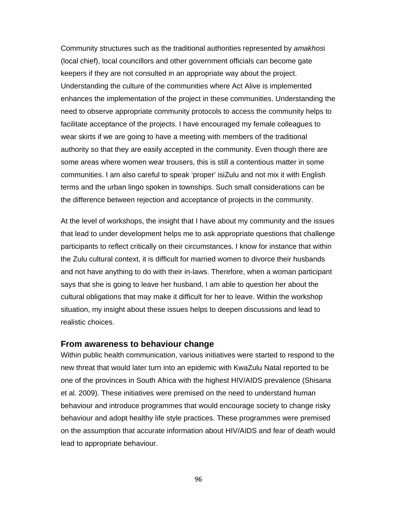Community structures such as the traditional authorities represented by *amakhos*i (local chief), local councillors and other government officials can become gate keepers if they are not consulted in an appropriate way about the project. Understanding the culture of the communities where Act Alive is implemented enhances the implementation of the project in these communities. Understanding the need to observe appropriate community protocols to access the community helps to facilitate acceptance of the projects. I have encouraged my female colleagues to wear skirts if we are going to have a meeting with members of the traditional authority so that they are easily accepted in the community. Even though there are some areas where women wear trousers, this is still a contentious matter in some communities. I am also careful to speak 'proper' isiZulu and not mix it with English terms and the urban lingo spoken in townships. Such small considerations can be the difference between rejection and acceptance of projects in the community.

At the level of workshops, the insight that I have about my community and the issues that lead to under development helps me to ask appropriate questions that challenge participants to reflect critically on their circumstances. I know for instance that within the Zulu cultural context, it is difficult for married women to divorce their husbands and not have anything to do with their in-laws. Therefore, when a woman participant says that she is going to leave her husband, I am able to question her about the cultural obligations that may make it difficult for her to leave. Within the workshop situation, my insight about these issues helps to deepen discussions and lead to realistic choices.

#### **From awareness to behaviour change**

Within public health communication, various initiatives were started to respond to the new threat that would later turn into an epidemic with KwaZulu Natal reported to be one of the provinces in South Africa with the highest HIV/AIDS prevalence (Shisana et al. 2009). These initiatives were premised on the need to understand human behaviour and introduce programmes that would encourage society to change risky behaviour and adopt healthy life style practices. These programmes were premised on the assumption that accurate information about HIV/AIDS and fear of death would lead to appropriate behaviour.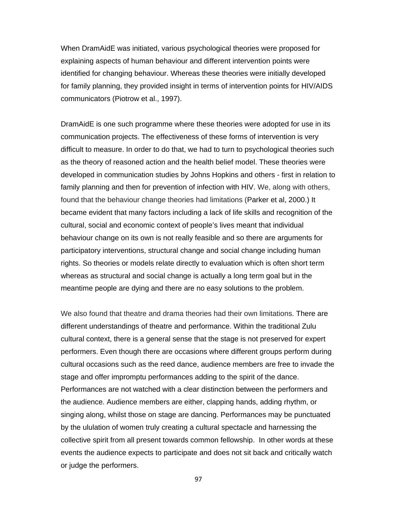When DramAidE was initiated, various psychological theories were proposed for explaining aspects of human behaviour and different intervention points were identified for changing behaviour. Whereas these theories were initially developed for family planning, they provided insight in terms of intervention points for HIV/AIDS communicators (Piotrow et al., 1997).

DramAidE is one such programme where these theories were adopted for use in its communication projects. The effectiveness of these forms of intervention is very difficult to measure. In order to do that, we had to turn to psychological theories such as the theory of reasoned action and the health belief model. These theories were developed in communication studies by Johns Hopkins and others - first in relation to family planning and then for prevention of infection with HIV. We, along with others, found that the behaviour change theories had limitations (Parker et al, 2000.) It became evident that many factors including a lack of life skills and recognition of the cultural, social and economic context of people's lives meant that individual behaviour change on its own is not really feasible and so there are arguments for participatory interventions, structural change and social change including human rights. So theories or models relate directly to evaluation which is often short term whereas as structural and social change is actually a long term goal but in the meantime people are dying and there are no easy solutions to the problem.

We also found that theatre and drama theories had their own limitations. There are different understandings of theatre and performance. Within the traditional Zulu cultural context, there is a general sense that the stage is not preserved for expert performers. Even though there are occasions where different groups perform during cultural occasions such as the reed dance, audience members are free to invade the stage and offer impromptu performances adding to the spirit of the dance. Performances are not watched with a clear distinction between the performers and the audience. Audience members are either, clapping hands, adding rhythm, or singing along, whilst those on stage are dancing. Performances may be punctuated by the ululation of women truly creating a cultural spectacle and harnessing the collective spirit from all present towards common fellowship. In other words at these events the audience expects to participate and does not sit back and critically watch or judge the performers.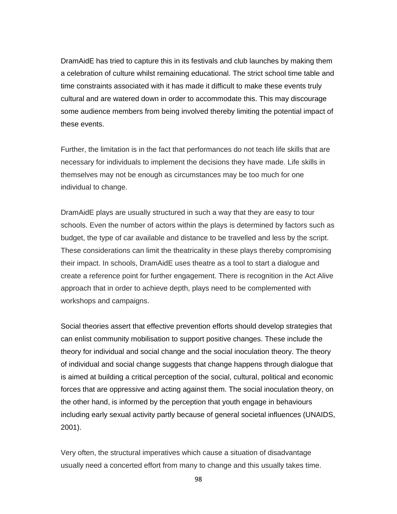DramAidE has tried to capture this in its festivals and club launches by making them a celebration of culture whilst remaining educational. The strict school time table and time constraints associated with it has made it difficult to make these events truly cultural and are watered down in order to accommodate this. This may discourage some audience members from being involved thereby limiting the potential impact of these events.

Further, the limitation is in the fact that performances do not teach life skills that are necessary for individuals to implement the decisions they have made. Life skills in themselves may not be enough as circumstances may be too much for one individual to change.

DramAidE plays are usually structured in such a way that they are easy to tour schools. Even the number of actors within the plays is determined by factors such as budget, the type of car available and distance to be travelled and less by the script. These considerations can limit the theatricality in these plays thereby compromising their impact. In schools, DramAidE uses theatre as a tool to start a dialogue and create a reference point for further engagement. There is recognition in the Act Alive approach that in order to achieve depth, plays need to be complemented with workshops and campaigns.

Social theories assert that effective prevention efforts should develop strategies that can enlist community mobilisation to support positive changes. These include the theory for individual and social change and the social inoculation theory. The theory of individual and social change suggests that change happens through dialogue that is aimed at building a critical perception of the social, cultural, political and economic forces that are oppressive and acting against them. The social inoculation theory, on the other hand, is informed by the perception that youth engage in behaviours including early sexual activity partly because of general societal influences (UNAIDS, 2001).

Very often, the structural imperatives which cause a situation of disadvantage usually need a concerted effort from many to change and this usually takes time.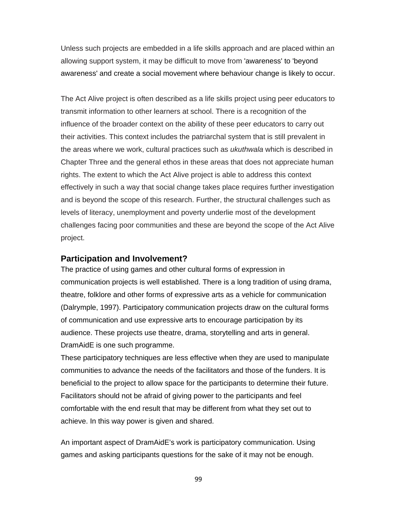Unless such projects are embedded in a life skills approach and are placed within an allowing support system, it may be difficult to move from 'awareness' to 'beyond awareness' and create a social movement where behaviour change is likely to occur.

The Act Alive project is often described as a life skills project using peer educators to transmit information to other learners at school. There is a recognition of the influence of the broader context on the ability of these peer educators to carry out their activities. This context includes the patriarchal system that is still prevalent in the areas where we work, cultural practices such as *ukuthwala* which is described in Chapter Three and the general ethos in these areas that does not appreciate human rights. The extent to which the Act Alive project is able to address this context effectively in such a way that social change takes place requires further investigation and is beyond the scope of this research. Further, the structural challenges such as levels of literacy, unemployment and poverty underlie most of the development challenges facing poor communities and these are beyond the scope of the Act Alive project.

### **Participation and Involvement?**

The practice of using games and other cultural forms of expression in communication projects is well established. There is a long tradition of using drama, theatre, folklore and other forms of expressive arts as a vehicle for communication (Dalrymple, 1997). Participatory communication projects draw on the cultural forms of communication and use expressive arts to encourage participation by its audience. These projects use theatre, drama, storytelling and arts in general. DramAidE is one such programme.

These participatory techniques are less effective when they are used to manipulate communities to advance the needs of the facilitators and those of the funders. It is beneficial to the project to allow space for the participants to determine their future. Facilitators should not be afraid of giving power to the participants and feel comfortable with the end result that may be different from what they set out to achieve. In this way power is given and shared.

An important aspect of DramAidE's work is participatory communication. Using games and asking participants questions for the sake of it may not be enough.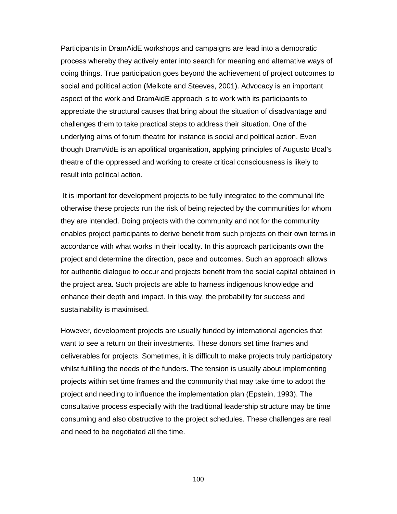Participants in DramAidE workshops and campaigns are lead into a democratic process whereby they actively enter into search for meaning and alternative ways of doing things. True participation goes beyond the achievement of project outcomes to social and political action (Melkote and Steeves, 2001). Advocacy is an important aspect of the work and DramAidE approach is to work with its participants to appreciate the structural causes that bring about the situation of disadvantage and challenges them to take practical steps to address their situation. One of the underlying aims of forum theatre for instance is social and political action. Even though DramAidE is an apolitical organisation, applying principles of Augusto Boal's theatre of the oppressed and working to create critical consciousness is likely to result into political action.

 It is important for development projects to be fully integrated to the communal life otherwise these projects run the risk of being rejected by the communities for whom they are intended. Doing projects with the community and not for the community enables project participants to derive benefit from such projects on their own terms in accordance with what works in their locality. In this approach participants own the project and determine the direction, pace and outcomes. Such an approach allows for authentic dialogue to occur and projects benefit from the social capital obtained in the project area. Such projects are able to harness indigenous knowledge and enhance their depth and impact. In this way, the probability for success and sustainability is maximised.

However, development projects are usually funded by international agencies that want to see a return on their investments. These donors set time frames and deliverables for projects. Sometimes, it is difficult to make projects truly participatory whilst fulfilling the needs of the funders. The tension is usually about implementing projects within set time frames and the community that may take time to adopt the project and needing to influence the implementation plan (Epstein, 1993). The consultative process especially with the traditional leadership structure may be time consuming and also obstructive to the project schedules. These challenges are real and need to be negotiated all the time.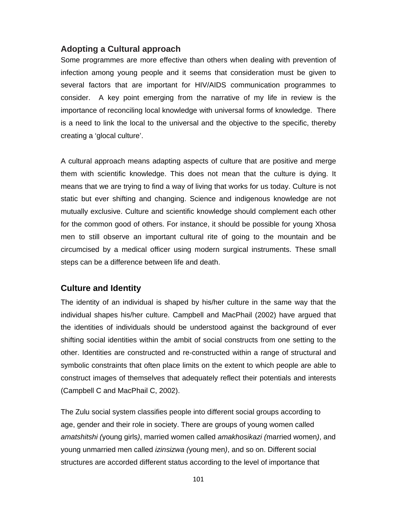### **Adopting a Cultural approach**

Some programmes are more effective than others when dealing with prevention of infection among young people and it seems that consideration must be given to several factors that are important for HIV/AIDS communication programmes to consider. A key point emerging from the narrative of my life in review is the importance of reconciling local knowledge with universal forms of knowledge. There is a need to link the local to the universal and the objective to the specific, thereby creating a 'glocal culture'.

A cultural approach means adapting aspects of culture that are positive and merge them with scientific knowledge. This does not mean that the culture is dying. It means that we are trying to find a way of living that works for us today. Culture is not static but ever shifting and changing. Science and indigenous knowledge are not mutually exclusive. Culture and scientific knowledge should complement each other for the common good of others. For instance, it should be possible for young Xhosa men to still observe an important cultural rite of going to the mountain and be circumcised by a medical officer using modern surgical instruments. These small steps can be a difference between life and death.

### **Culture and Identity**

The identity of an individual is shaped by his/her culture in the same way that the individual shapes his/her culture. Campbell and MacPhail (2002) have argued that the identities of individuals should be understood against the background of ever shifting social identities within the ambit of social constructs from one setting to the other. Identities are constructed and re-constructed within a range of structural and symbolic constraints that often place limits on the extent to which people are able to construct images of themselves that adequately reflect their potentials and interests (Campbell C and MacPhail C, 2002).

The Zulu social system classifies people into different social groups according to age, gender and their role in society. There are groups of young women called *amatshitshi (*young girls*)*, married women called *amakhosikazi (*married women*)*, and young unmarried men called *izinsizwa (*young men*)*, and so on. Different social structures are accorded different status according to the level of importance that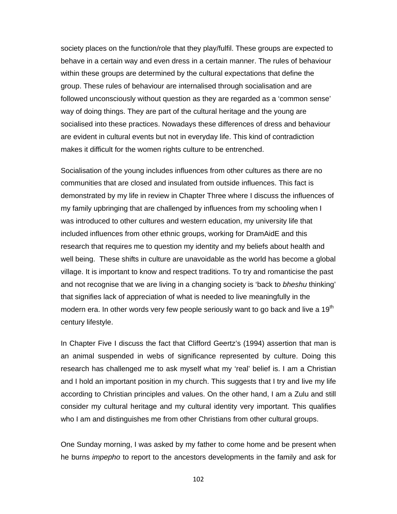society places on the function/role that they play/fulfil. These groups are expected to behave in a certain way and even dress in a certain manner. The rules of behaviour within these groups are determined by the cultural expectations that define the group. These rules of behaviour are internalised through socialisation and are followed unconsciously without question as they are regarded as a 'common sense' way of doing things. They are part of the cultural heritage and the young are socialised into these practices. Nowadays these differences of dress and behaviour are evident in cultural events but not in everyday life. This kind of contradiction makes it difficult for the women rights culture to be entrenched.

Socialisation of the young includes influences from other cultures as there are no communities that are closed and insulated from outside influences. This fact is demonstrated by my life in review in Chapter Three where I discuss the influences of my family upbringing that are challenged by influences from my schooling when I was introduced to other cultures and western education, my university life that included influences from other ethnic groups, working for DramAidE and this research that requires me to question my identity and my beliefs about health and well being. These shifts in culture are unavoidable as the world has become a global village. It is important to know and respect traditions. To try and romanticise the past and not recognise that we are living in a changing society is 'back to *bheshu* thinking' that signifies lack of appreciation of what is needed to live meaningfully in the modern era. In other words very few people seriously want to go back and live a 19<sup>th</sup> century lifestyle.

In Chapter Five I discuss the fact that Clifford Geertz's (1994) assertion that man is an animal suspended in webs of significance represented by culture. Doing this research has challenged me to ask myself what my 'real' belief is. I am a Christian and I hold an important position in my church. This suggests that I try and live my life according to Christian principles and values. On the other hand, I am a Zulu and still consider my cultural heritage and my cultural identity very important. This qualifies who I am and distinguishes me from other Christians from other cultural groups.

One Sunday morning, I was asked by my father to come home and be present when he burns *impepho* to report to the ancestors developments in the family and ask for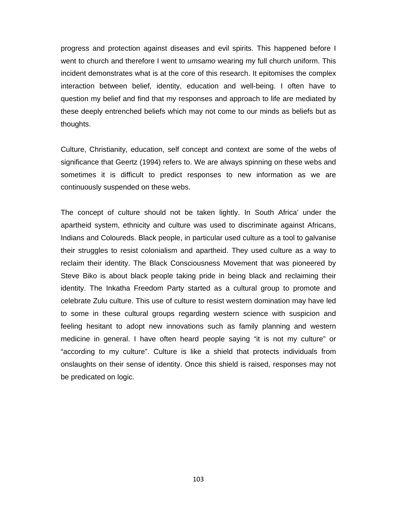progress and protection against diseases and evil spirits. This happened before I went to church and therefore I went to *umsamo* wearing my full church uniform. This incident demonstrates what is at the core of this research. It epitomises the complex interaction between belief, identity, education and well-being. I often have to question my belief and find that my responses and approach to life are mediated by these deeply entrenched beliefs which may not come to our minds as beliefs but as thoughts.

Culture, Christianity, education, self concept and context are some of the webs of significance that Geertz (1994) refers to. We are always spinning on these webs and sometimes it is difficult to predict responses to new information as we are continuously suspended on these webs.

The concept of culture should not be taken lightly. In South Africa' under the apartheid system, ethnicity and culture was used to discriminate against Africans, Indians and Coloureds. Black people, in particular used culture as a tool to galvanise their struggles to resist colonialism and apartheid. They used culture as a way to reclaim their identity. The Black Consciousness Movement that was pioneered by Steve Biko is about black people taking pride in being black and reclaiming their identity. The Inkatha Freedom Party started as a cultural group to promote and celebrate Zulu culture. This use of culture to resist western domination may have led to some in these cultural groups regarding western science with suspicion and feeling hesitant to adopt new innovations such as family planning and western medicine in general. I have often heard people saying "it is not my culture" or "according to my culture". Culture is like a shield that protects individuals from onslaughts on their sense of identity. Once this shield is raised, responses may not be predicated on logic.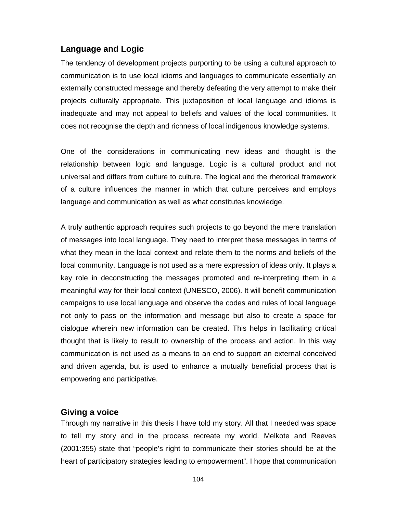### **Language and Logic**

The tendency of development projects purporting to be using a cultural approach to communication is to use local idioms and languages to communicate essentially an externally constructed message and thereby defeating the very attempt to make their projects culturally appropriate. This juxtaposition of local language and idioms is inadequate and may not appeal to beliefs and values of the local communities. It does not recognise the depth and richness of local indigenous knowledge systems.

One of the considerations in communicating new ideas and thought is the relationship between logic and language. Logic is a cultural product and not universal and differs from culture to culture. The logical and the rhetorical framework of a culture influences the manner in which that culture perceives and employs language and communication as well as what constitutes knowledge.

A truly authentic approach requires such projects to go beyond the mere translation of messages into local language. They need to interpret these messages in terms of what they mean in the local context and relate them to the norms and beliefs of the local community. Language is not used as a mere expression of ideas only. It plays a key role in deconstructing the messages promoted and re-interpreting them in a meaningful way for their local context (UNESCO, 2006). It will benefit communication campaigns to use local language and observe the codes and rules of local language not only to pass on the information and message but also to create a space for dialogue wherein new information can be created. This helps in facilitating critical thought that is likely to result to ownership of the process and action. In this way communication is not used as a means to an end to support an external conceived and driven agenda, but is used to enhance a mutually beneficial process that is empowering and participative.

#### **Giving a voice**

Through my narrative in this thesis I have told my story. All that I needed was space to tell my story and in the process recreate my world. Melkote and Reeves (2001:355) state that "people's right to communicate their stories should be at the heart of participatory strategies leading to empowerment". I hope that communication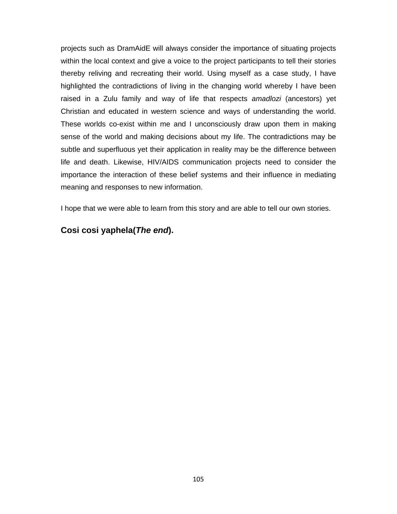projects such as DramAidE will always consider the importance of situating projects within the local context and give a voice to the project participants to tell their stories thereby reliving and recreating their world. Using myself as a case study, I have highlighted the contradictions of living in the changing world whereby I have been raised in a Zulu family and way of life that respects *amadlozi* (ancestors) yet Christian and educated in western science and ways of understanding the world. These worlds co-exist within me and I unconsciously draw upon them in making sense of the world and making decisions about my life. The contradictions may be subtle and superfluous yet their application in reality may be the difference between life and death. Likewise, HIV/AIDS communication projects need to consider the importance the interaction of these belief systems and their influence in mediating meaning and responses to new information.

I hope that we were able to learn from this story and are able to tell our own stories.

## **Cosi cosi yaphela(***The end***).**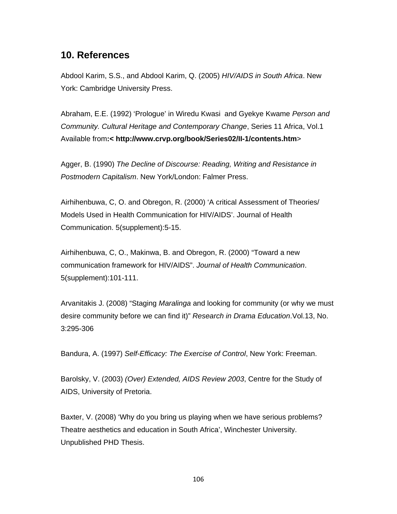# **10. References**

Abdool Karim, S.S., and Abdool Karim, Q. (2005) *HIV/AIDS in South Africa*. New York: Cambridge University Press.

Abraham, E.E. (1992) 'Prologue' in Wiredu Kwasi and Gyekye Kwame *Person and Community. Cultural Heritage and Contemporary Change*, Series 11 Africa, Vol.1 Available from**:< http://www.crvp.org/book/Series02/II-1/contents.htm**>

Agger, B. (1990) *The Decline of Discourse: Reading, Writing and Resistance in Postmodern Capitalism*. New York/London: Falmer Press.

Airhihenbuwa, C, O. and Obregon, R. (2000) 'A critical Assessment of Theories/ Models Used in Health Communication for HIV/AIDS'. Journal of Health Communication. 5(supplement):5-15.

Airhihenbuwa, C, O., Makinwa, B. and Obregon, R. (2000) "Toward a new communication framework for HIV/AIDS". *Journal of Health Communication*. 5(supplement):101-111.

 Arvanitakis J. (2008) "Staging *Maralinga* and looking for community (or why we must desire community before we can find it)" *Research in Drama Education*.Vol.13, No. 3:295-306

Bandura, A. (1997) *Self-Efficacy: The Exercise of Control*, New York: Freeman.

Barolsky, V. (2003) *(Over) Extended, AIDS Review 2003*, Centre for the Study of AIDS, University of Pretoria.

Baxter, V. (2008) 'Why do you bring us playing when we have serious problems? Theatre aesthetics and education in South Africa', Winchester University. Unpublished PHD Thesis.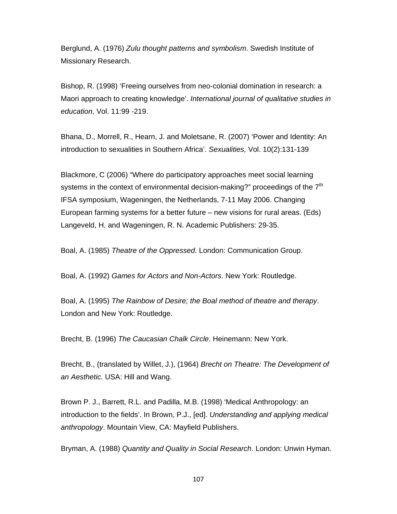Berglund, A. (1976) *Zulu thought patterns and symbolism*. Swedish Institute of Missionary Research.

Bishop, R. (1998) 'Freeing ourselves from neo-colonial domination in research: a Maori approach to creating knowledge'. *International journal of qualitative studies in education,* Vol. 11:99 -219.

Bhana, D., Morrell, R., Hearn, J. and Moletsane, R. (2007) 'Power and Identity: An introduction to sexualities in Southern Africa'. *Sexualities,* Vol. 10(2):131-139

Blackmore, C (2006) "Where do participatory approaches meet social learning systems in the context of environmental decision-making?" proceedings of the  $7<sup>th</sup>$ IFSA symposium, Wageningen, the Netherlands, 7-11 May 2006. Changing European farming systems for a better future – new visions for rural areas. (Eds) Langeveld, H. and Wageningen, R. N. Academic Publishers: 29-35.

Boal, A. (1985) *Theatre of the Oppressed.* London: Communication Group.

Boal, A. (1992) *Games for Actors and Non-Actors*. New York: Routledge.

Boal, A. (1995) *The Rainbow of Desire; the Boal method of theatre and therapy*. London and New York: Routledge.

Brecht, B. (1996) *The Caucasian Chalk Circle*. Heinemann: New York.

Brecht, B., (translated by Willet, J.), (1964) *Brecht on Theatre: The Development of an Aesthetic.* USA: Hill and Wang.

Brown P. J., Barrett, R.L. and Padilla, M.B. (1998) 'Medical Anthropology: an introduction to the fields'. In Brown, P.J., [ed]. *Understanding and applying medical anthropology*. Mountain View, CA: Mayfield Publishers.

Bryman, A. (1988) *Quantity and Quality in Social Research*. London: Unwin Hyman.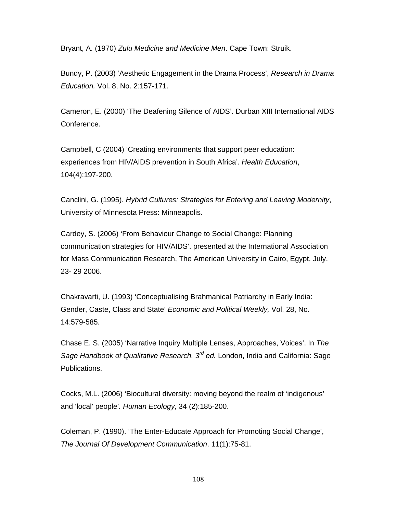Bryant, A. (1970) *Zulu Medicine and Medicine Men*. Cape Town: Struik.

Bundy, P. (2003) 'Aesthetic Engagement in the Drama Process', *Research in Drama Education.* Vol. 8, No. 2:157-171.

Cameron, E. (2000) 'The Deafening Silence of AIDS'. Durban XIII International AIDS Conference.

Campbell, C (2004) 'Creating environments that support peer education: experiences from HIV/AIDS prevention in South Africa'. *Health Education*, 104(4):197-200.

Canclini, G. (1995). *Hybrid Cultures: Strategies for Entering and Leaving Modernity*, University of Minnesota Press: Minneapolis.

Cardey, S. (2006) 'From Behaviour Change to Social Change: Planning communication strategies for HIV/AIDS'. presented at the International Association for Mass Communication Research, The American University in Cairo, Egypt, July, 23- 29 2006.

Chakravarti, U. (1993) 'Conceptualising Brahmanical Patriarchy in Early India: Gender, Caste, Class and State' *Economic and Political Weekly,* Vol. 28, No. 14:579-585.

Chase E. S. (2005) 'Narrative Inquiry Multiple Lenses, Approaches, Voices'. In *The Sage Handbook of Qualitative Research. 3rd ed.* London, India and California: Sage Publications.

Cocks, M.L. (2006) 'Biocultural diversity: moving beyond the realm of 'indigenous' and 'local' people'*. Human Ecology*, 34 (2):185-200.

Coleman, P. (1990). 'The Enter-Educate Approach for Promoting Social Change', *The Journal Of Development Communication*. 11(1):75-81.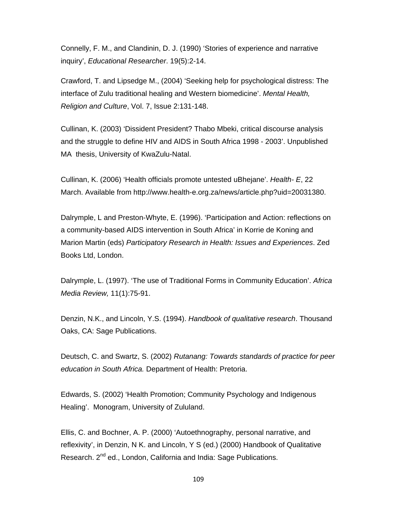Connelly, F. M., and Clandinin, D. J. (1990) 'Stories of experience and narrative inquiry', *Educational Researcher*. 19(5):2-14.

Crawford, T. and Lipsedge M., (2004) 'Seeking help for psychological distress: The interface of Zulu traditional healing and Western biomedicine'. *Mental Health, Religion and Culture*, Vol. 7, Issue 2:131-148.

Cullinan, K. (2003) 'Dissident President? Thabo Mbeki, critical discourse analysis and the struggle to define HIV and AIDS in South Africa 1998 - 2003'. Unpublished MA thesis, University of KwaZulu-Natal.

Cullinan, K. (2006) 'Health officials promote untested uBhejane'. *Health- E*, 22 March. Available from http://www.health-e.org.za/news/article.php?uid=20031380.

Dalrymple, L and Preston-Whyte, E. (1996). 'Participation and Action: reflections on a community-based AIDS intervention in South Africa' in Korrie de Koning and Marion Martin (eds) *Participatory Research in Health: Issues and Experiences*. Zed Books Ltd, London.

Dalrymple, L. (1997). 'The use of Traditional Forms in Community Education'. *Africa Media Review,* 11(1):75-91.

Denzin, N.K., and Lincoln, Y.S. (1994). *Handbook of qualitative research*. Thousand Oaks, CA: Sage Publications.

Deutsch, C. and Swartz, S. (2002) *Rutanang: Towards standards of practice for peer education in South Africa.* Department of Health: Pretoria.

Edwards, S. (2002) 'Health Promotion; Community Psychology and Indigenous Healing'. Monogram, University of Zululand.

Ellis, C. and Bochner, A. P. (2000) 'Autoethnography, personal narrative, and reflexivity', in Denzin, N K. and Lincoln, Y S (ed.) (2000) Handbook of Qualitative Research, 2<sup>nd</sup> ed., London, California and India: Sage Publications.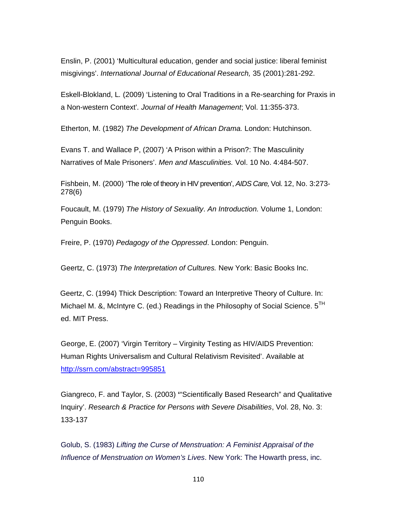Enslin, P. (2001) 'Multicultural education, gender and social justice: liberal feminist misgivings'. *International Journal of Educational Research,* 35 (2001):281-292.

Eskell-Blokland, L*.* (2009) 'Listening to Oral Traditions in a Re-searching for Praxis in a Non-western Context'*. Journal of Health Management*; Vol. 11:355-373.

Etherton, M. (1982) *The Development of African Drama.* London: Hutchinson.

Evans T. and Wallace P, (2007) 'A Prison within a Prison?: The Masculinity Narratives of Male Prisoners'. *Men and Masculinities.* Vol. 10 No. 4:484-507.

Fishbein, M. (2000) 'The role of theory in HIV prevention', *AIDS Care,* Vol. 12, No. 3:273- 278(6)

Foucault, M. (1979) *The History of Sexuality*. *An Introduction.* Volume 1, London: Penguin Books.

Freire, P. (1970) *Pedagogy of the Oppressed*. London: Penguin.

Geertz, C. (1973) *The Interpretation of Cultures.* New York: Basic Books Inc.

 Geertz, C. (1994) Thick Description: Toward an Interpretive Theory of Culture. In: Michael M. &, McIntyre C. (ed.) Readings in the Philosophy of Social Science.  $5<sup>TH</sup>$ ed. MIT Press.

George, E. (2007) 'Virgin Territory – Virginity Testing as HIV/AIDS Prevention: Human Rights Universalism and Cultural Relativism Revisited'. Available at http://ssrn.com/abstract=995851

Giangreco, F. and Taylor, S. (2003) **'**"Scientifically Based Research" and Qualitative Inquiry'. *Research & Practice for Persons with Severe Disabilities*, Vol. 28, No. 3: 133-137

Golub, S. (1983) *Lifting the Curse of Menstruation: A Feminist Appraisal of the Influence of Menstruation on Women's Lives*. New York: The Howarth press, inc.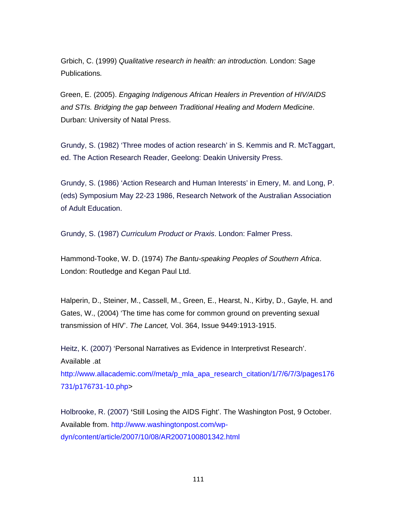Grbich, C. (1999) *Qualitative research in health: an introduction.* London: Sage Publications*.* 

 Green, E. (2005). *Engaging Indigenous African Healers in Prevention of HIV/AIDS and STIs. Bridging the gap between Traditional Healing and Modern Medicine*. Durban: University of Natal Press.

Grundy, S. (1982) 'Three modes of action research' in S. Kemmis and R. McTaggart, ed. The Action Research Reader, Geelong: Deakin University Press.

Grundy, S. (1986) 'Action Research and Human Interests' in Emery, M. and Long, P. (eds) Symposium May 22-23 1986, Research Network of the Australian Association of Adult Education.

Grundy, S. (1987) *Curriculum Product or Praxis*. London: Falmer Press.

Hammond-Tooke, W. D. (1974) *The Bantu-speaking Peoples of Southern Africa*. London: Routledge and Kegan Paul Ltd.

Halperin, D., Steiner, M., Cassell, M., Green, E., Hearst, N., Kirby, D., Gayle, H. and Gates, W., (2004) 'The time has come for common ground on preventing sexual transmission of HIV'. *The Lancet,* Vol. 364, Issue 9449:1913-1915.

Heitz, K. (2007) 'Personal Narratives as Evidence in Interpretivst Research'. Available .at

http://www.allacademic.com//meta/p\_mla\_apa\_research\_citation/1/7/6/7/3/pages176 731/p176731-10.php>

Holbrooke, R. (2007) **'**Still Losing the AIDS Fight'. The Washington Post, 9 October. Available from. http://www.washingtonpost.com/wpdyn/content/article/2007/10/08/AR2007100801342.html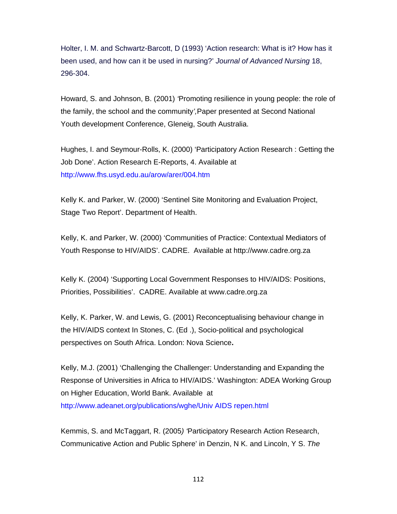Holter, I. M. and Schwartz-Barcott, D (1993) 'Action research: What is it? How has it been used, and how can it be used in nursing?' *Journal of Advanced Nursing* 18, 296-304.

Howard, S. and Johnson, B. (2001) *'*Promoting resilience in young people: the role of the family, the school and the community*',*Paper presented at Second National Youth development Conference, Gleneig, South Australia.

Hughes, I. and Seymour-Rolls, K. (2000) 'Participatory Action Research : Getting the Job Done'. Action Research E-Reports, 4. Available at http://www.fhs.usyd.edu.au/arow/arer/004.htm

Kelly K. and Parker, W. (2000) 'Sentinel Site Monitoring and Evaluation Project, Stage Two Report'. Department of Health.

Kelly, K. and Parker, W. (2000) 'Communities of Practice: Contextual Mediators of Youth Response to HIV/AIDS'. CADRE. Available at http://www.cadre.org.za

Kelly K. (2004) 'Supporting Local Government Responses to HIV/AIDS: Positions, Priorities, Possibilities'. CADRE. Available at www.cadre.org.za

Kelly, K. Parker, W. and Lewis, G. (2001) Reconceptualising behaviour change in the HIV/AIDS context In Stones, C. (Ed .), Socio-political and psychological perspectives on South Africa. London: Nova Science**.** 

Kelly, M.J. (2001) 'Challenging the Challenger: Understanding and Expanding the Response of Universities in Africa to HIV/AIDS.' Washington: ADEA Working Group on Higher Education, World Bank. Available at http://www.adeanet.org/publications/wghe/Univ AIDS repen.html

Kemmis, S. and McTaggart, R. (2005*) '*Participatory Research Action Research, Communicative Action and Public Sphere' in Denzin, N K. and Lincoln, Y S. *The*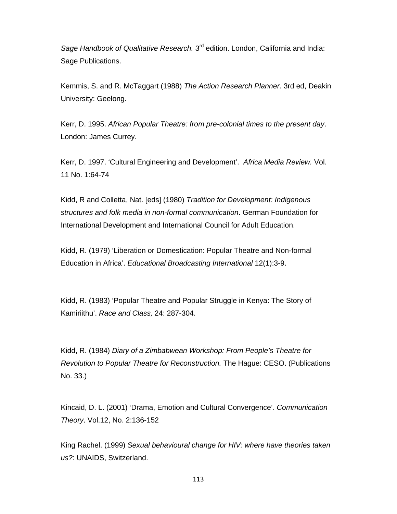*Sage Handbook of Qualitative Research.* 3rd edition. London, California and India: Sage Publications.

Kemmis, S. and R. McTaggart (1988) *The Action Research Planner*. 3rd ed, Deakin University: Geelong.

Kerr, D. 1995. *African Popular Theatre: from pre-colonial times to the present day*. London: James Currey.

Kerr, D. 1997. 'Cultural Engineering and Development'. *Africa Media Review.* Vol. 11 No. 1:64-74

Kidd, R and Colletta, Nat. [eds] (1980) *Tradition for Development: Indigenous structures and folk media in non-formal communication*. German Foundation for International Development and International Council for Adult Education.

Kidd, R. (1979) 'Liberation or Domestication: Popular Theatre and Non-formal Education in Africa'. *Educational Broadcasting International* 12(1):3-9.

Kidd, R. (1983) 'Popular Theatre and Popular Struggle in Kenya: The Story of Kamiriithu'. *Race and Class,* 24: 287-304.

Kidd, R. (1984) *Diary of a Zimbabwean Workshop: From People's Theatre for Revolution to Popular Theatre for Reconstruction.* The Hague: CESO. (Publications No. 33.)

Kincaid, D. L. (2001) 'Drama, Emotion and Cultural Convergence'*. Communication Theory*. Vol.12, No. 2:136-152

King Rachel. (1999) *Sexual behavioural change for HIV: where have theories taken us?*: UNAIDS, Switzerland.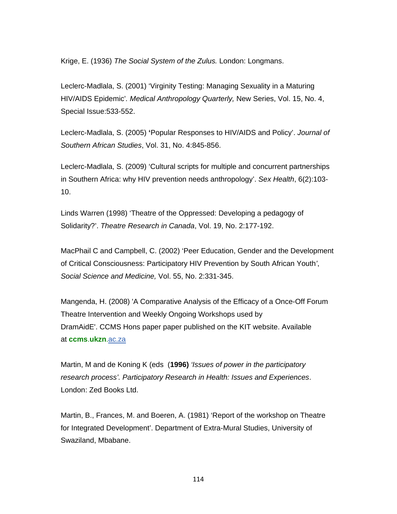Krige, E. (1936) *The Social System of the Zulus.* London: Longmans.

Leclerc-Madlala, S. (2001) 'Virginity Testing: Managing Sexuality in a Maturing HIV/AIDS Epidemic'*. Medical Anthropology Quarterly,* New Series, Vol. 15, No. 4, Special Issue:533-552.

Leclerc-Madlala, S. (2005) **'**Popular Responses to HIV/AIDS and Policy'. *Journal of Southern African Studies*, Vol. 31, No. 4:845-856.

Leclerc-Madlala, S. (2009) 'Cultural scripts for multiple and concurrent partnerships in Southern Africa: why HIV prevention needs anthropology'. *Sex Health*, 6(2):103- 10.

Linds Warren (1998) 'Theatre of the Oppressed: Developing a pedagogy of Solidarity?'. *Theatre Research in Canada*, Vol. 19, No. 2:177-192.

MacPhail C and Campbell, C. (2002) 'Peer Education, Gender and the Development of Critical Consciousness: Participatory HIV Prevention by South African Youth*'*, *Social Science and Medicine,* Vol. 55, No. 2:331-345.

Mangenda, H. (2008) 'A Comparative Analysis of the Efficacy of a Once-Off Forum Theatre Intervention and Weekly Ongoing Workshops used by DramAidE'. CCMS Hons paper paper published on the KIT website. Available at **ccms**.**ukzn**.ac.za

Martin, M and de Koning K (eds (**1996)** *'Issues of power in the participatory research process'. Participatory Research in Health: Issues and Experiences*. London: Zed Books Ltd.

Martin, B., Frances, M. and Boeren, A. (1981) 'Report of the workshop on Theatre for Integrated Development'. Department of Extra-Mural Studies, University of Swaziland, Mbabane.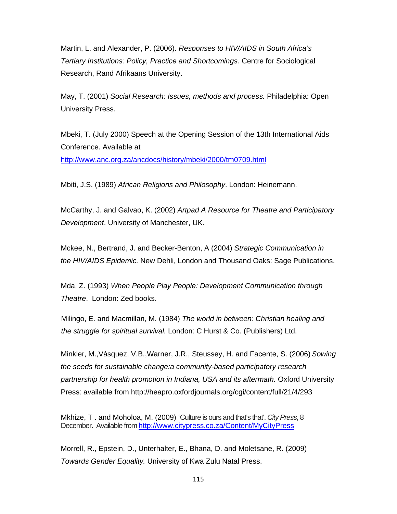Martin, L. and Alexander, P. (2006). *Responses to HIV/AIDS in South Africa's Tertiary Institutions: Policy, Practice and Shortcomings.* Centre for Sociological Research, Rand Afrikaans University.

May, T. (2001) *Social Research: Issues, methods and process.* Philadelphia: Open University Press.

Mbeki, T. (July 2000) Speech at the Opening Session of the 13th International Aids Conference. Available at http://www.anc.org.za/ancdocs/history/mbeki/2000/tm0709.html

Mbiti, J.S. (1989) *African Religions and Philosophy*. London: Heinemann.

McCarthy, J. and Galvao, K. (2002) *Artpad A Resource for Theatre and Participatory Development*. University of Manchester, UK.

Mckee, N., Bertrand, J. and Becker-Benton, A (2004) *Strategic Communication in the HIV/AIDS Epidemic.* New Dehli, London and Thousand Oaks: Sage Publications.

Mda, Z. (1993) *When People Play People: Development Communication through Theatre*. London: Zed books.

Milingo, E. and Macmillan, M. (1984) *The world in between: Christian healing and the struggle for spiritual survival.* London: C Hurst & Co. (Publishers) Ltd.

Minkler, M.,Vásquez, V.B.,Warner, J.R., Steussey, H. and Facente, S. (2006) *Sowing the seeds for sustainable change:a community-based participatory research partnership for health promotion in Indiana, USA and its aftermath.* Oxford University Press: available from http://heapro.oxfordjournals.org/cgi/content/full/21/4/293

Mkhize, T . and Moholoa, M. (2009) 'Culture is ours and that's that'. *City Press*, 8 December. Available from http://www.citypress.co.za/Content/MyCityPress

Morrell, R., Epstein, D., Unterhalter, E., Bhana, D. and Moletsane, R. (2009) *Towards Gender Equality.* University of Kwa Zulu Natal Press.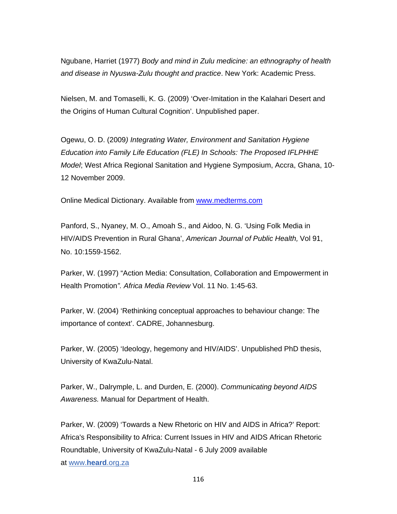Ngubane, Harriet (1977) *Body and mind in Zulu medicine: an ethnography of health and disease in Nyuswa-Zulu thought and practice*. New York: Academic Press.

Nielsen, M. and Tomaselli, K. G. (2009) 'Over-Imitation in the Kalahari Desert and the Origins of Human Cultural Cognition'. Unpublished paper.

Ogewu, O. D. (2009*) Integrating Water, Environment and Sanitation Hygiene Education into Family Life Education (FLE) In Schools: The Proposed IFLPHHE Model*; West Africa Regional Sanitation and Hygiene Symposium, Accra, Ghana, 10- 12 November 2009.

Online Medical Dictionary. Available from www.medterms.com

Panford, S., Nyaney, M. O., Amoah S., and Aidoo, N. G. 'Using Folk Media in HIV/AIDS Prevention in Rural Ghana', *American Journal of Public Health,* Vol 91, No. 10:1559-1562.

Parker, W. (1997) "Action Media: Consultation, Collaboration and Empowerment in Health Promotion*". Africa Media Review* Vol. 11 No. 1:45-63.

Parker, W. (2004) 'Rethinking conceptual approaches to behaviour change: The importance of context'. CADRE, Johannesburg.

Parker, W. (2005) 'Ideology, hegemony and HIV/AIDS'. Unpublished PhD thesis, University of KwaZulu-Natal.

Parker, W., Dalrymple, L. and Durden, E. (2000). *Communicating beyond AIDS Awareness.* Manual for Department of Health.

Parker, W. (2009) 'Towards a New Rhetoric on HIV and AIDS in Africa?' Report: Africa's Responsibility to Africa: Current Issues in HIV and AIDS African Rhetoric Roundtable, University of KwaZulu-Natal - 6 July 2009 available at www.**heard**.org.za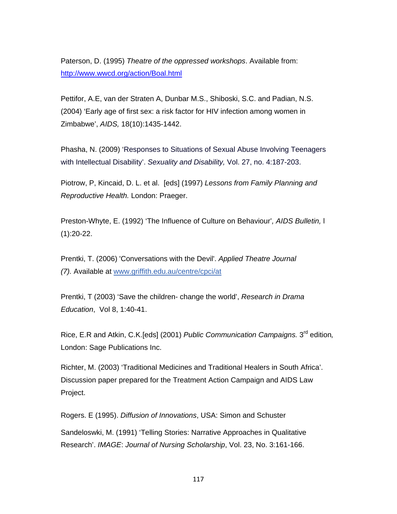Paterson, D. (1995) *Theatre of the oppressed workshops*. Available from: http://www.wwcd.org/action/Boal.html

Pettifor, A.E, van der Straten A, Dunbar M.S., Shiboski, S.C. and Padian, N.S. (2004) 'Early age of first sex: a risk factor for HIV infection among women in Zimbabwe', *AIDS,* 18(10):1435-1442.

Phasha, N. (2009) 'Responses to Situations of Sexual Abuse Involving Teenagers with Intellectual Disability'. *Sexuality and Disability,* Vol. 27, no. 4:187-203.

Piotrow, P, Kincaid, D. L. et al. [eds] (1997) *Lessons from Family Planning and Reproductive Health.* London: Praeger.

Preston-Whyte, E. (1992) 'The Influence of Culture on Behaviour'*, AIDS Bulletin,* l  $(1):20-22.$ 

Prentki, T. (2006) 'Conversations with the Devil'. *Applied Theatre Journal (7).* Available at www.griffith.edu.au/centre/cpci/at

Prentki, T (2003) 'Save the children- change the world', *Research in Drama Education*, Vol 8, 1:40-41.

Rice, E.R and Atkin, C.K.[eds] (2001) *Public Communication Campaigns.* 3rd edition*,* London: Sage Publications Inc.

Richter, M. (2003) 'Traditional Medicines and Traditional Healers in South Africa'. Discussion paper prepared for the Treatment Action Campaign and AIDS Law Project.

Rogers. E (1995). *Diffusion of Innovations*, USA: Simon and Schuster Sandeloswki, M. (1991) 'Telling Stories: Narrative Approaches in Qualitative Research'. *IMAGE*: *Journal of Nursing Scholarship*, Vol. 23, No. 3:161-166.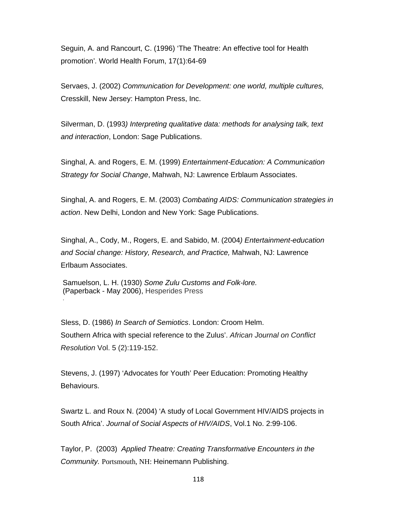Seguin, A. and Rancourt, C. (1996) 'The Theatre: An effective tool for Health promotion'*.* World Health Forum, 17(1):64-69

Servaes, J. (2002) *Communication for Development: one world, multiple cultures,* Cresskill, New Jersey: Hampton Press, Inc.

Silverman, D. (1993*) Interpreting qualitative data: methods for analysing talk, text and interaction*, London: Sage Publications.

Singhal, A. and Rogers, E. M. (1999) *Entertainment-Education: A Communication Strategy for Social Change*, Mahwah, NJ: Lawrence Erblaum Associates.

Singhal, A. and Rogers, E. M. (2003) *Combating AIDS: Communication strategies in action*. New Delhi, London and New York: Sage Publications.

Singhal, A., Cody, M., Rogers, E. and Sabido, M. (2004*) Entertainment-education and Social change: History, Research, and Practice,* Mahwah, NJ: Lawrence Erlbaum Associates.

Samuelson, L. H. (1930) *Some Zulu Customs and Folk-lore.*  (Paperback - May 2006), Hesperides Press

.

Sless, D. (1986) *In Search of Semiotics*. London: Croom Helm. Southern Africa with special reference to the Zulus'. *African Journal on Conflict Resolution* Vol. 5 (2):119-152.

Stevens, J. (1997) 'Advocates for Youth' Peer Education: Promoting Healthy Behaviours.

Swartz L. and Roux N. (2004) 'A study of Local Government HIV/AIDS projects in South Africa'. *Journal of Social Aspects of HIV/AIDS*, Vol.1 No. 2:99-106.

Taylor, P. (2003) *Applied Theatre: Creating Transformative Encounters in the Community.* Portsmouth, NH: Heinemann Publishing.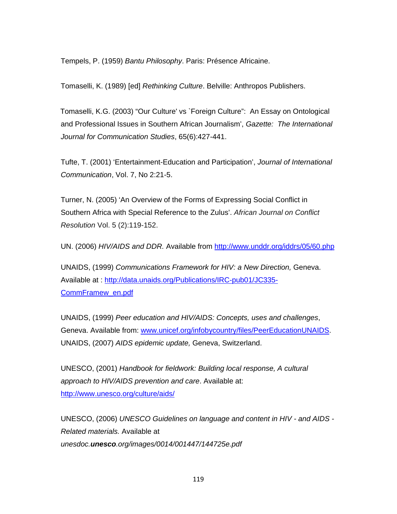Tempels, P. (1959) *Bantu Philosophy*. Paris: Présence Africaine.

Tomaselli, K. (1989) [ed] *Rethinking Culture*. Belville: Anthropos Publishers.

Tomaselli, K.G. (2003) "Our Culture' vs `Foreign Culture": An Essay on Ontological and Professional Issues in Southern African Journalism', *Gazette: The International Journal for Communication Studies*, 65(6):427-441.

Tufte, T. (2001) 'Entertainment-Education and Participation', *Journal of International Communication*, Vol. 7, No 2:21-5.

Turner, N. (2005) 'An Overview of the Forms of Expressing Social Conflict in Southern Africa with Special Reference to the Zulus'. *African Journal on Conflict Resolution* Vol. 5 (2):119-152.

UN. (2006) *HIV/AIDS and DDR.* Available from http://www.unddr.org/iddrs/05/60.php

UNAIDS, (1999) *Communications Framework for HIV: a New Direction,* Geneva. Available at : http://data.unaids.org/Publications/IRC-pub01/JC335- CommFramew\_en.pdf

UNAIDS, (1999) *Peer education and HIV/AIDS: Concepts, uses and challenges*, Geneva. Available from: www.unicef.org/infobycountry/files/PeerEducationUNAIDS. UNAIDS, (2007) *AIDS epidemic update,* Geneva, Switzerland.

UNESCO, (2001) *Handbook for fieldwork: Building local response, A cultural approach to HIV/AIDS prevention and care*. Available at: http://www.unesco.org/culture/aids/

UNESCO, (2006) *UNESCO Guidelines on language and content in HIV - and AIDS - Related materials.* Available at *unesdoc.unesco.org/images/0014/001447/144725e.pdf*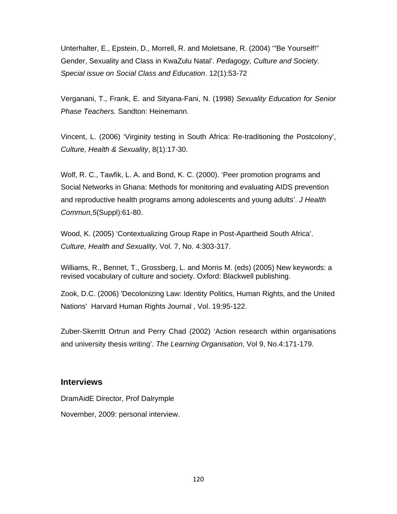Unterhalter, E., Epstein, D., Morrell, R. and Moletsane, R. (2004) '"Be Yourself!" Gender, Sexuality and Class in KwaZulu Natal'. *Pedagogy, Culture and Society. Special issue on Social Class and Education*. 12(1):53-72

Verganani, T., Frank, E. and Sityana-Fani, N. (1998) *Sexuality Education for Senior Phase Teachers.* Sandton: Heinemann.

Vincent, L. (2006) 'Virginity testing in South Africa: Re-traditioning the Postcolony', *Culture, Health & Sexuality*, 8(1):17-30.

Wolf, R. C., Tawfik, L. A. and Bond, K. C. (2000). 'Peer promotion programs and Social Networks in Ghana: Methods for monitoring and evaluating AIDS prevention and reproductive health programs among adolescents and young adults'. *J Health Commun,5*(Suppl):61-80.

Wood, K. (2005) 'Contextualizing Group Rape in Post-Apartheid South Africa'. *Culture, Health and Sexuality,* Vol. 7, No. 4:303-317.

Williams, R., Bennet, T., Grossberg, L. and Morris M. (eds) (2005) New keywords: a revised vocabulary of culture and society. Oxford: Blackwell publishing.

Zook, D.C. (2006) 'Decolonizing Law: Identity Politics, Human Rights, and the United Nations' Harvard Human Rights Journal , Vol. 19:95-122.

Zuber-Skerritt Ortrun and Perry Chad (2002) 'Action research within organisations and university thesis writing'. *The Learning Organisation*, Vol 9, No.4:171-179.

#### **Interviews**

DramAidE Director, Prof Dalrymple

November, 2009: personal interview.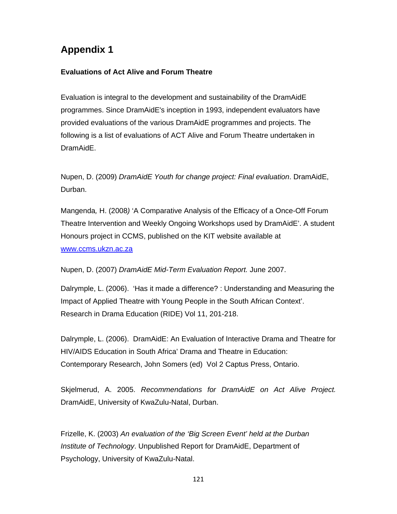# **Appendix 1**

### **Evaluations of Act Alive and Forum Theatre**

Evaluation is integral to the development and sustainability of the DramAidE programmes. Since DramAidE's inception in 1993, independent evaluators have provided evaluations of the various DramAidE programmes and projects. The following is a list of evaluations of ACT Alive and Forum Theatre undertaken in DramAidE.

Nupen, D. (2009) *DramAidE Youth for change project: Final evaluation*. DramAidE, Durban.

Mangenda*,* H. (2008*)* 'A Comparative Analysis of the Efficacy of a Once-Off Forum Theatre Intervention and Weekly Ongoing Workshops used by DramAidE'. A student Honours project in CCMS, published on the KIT website available at www.ccms.ukzn.ac.za

Nupen, D. (2007) *DramAidE Mid-Term Evaluation Report.* June 2007.

Dalrymple, L. (2006). 'Has it made a difference? : Understanding and Measuring the Impact of Applied Theatre with Young People in the South African Context'. Research in Drama Education (RIDE) Vol 11, 201-218.

Dalrymple, L. (2006). DramAidE: An Evaluation of Interactive Drama and Theatre for HIV/AIDS Education in South Africa' Drama and Theatre in Education: Contemporary Research, John Somers (ed) Vol 2 Captus Press, Ontario.

Skjelmerud, A. 2005. *Recommendations for DramAidE on Act Alive Project.*  DramAidE, University of KwaZulu-Natal, Durban.

Frizelle, K. (2003) *An evaluation of the 'Big Screen Event' held at the Durban Institute of Technology*. Unpublished Report for DramAidE, Department of Psychology, University of KwaZulu-Natal.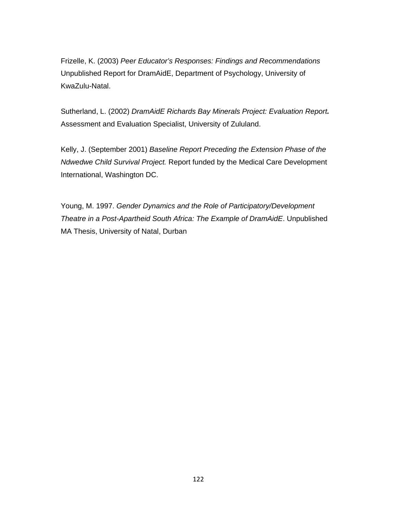Frizelle, K. (2003) *Peer Educator's Responses: Findings and Recommendations*  Unpublished Report for DramAidE, Department of Psychology, University of KwaZulu-Natal.

Sutherland, L. (2002) *DramAidE Richards Bay Minerals Project: Evaluation Report.* Assessment and Evaluation Specialist, University of Zululand.

Kelly, J. (September 2001) *Baseline Report Preceding the Extension Phase of the Ndwedwe Child Survival Project.* Report funded by the Medical Care Development International, Washington DC.

Young, M. 1997. *Gender Dynamics and the Role of Participatory/Development Theatre in a Post-Apartheid South Africa: The Example of DramAidE*. Unpublished MA Thesis, University of Natal, Durban